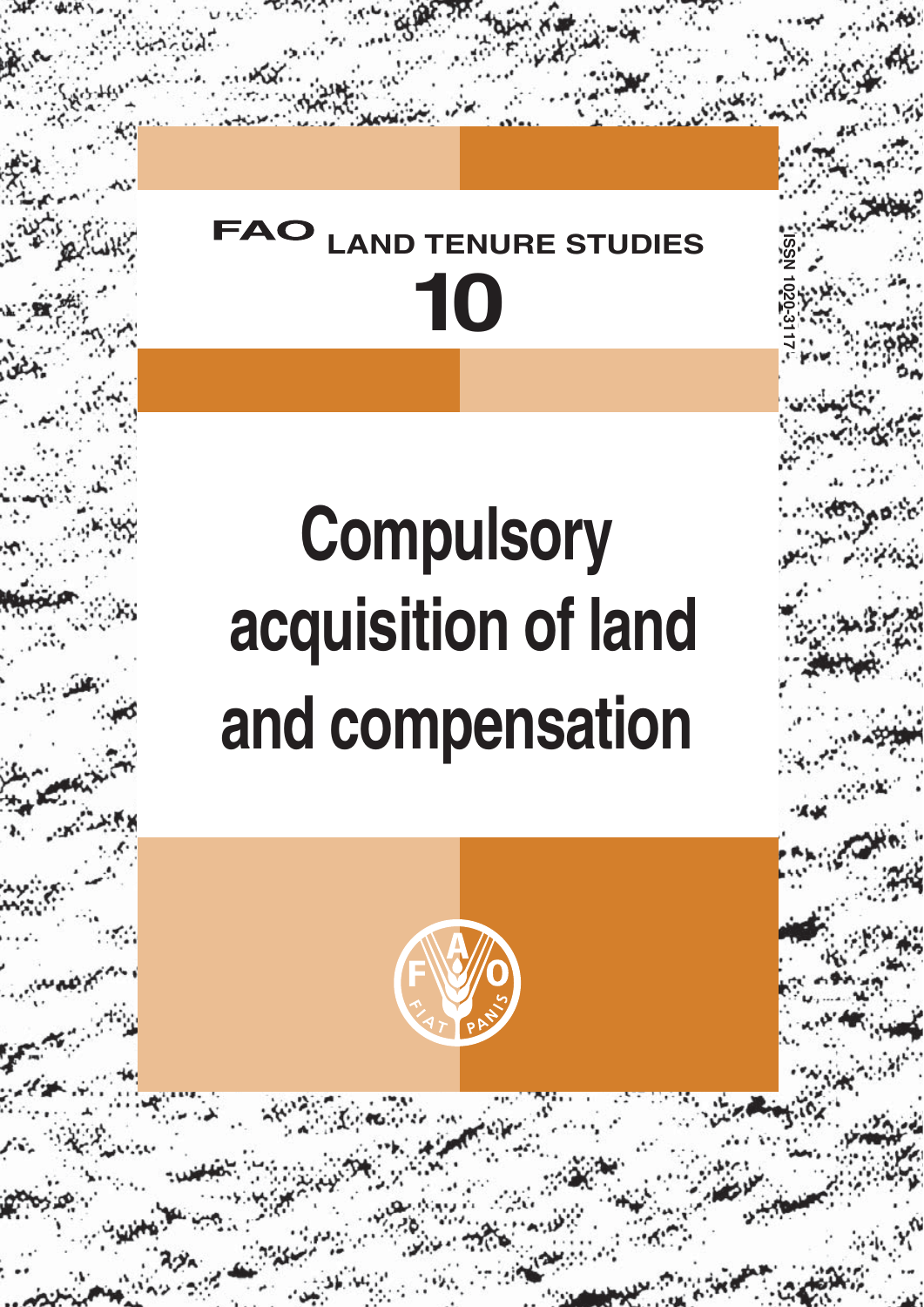## **10 TENURE STUDIES**

**ISSN 1020-3117**

# **Compulsory acquisition of land and compensation**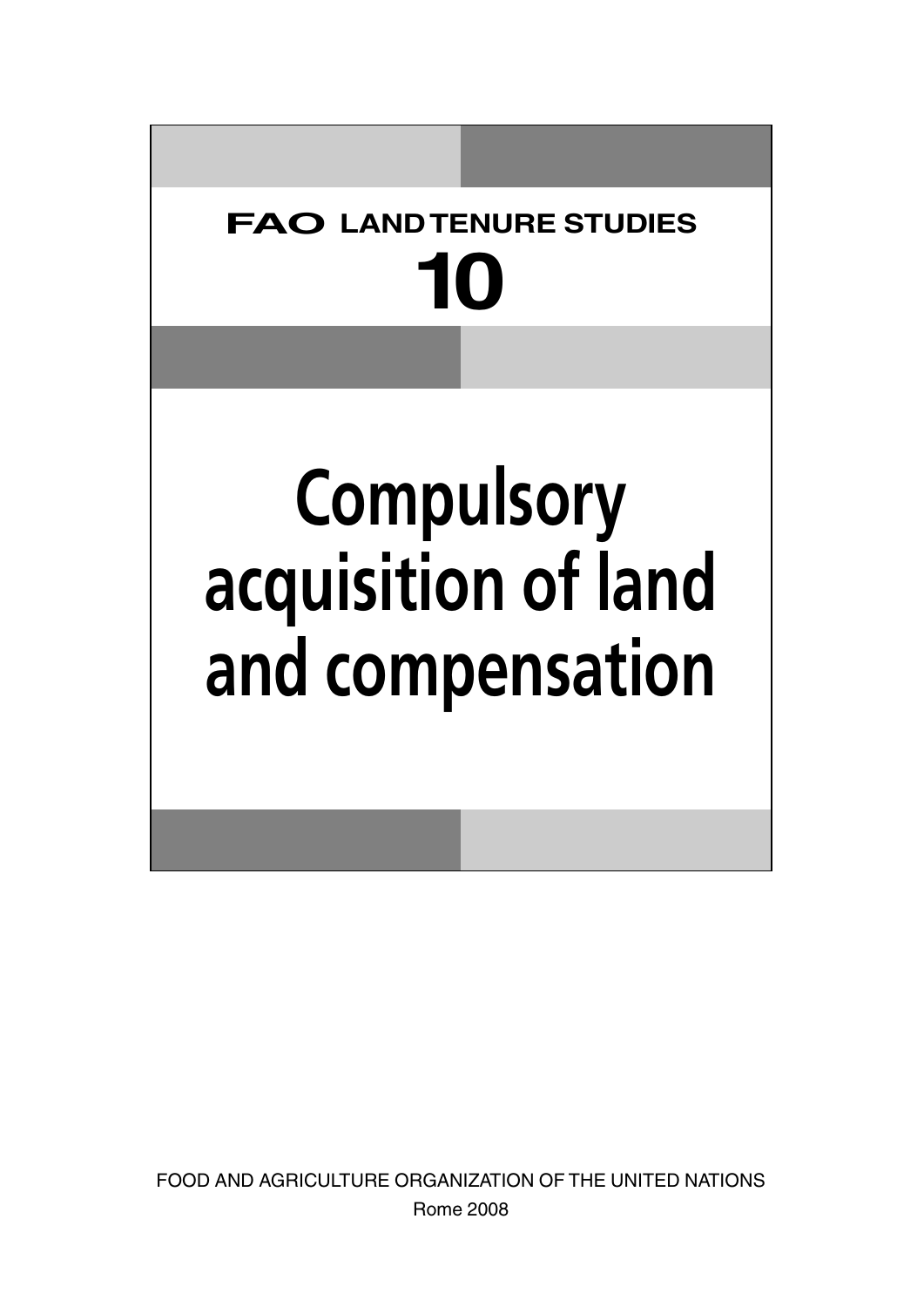## **FAO LAND TENURE STUDIES 10**

# **Compulsory acquisition of land and compensation**

FOOD AND AGRICULTURE ORGANIZATION OF THE UNITED NATIONS Rome 2008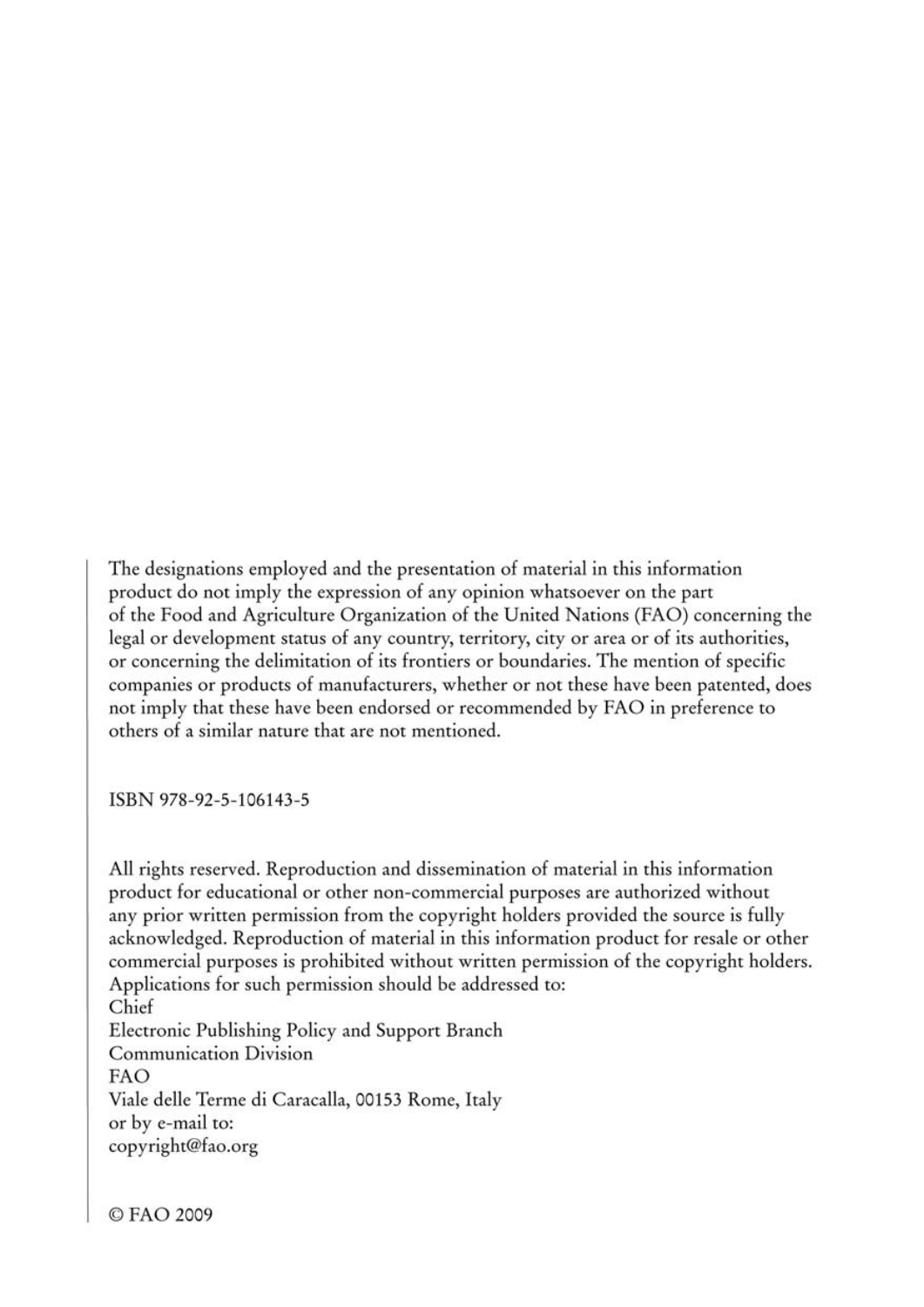The designations employed and the presentation of material in this information product do not imply the expression of any opinion whatsoever on the part of the Food and Agriculture Organization of the United Nations (FAO) concerning the legal or development status of any country, territory, city or area or of its authorities, or concerning the delimitation of its frontiers or boundaries. The mention of specific companies or products of manufacturers, whether or not these have been patented, does not imply that these have been endorsed or recommended by FAO in preference to others of a similar nature that are not mentioned.

ISBN 978-92-5-106143-5

All rights reserved. Reproduction and dissemination of material in this information product for educational or other non-commercial purposes are authorized without any prior written permission from the copyright holders provided the source is fully acknowledged. Reproduction of material in this information product for resale or other commercial purposes is prohibited without written permission of the copyright holders. Applications for such permission should be addressed to: Chief Electronic Publishing Policy and Support Branch **Communication Division FAO** Viale delle Terme di Caracalla, 00153 Rome, Italy or by e-mail to: copyright@fao.org

© FAO 2009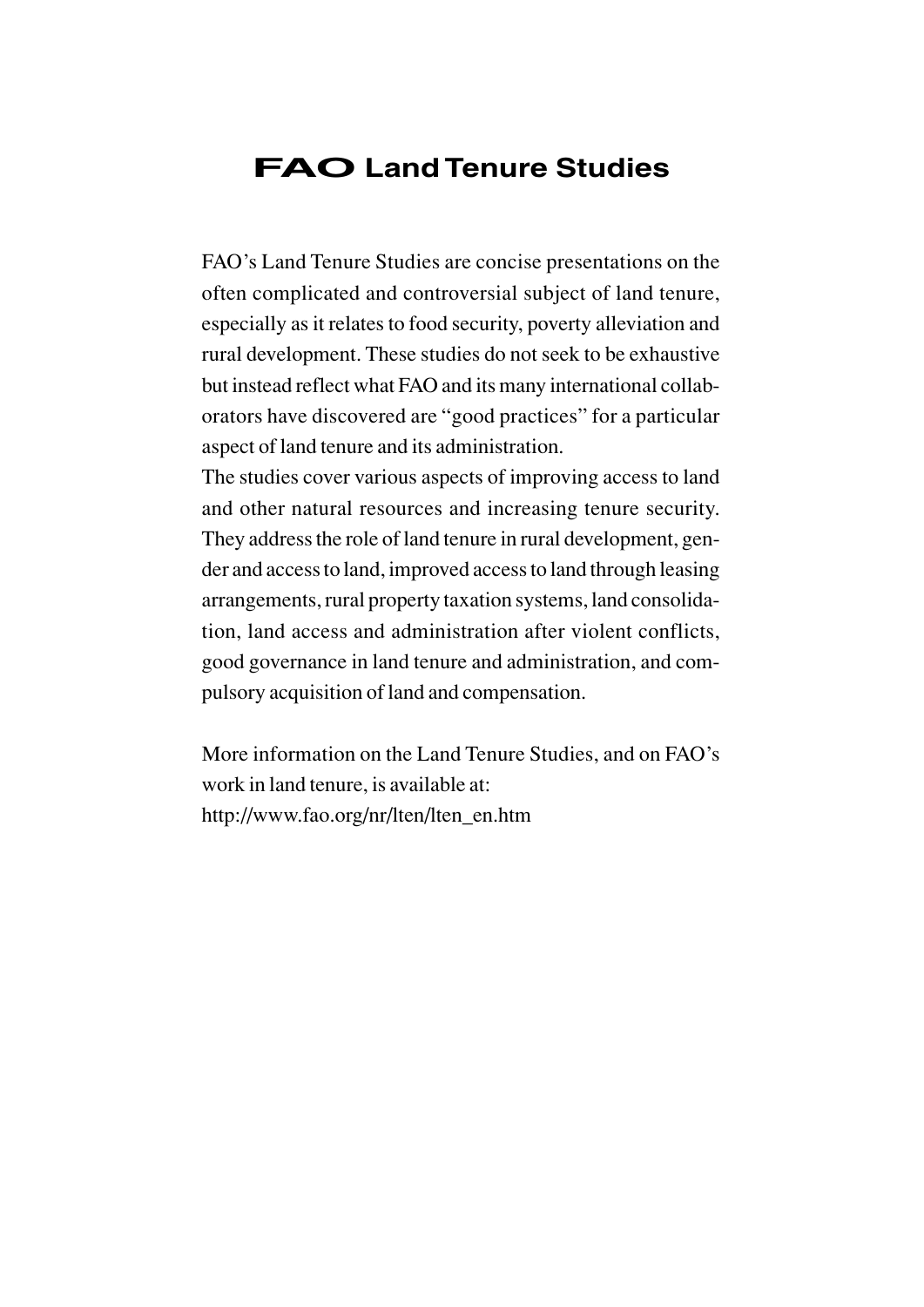### **FAOLand Tenure Studies**

FAO's Land Tenure Studies are concise presentations on the often complicated and controversial subject of land tenure, especially as it relates to food security, poverty alleviation and rural development. These studies do not seek to be exhaustive but instead reflect what FAO and its many international collaborators have discovered are "good practices" for a particular aspect of land tenure and its administration.

The studies cover various aspects of improving access to land and other natural resources and increasing tenure security. They address the role of land tenure in rural development, gender and access to land, improved access to land through leasing arrangements, rural property taxation systems, land consolidation, land access and administration after violent conflicts, good governance in land tenure and administration, and compulsory acquisition of land and compensation.

More information on the Land Tenure Studies, and on FAO's work in land tenure, is available at: http://www.fao.org/nr/lten/lten\_en.htm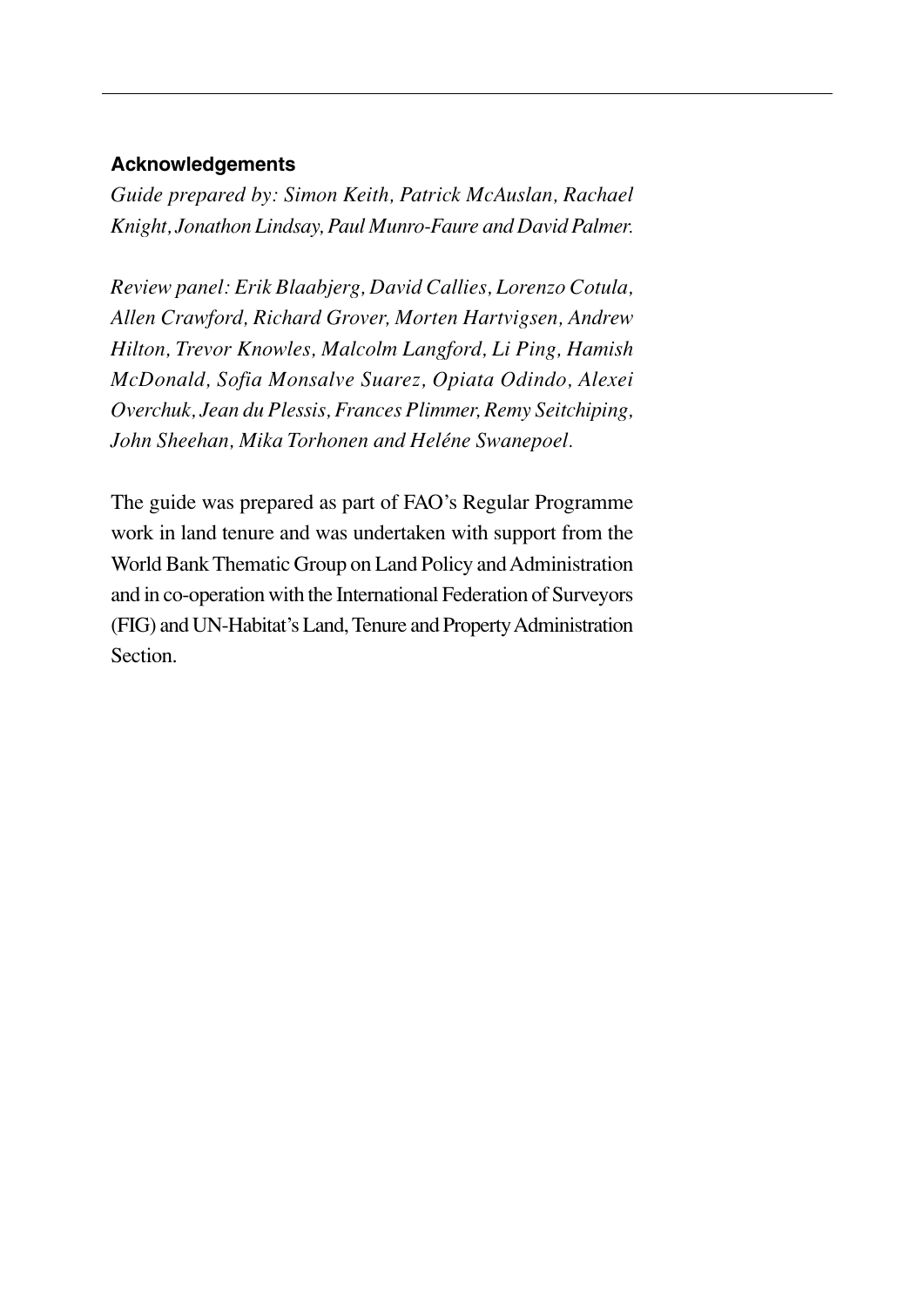#### **Acknowledgements**

*Guide prepared by: Simon Keith, Patrick McAuslan, Rachael Knight, Jonathon Lindsay, Paul Munro-Faure and David Palmer.*

*Review panel: Erik Blaabjerg, David Callies, Lorenzo Cotula, Allen Crawford, Richard Grover, Morten Hartvigsen, Andrew Hilton, Trevor Knowles, Malcolm Langford, Li Ping, Hamish McDonald, Sofia Monsalve Suarez, Opiata Odindo, Alexei Overchuk, Jean du Plessis, Frances Plimmer, Remy Seitchiping, John Sheehan, Mika Torhonen and Heléne Swanepoel.*

The guide was prepared as part of FAO's Regular Programme work in land tenure and was undertaken with support from the World Bank Thematic Group on Land Policy and Administration and in co-operation with the International Federation of Surveyors (FIG) and UN-Habitat's Land, Tenure and Property Administration Section.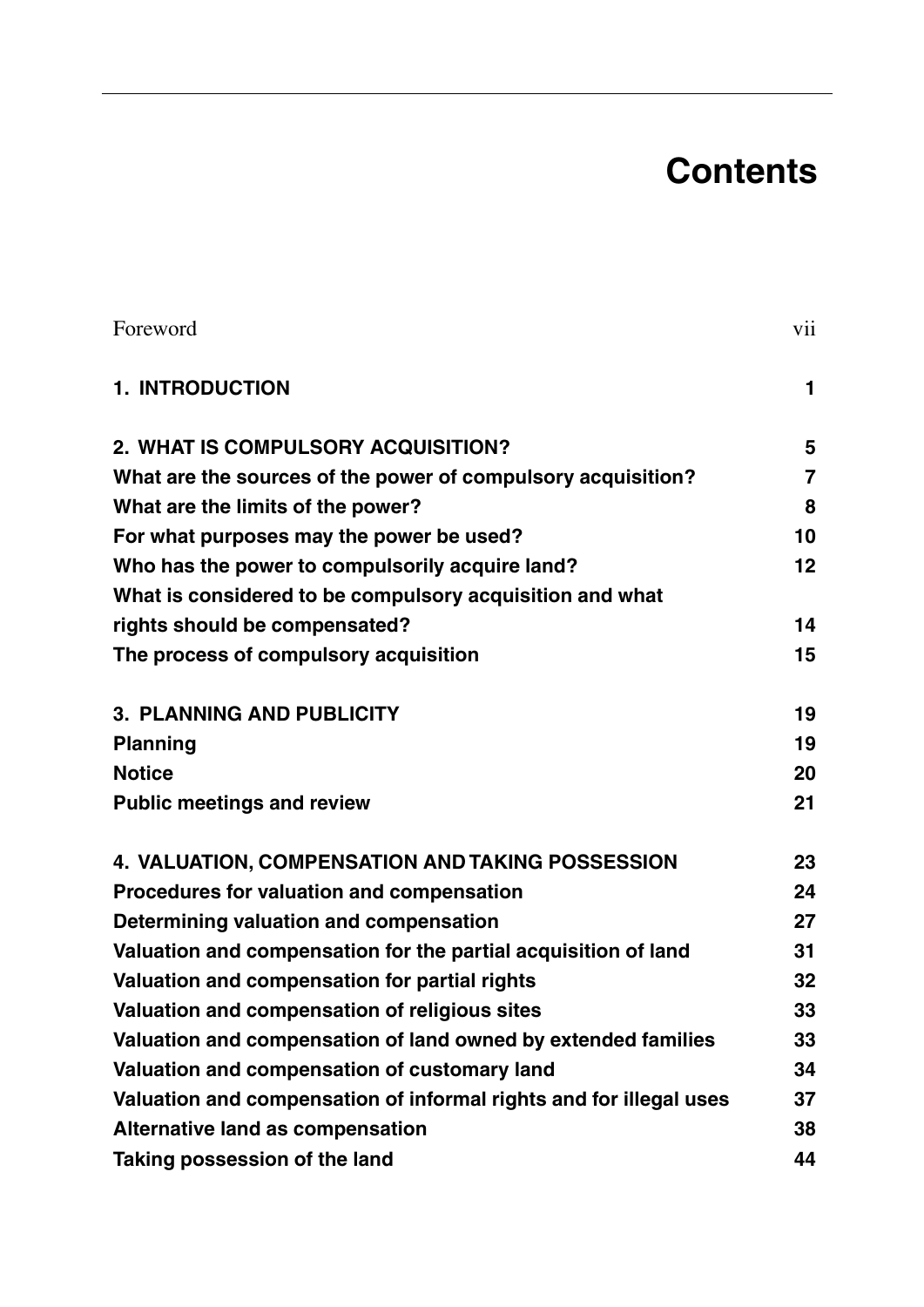## **Contents**

| Foreword                                                           | vii            |
|--------------------------------------------------------------------|----------------|
| <b>1. INTRODUCTION</b>                                             | 1              |
| 2. WHAT IS COMPULSORY ACQUISITION?                                 | 5              |
| What are the sources of the power of compulsory acquisition?       | $\overline{7}$ |
| What are the limits of the power?                                  | 8              |
| For what purposes may the power be used?                           | 10             |
| Who has the power to compulsorily acquire land?                    | 12             |
| What is considered to be compulsory acquisition and what           |                |
| rights should be compensated?                                      | 14             |
| The process of compulsory acquisition                              | 15             |
| 3. PLANNING AND PUBLICITY                                          | 19             |
| Planning                                                           | 19             |
| <b>Notice</b>                                                      | 20             |
| <b>Public meetings and review</b>                                  | 21             |
| 4. VALUATION, COMPENSATION AND TAKING POSSESSION                   | 23             |
| Procedures for valuation and compensation                          | 24             |
| Determining valuation and compensation                             | 27             |
| Valuation and compensation for the partial acquisition of land     | 31             |
| Valuation and compensation for partial rights                      | 32             |
| Valuation and compensation of religious sites                      | 33             |
| Valuation and compensation of land owned by extended families      | 33             |
| Valuation and compensation of customary land                       | 34             |
| Valuation and compensation of informal rights and for illegal uses | 37             |
| Alternative land as compensation                                   | 38             |
| Taking possession of the land                                      | 44             |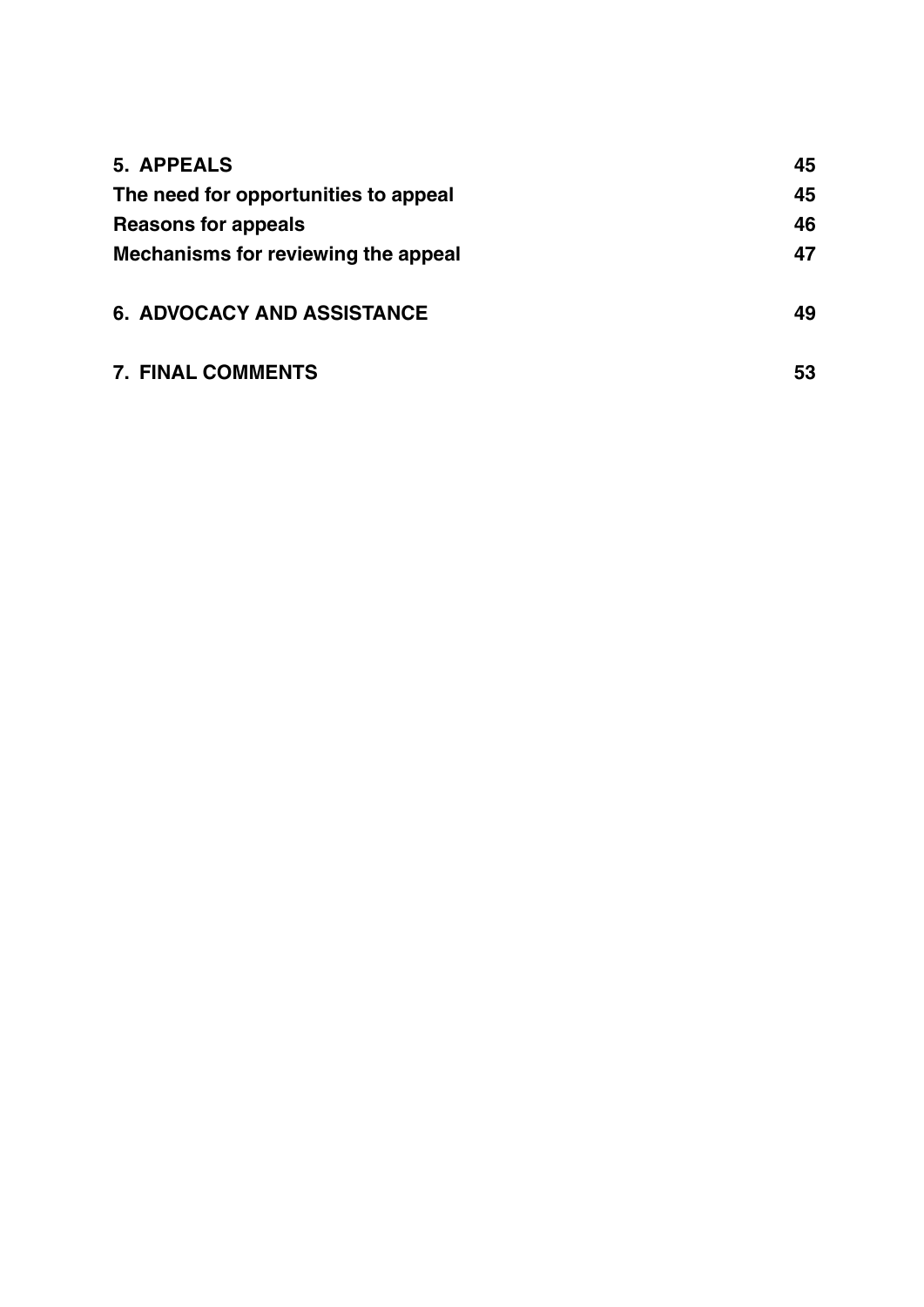| 5. APPEALS                                                                                         | 45 |
|----------------------------------------------------------------------------------------------------|----|
| The need for opportunities to appeal<br>Reasons for appeals<br>Mechanisms for reviewing the appeal | 45 |
|                                                                                                    | 46 |
|                                                                                                    | 47 |
|                                                                                                    |    |
| <b>6. ADVOCACY AND ASSISTANCE</b>                                                                  | 49 |
|                                                                                                    |    |
| <b>7. FINAL COMMENTS</b>                                                                           | 53 |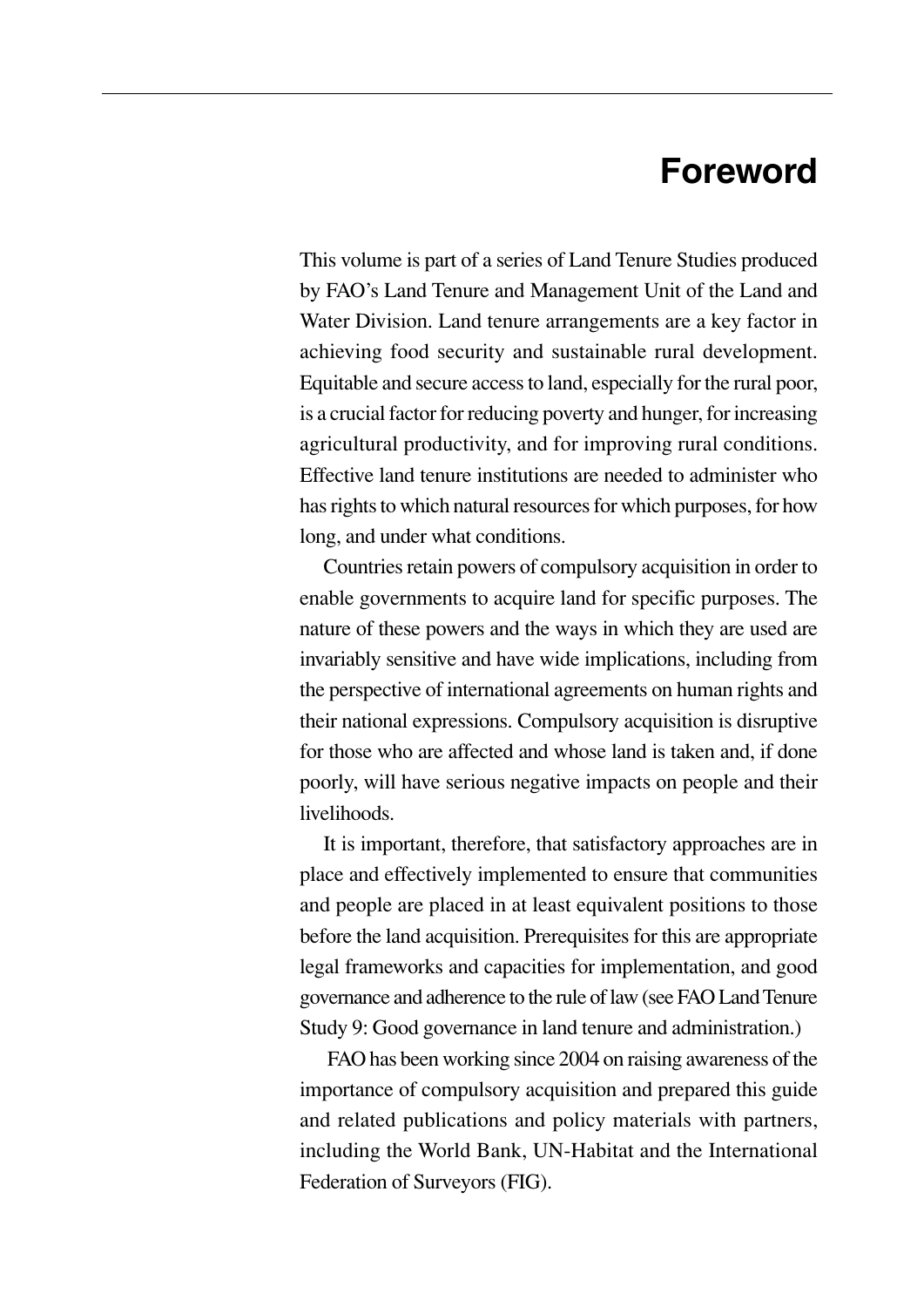## **Foreword**

This volume is part of a series of Land Tenure Studies produced by FAO's Land Tenure and Management Unit of the Land and Water Division. Land tenure arrangements are a key factor in achieving food security and sustainable rural development. Equitable and secure access to land, especially for the rural poor, is a crucial factor for reducing poverty and hunger, for increasing agricultural productivity, and for improving rural conditions. Effective land tenure institutions are needed to administer who has rights to which natural resources for which purposes, for how long, and under what conditions.

Countries retain powers of compulsory acquisition in order to enable governments to acquire land for specific purposes. The nature of these powers and the ways in which they are used are invariably sensitive and have wide implications, including from the perspective of international agreements on human rights and their national expressions. Compulsory acquisition is disruptive for those who are affected and whose land is taken and, if done poorly, will have serious negative impacts on people and their livelihoods.

It is important, therefore, that satisfactory approaches are in place and effectively implemented to ensure that communities and people are placed in at least equivalent positions to those before the land acquisition. Prerequisites for this are appropriate legal frameworks and capacities for implementation, and good governance and adherence to the rule of law (see FAO Land Tenure Study 9: Good governance in land tenure and administration.)

FAO has been working since 2004 on raising awareness of the importance of compulsory acquisition and prepared this guide and related publications and policy materials with partners, including the World Bank, UN-Habitat and the International Federation of Surveyors (FIG).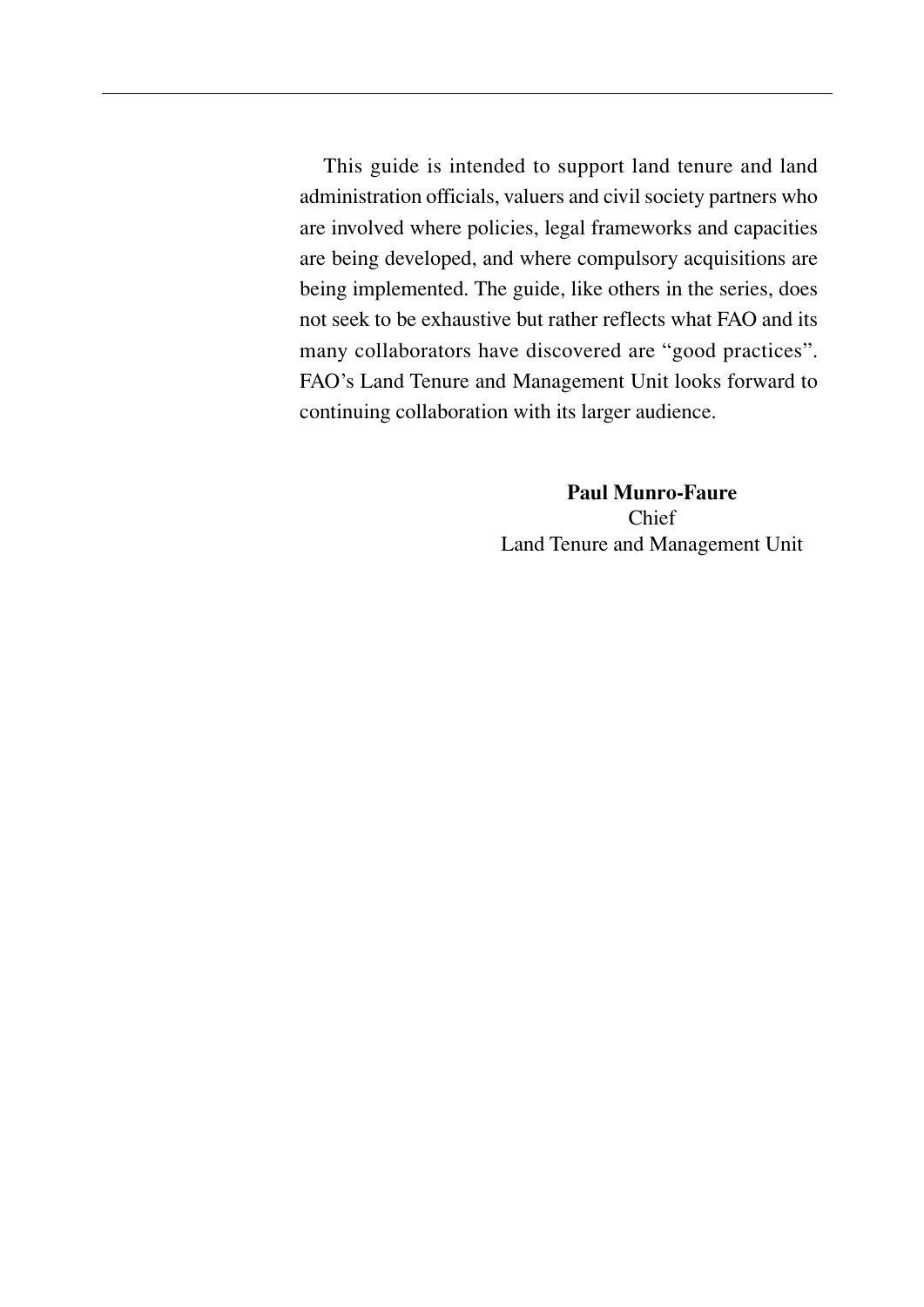This guide is intended to support land tenure and land administration officials, valuers and civil society partners who are involved where policies, legal frameworks and capacities are being developed, and where compulsory acquisitions are being implemented. The guide, like others in the series, does not seek to be exhaustive but rather reflects what FAO and its many collaborators have discovered are "good practices". FAO's Land Tenure and Management Unit looks forward to continuing collaboration with its larger audience.

> **Paul Munro-Faure**  Chief Land Tenure and Management Unit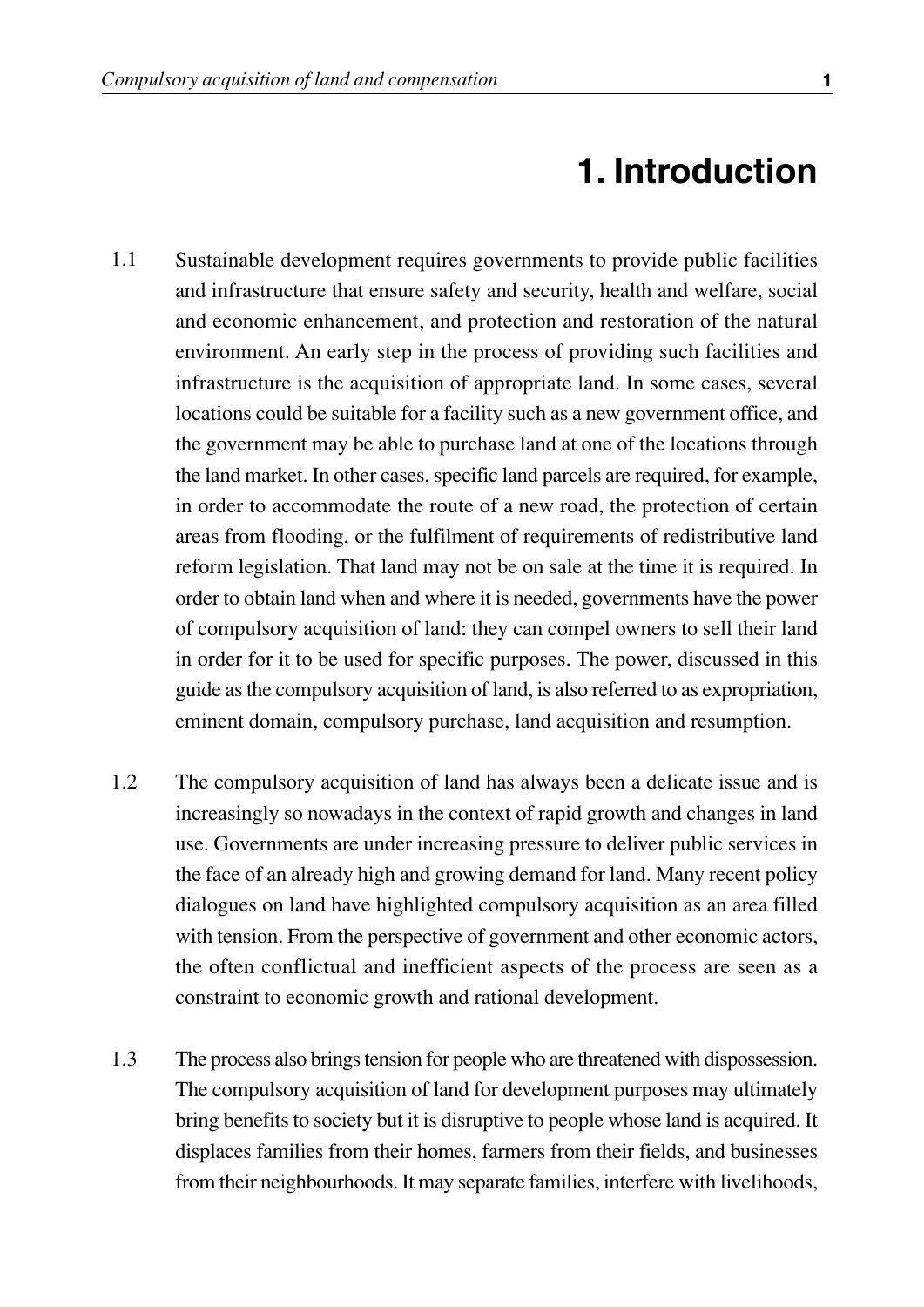## **1. Introduction**

- Sustainable development requires governments to provide public facilities and infrastructure that ensure safety and security, health and welfare, social and economic enhancement, and protection and restoration of the natural environment. An early step in the process of providing such facilities and infrastructure is the acquisition of appropriate land. In some cases, several locations could be suitable for a facility such as a new government office, and the government may be able to purchase land at one of the locations through the land market. In other cases, specific land parcels are required, for example, in order to accommodate the route of a new road, the protection of certain areas from flooding, or the fulfilment of requirements of redistributive land reform legislation. That land may not be on sale at the time it is required. In order to obtain land when and where it is needed, governments have the power of compulsory acquisition of land: they can compel owners to sell their land in order for it to be used for specific purposes. The power, discussed in this guide as the compulsory acquisition of land, is also referred to as expropriation, eminent domain, compulsory purchase, land acquisition and resumption. 1.1
- The compulsory acquisition of land has always been a delicate issue and is increasingly so nowadays in the context of rapid growth and changes in land use. Governments are under increasing pressure to deliver public services in the face of an already high and growing demand for land. Many recent policy dialogues on land have highlighted compulsory acquisition as an area filled with tension. From the perspective of government and other economic actors, the often conflictual and inefficient aspects of the process are seen as a constraint to economic growth and rational development. 1.2
- The process also brings tension for people who are threatened with dispossession. The compulsory acquisition of land for development purposes may ultimately bring benefits to society but it is disruptive to people whose land is acquired. It displaces families from their homes, farmers from their fields, and businesses from their neighbourhoods. It may separate families, interfere with livelihoods, 1.3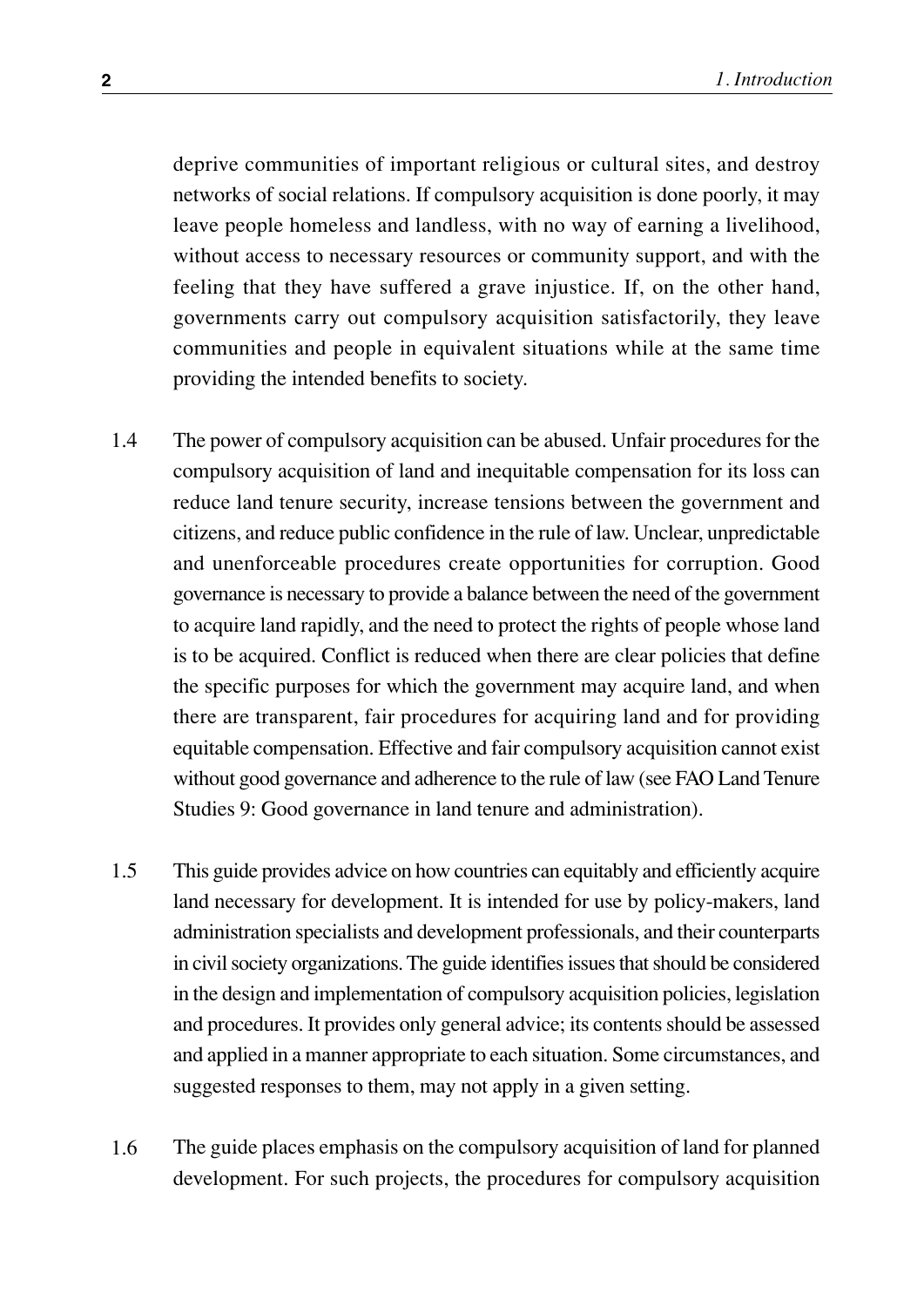deprive communities of important religious or cultural sites, and destroy networks of social relations. If compulsory acquisition is done poorly, it may leave people homeless and landless, with no way of earning a livelihood, without access to necessary resources or community support, and with the feeling that they have suffered a grave injustice. If, on the other hand, governments carry out compulsory acquisition satisfactorily, they leave communities and people in equivalent situations while at the same time providing the intended benefits to society.

- The power of compulsory acquisition can be abused. Unfair procedures for the compulsory acquisition of land and inequitable compensation for its loss can reduce land tenure security, increase tensions between the government and citizens, and reduce public confidence in the rule of law. Unclear, unpredictable and unenforceable procedures create opportunities for corruption. Good governance is necessary to provide a balance between the need of the government to acquire land rapidly, and the need to protect the rights of people whose land is to be acquired. Conflict is reduced when there are clear policies that define the specific purposes for which the government may acquire land, and when there are transparent, fair procedures for acquiring land and for providing equitable compensation. Effective and fair compulsory acquisition cannot exist without good governance and adherence to the rule of law (see FAO Land Tenure Studies 9: Good governance in land tenure and administration). 1.4
- This guide provides advice on how countries can equitably and efficiently acquire land necessary for development. It is intended for use by policy-makers, land administration specialists and development professionals, and their counterparts in civil society organizations. The guide identifies issues that should be considered in the design and implementation of compulsory acquisition policies, legislation and procedures. It provides only general advice; its contents should be assessed and applied in a manner appropriate to each situation. Some circumstances, and suggested responses to them, may not apply in a given setting. 1.5
- The guide places emphasis on the compulsory acquisition of land for planned development. For such projects, the procedures for compulsory acquisition 1.6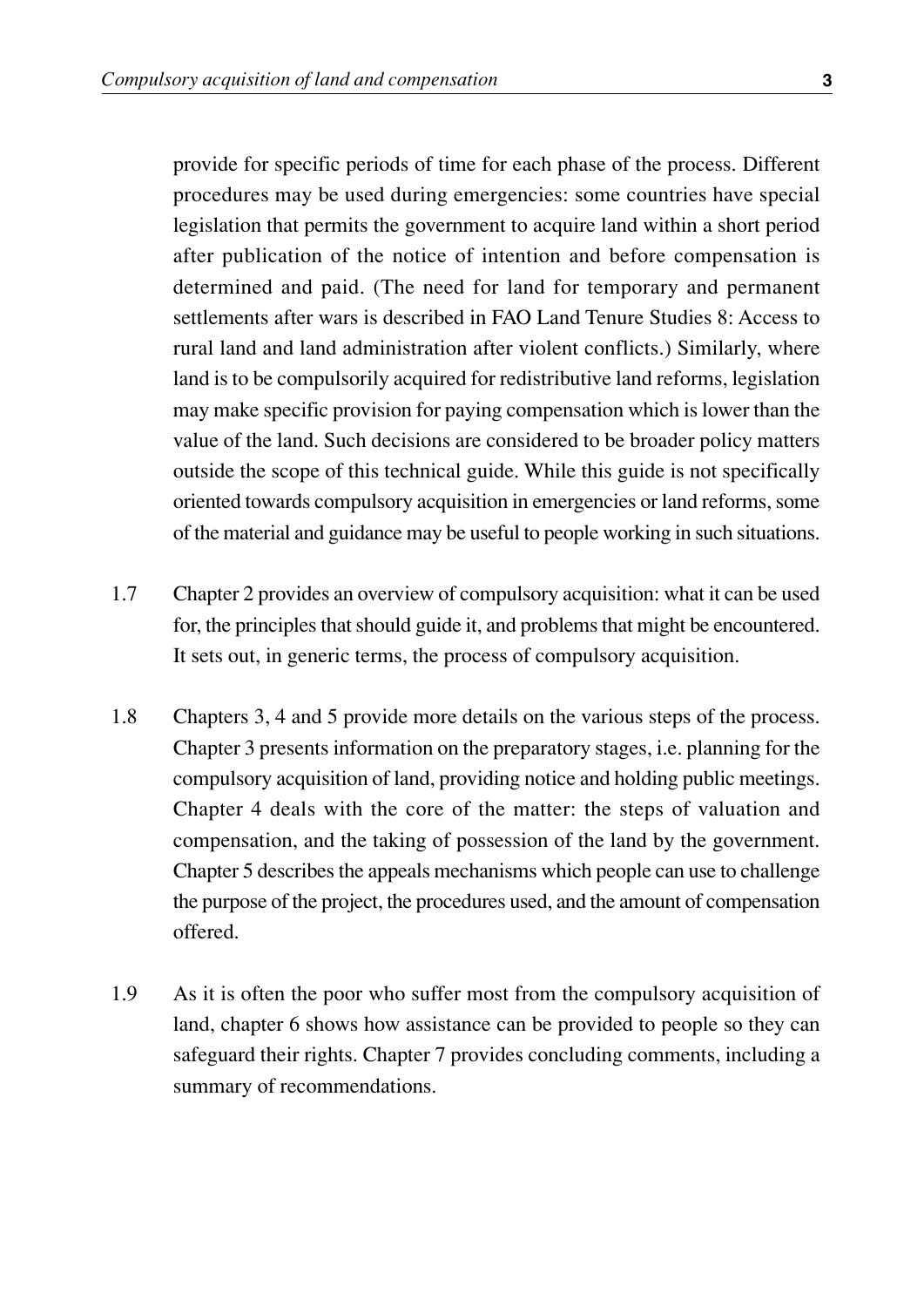provide for specific periods of time for each phase of the process. Different procedures may be used during emergencies: some countries have special legislation that permits the government to acquire land within a short period after publication of the notice of intention and before compensation is determined and paid. (The need for land for temporary and permanent settlements after wars is described in FAO Land Tenure Studies 8: Access to rural land and land administration after violent conflicts.) Similarly, where land is to be compulsorily acquired for redistributive land reforms, legislation may make specific provision for paying compensation which is lower than the value of the land. Such decisions are considered to be broader policy matters outside the scope of this technical guide. While this guide is not specifically oriented towards compulsory acquisition in emergencies or land reforms, some of the material and guidance may be useful to people working in such situations.

- Chapter 2 provides an overview of compulsory acquisition: what it can be used for, the principles that should guide it, and problems that might be encountered. It sets out, in generic terms, the process of compulsory acquisition. 1.7
- Chapters 3, 4 and 5 provide more details on the various steps of the process. Chapter 3 presents information on the preparatory stages, i.e. planning for the compulsory acquisition of land, providing notice and holding public meetings. Chapter 4 deals with the core of the matter: the steps of valuation and compensation, and the taking of possession of the land by the government. Chapter 5 describes the appeals mechanisms which people can use to challenge the purpose of the project, the procedures used, and the amount of compensation offered. 1.8
- As it is often the poor who suffer most from the compulsory acquisition of land, chapter 6 shows how assistance can be provided to people so they can safeguard their rights. Chapter 7 provides concluding comments, including a summary of recommendations. 1.9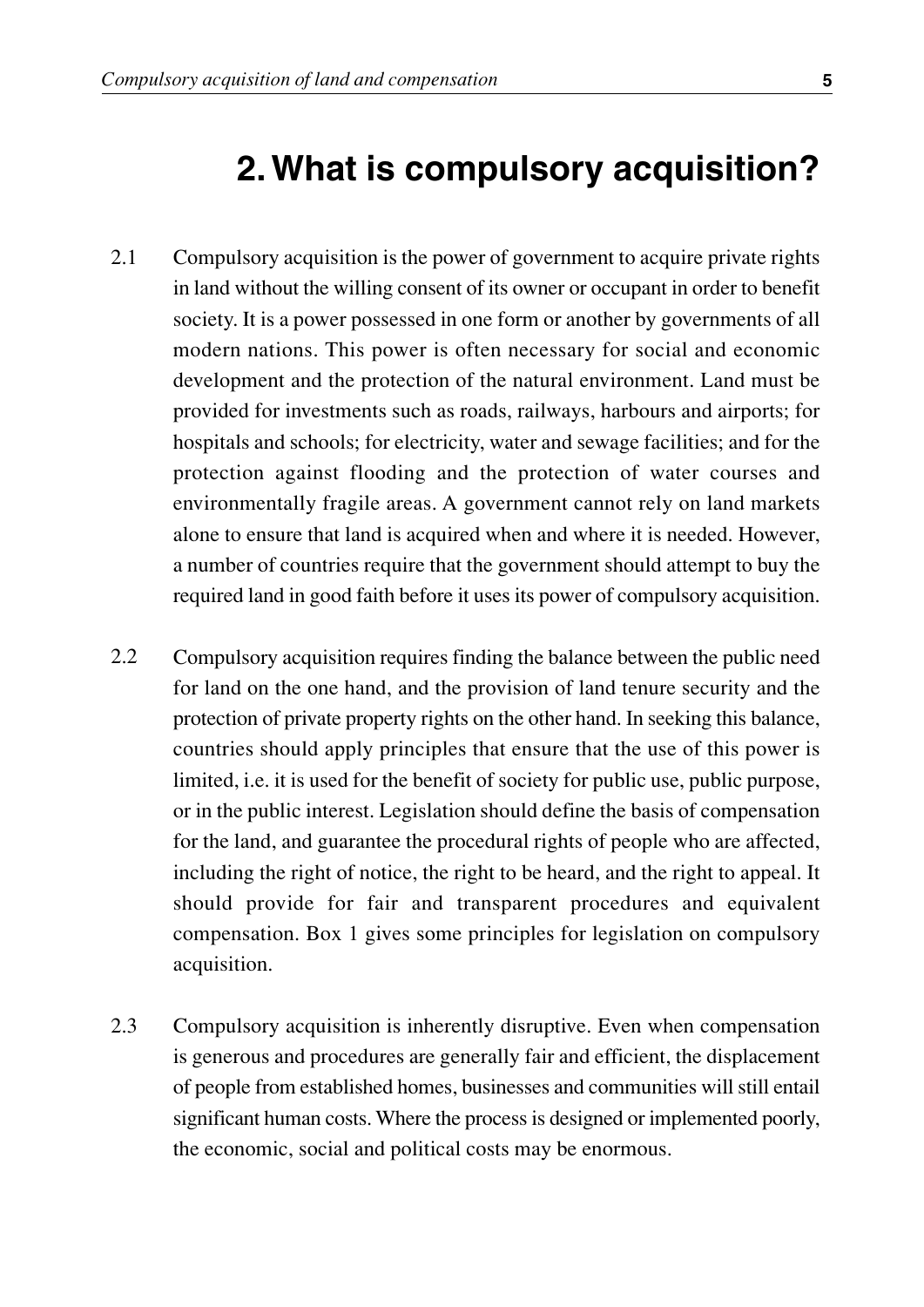### **2. What is compulsory acquisition?**

- Compulsory acquisition is the power of government to acquire private rights in land without the willing consent of its owner or occupant in order to benefit society. It is a power possessed in one form or another by governments of all modern nations. This power is often necessary for social and economic development and the protection of the natural environment. Land must be provided for investments such as roads, railways, harbours and airports; for hospitals and schools; for electricity, water and sewage facilities; and for the protection against flooding and the protection of water courses and environmentally fragile areas. A government cannot rely on land markets alone to ensure that land is acquired when and where it is needed. However, a number of countries require that the government should attempt to buy the required land in good faith before it uses its power of compulsory acquisition. 2.1
- Compulsory acquisition requires finding the balance between the public need for land on the one hand, and the provision of land tenure security and the protection of private property rights on the other hand. In seeking this balance, countries should apply principles that ensure that the use of this power is limited, i.e. it is used for the benefit of society for public use, public purpose, or in the public interest. Legislation should define the basis of compensation for the land, and guarantee the procedural rights of people who are affected, including the right of notice, the right to be heard, and the right to appeal. It should provide for fair and transparent procedures and equivalent compensation. Box 1 gives some principles for legislation on compulsory acquisition. 2.2
- Compulsory acquisition is inherently disruptive. Even when compensation is generous and procedures are generally fair and efficient, the displacement of people from established homes, businesses and communities will still entail significant human costs. Where the process is designed or implemented poorly, the economic, social and political costs may be enormous. 2.3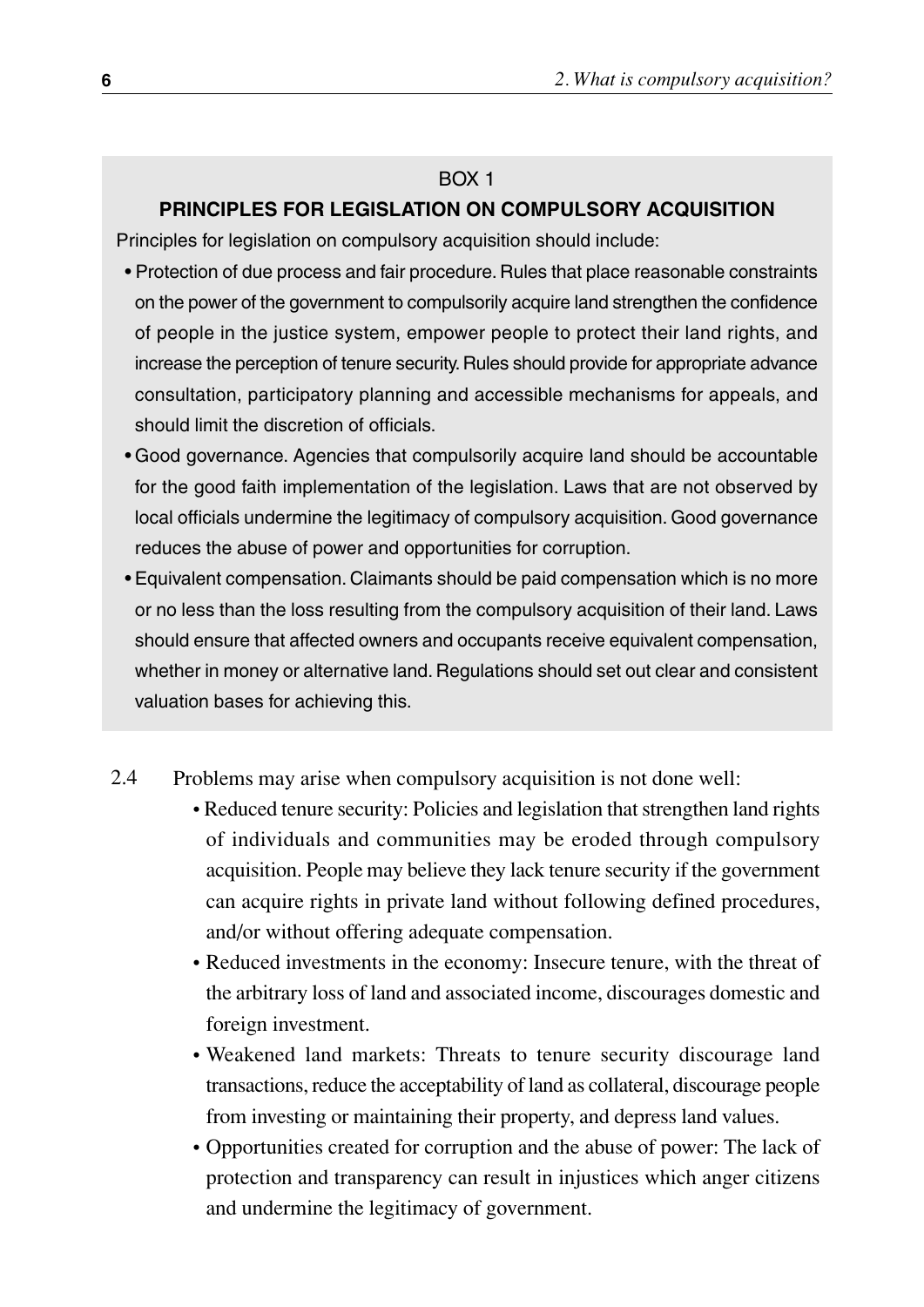#### BOX 1

#### **PRINCIPLES FOR LEGISLATION ON COMPULSORY ACQUISITION**

Principles for legislation on compulsory acquisition should include:

- Protection of due process and fair procedure. Rules that place reasonable constraints on the power of the government to compulsorily acquire land strengthen the confidence of people in the justice system, empower people to protect their land rights, and increase the perception of tenure security. Rules should provide for appropriate advance consultation, participatory planning and accessible mechanisms for appeals, and should limit the discretion of officials.
- Good governance. Agencies that compulsorily acquire land should be accountable for the good faith implementation of the legislation. Laws that are not observed by local officials undermine the legitimacy of compulsory acquisition. Good governance reduces the abuse of power and opportunities for corruption.
- Equivalent compensation. Claimants should be paid compensation which is no more or no less than the loss resulting from the compulsory acquisition of their land. Laws should ensure that affected owners and occupants receive equivalent compensation, whether in money or alternative land. Regulations should set out clear and consistent valuation bases for achieving this.

#### Problems may arise when compulsory acquisition is not done well: 2.4

- Reduced tenure security: Policies and legislation that strengthen land rights of individuals and communities may be eroded through compulsory acquisition. People may believe they lack tenure security if the government can acquire rights in private land without following defined procedures, and/or without offering adequate compensation.
- Reduced investments in the economy: Insecure tenure, with the threat of the arbitrary loss of land and associated income, discourages domestic and foreign investment.
- Weakened land markets: Threats to tenure security discourage land transactions, reduce the acceptability of land as collateral, discourage people from investing or maintaining their property, and depress land values.
- Opportunities created for corruption and the abuse of power: The lack of protection and transparency can result in injustices which anger citizens and undermine the legitimacy of government.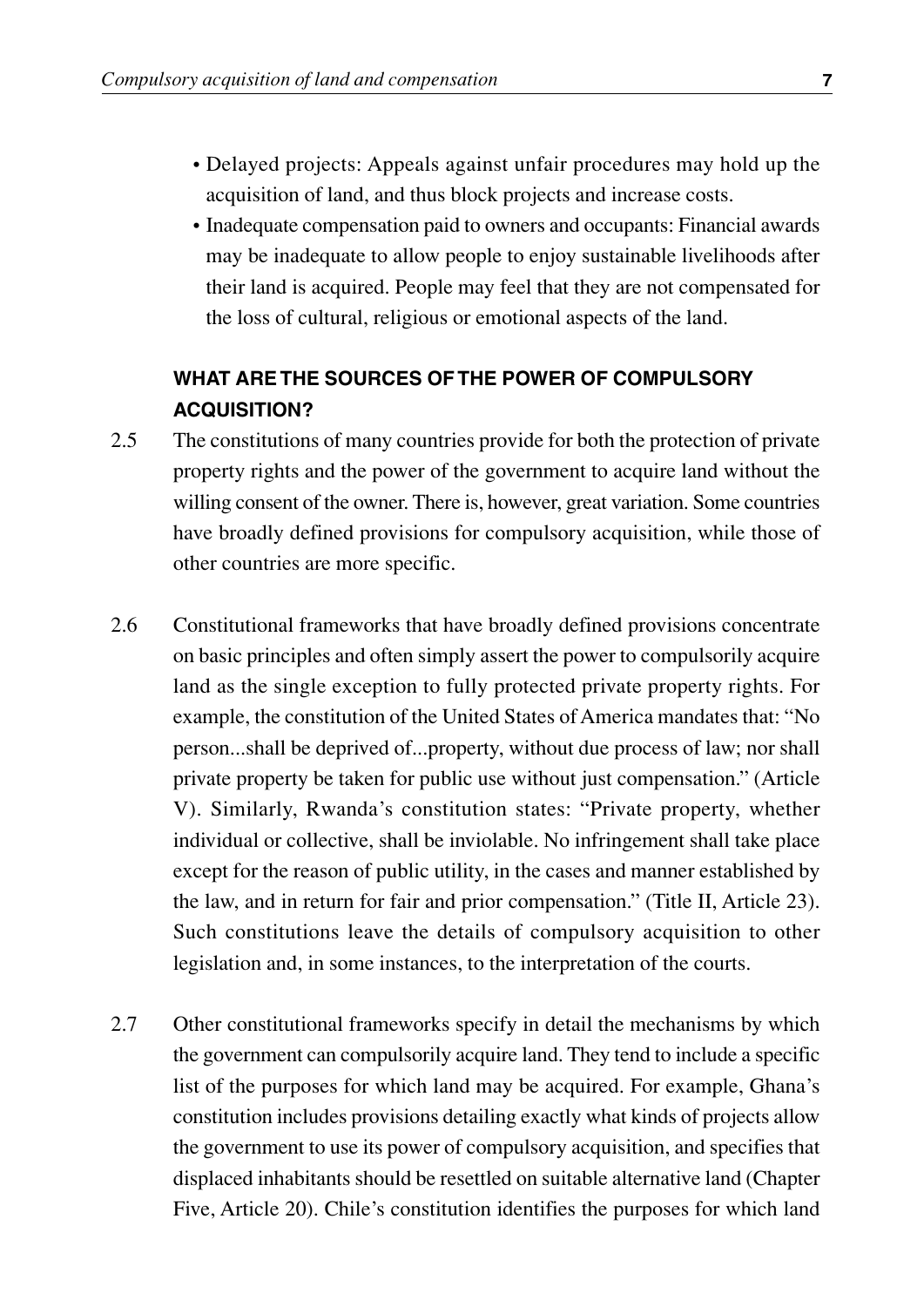- Delayed projects: Appeals against unfair procedures may hold up the acquisition of land, and thus block projects and increase costs.
- Inadequate compensation paid to owners and occupants: Financial awards may be inadequate to allow people to enjoy sustainable livelihoods after their land is acquired. People may feel that they are not compensated for the loss of cultural, religious or emotional aspects of the land.

#### **WHAT ARE THE SOURCES OF THE POWER OF COMPULSORY ACQUISITION?**

- The constitutions of many countries provide for both the protection of private property rights and the power of the government to acquire land without the willing consent of the owner. There is, however, great variation. Some countries have broadly defined provisions for compulsory acquisition, while those of other countries are more specific. 2.5
- Constitutional frameworks that have broadly defined provisions concentrate on basic principles and often simply assert the power to compulsorily acquire land as the single exception to fully protected private property rights. For example, the constitution of the United States of America mandates that: "No person...shall be deprived of...property, without due process of law; nor shall private property be taken for public use without just compensation." (Article V). Similarly, Rwanda's constitution states: "Private property, whether individual or collective, shall be inviolable. No infringement shall take place except for the reason of public utility, in the cases and manner established by the law, and in return for fair and prior compensation." (Title II, Article 23). Such constitutions leave the details of compulsory acquisition to other legislation and, in some instances, to the interpretation of the courts. 2.6
- Other constitutional frameworks specify in detail the mechanisms by which the government can compulsorily acquire land. They tend to include a specific list of the purposes for which land may be acquired. For example, Ghana's constitution includes provisions detailing exactly what kinds of projects allow the government to use its power of compulsory acquisition, and specifies that displaced inhabitants should be resettled on suitable alternative land (Chapter Five, Article 20). Chile's constitution identifies the purposes for which land 2.7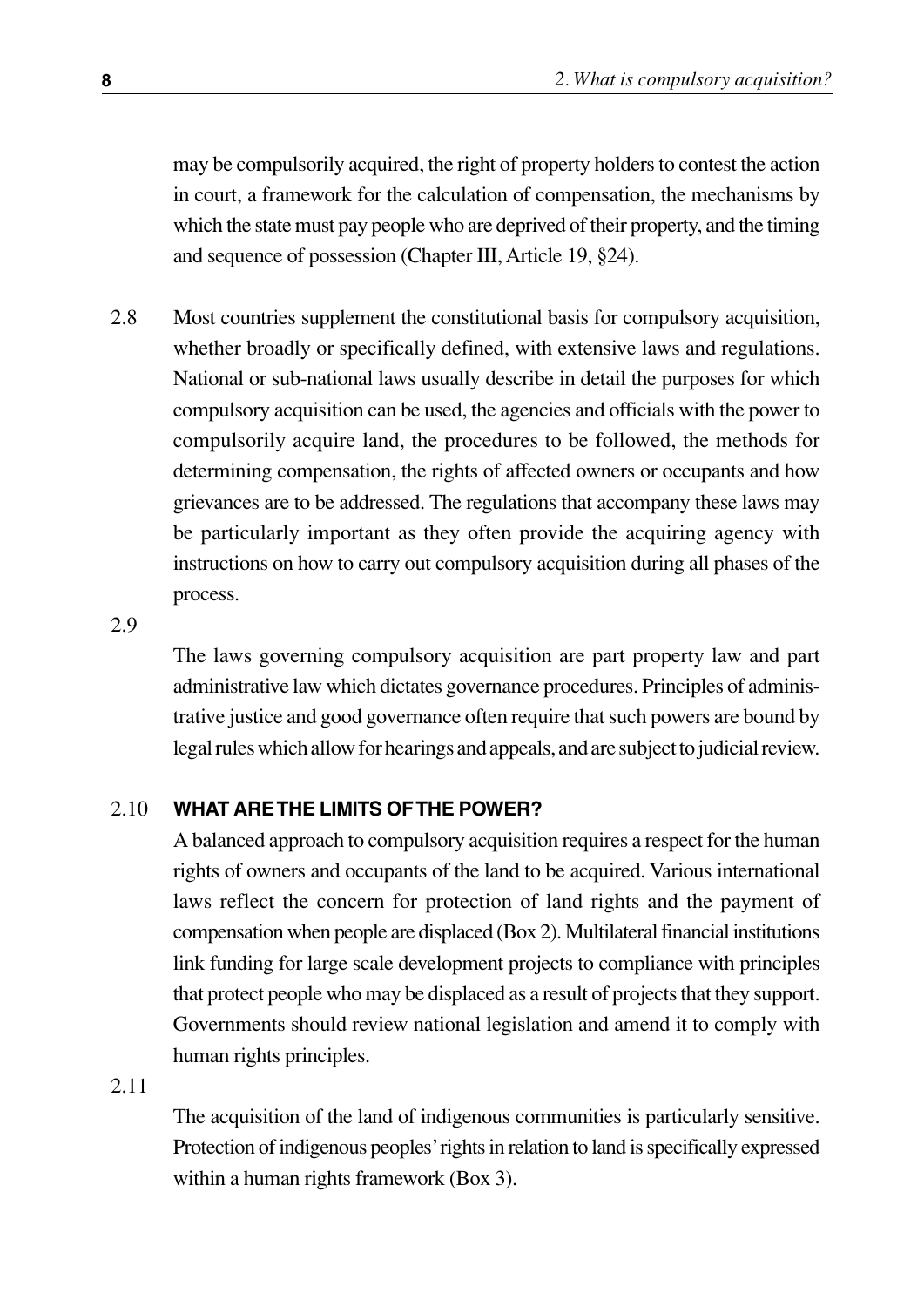may be compulsorily acquired, the right of property holders to contest the action in court, a framework for the calculation of compensation, the mechanisms by which the state must pay people who are deprived of their property, and the timing and sequence of possession (Chapter III, Article 19, §24).

Most countries supplement the constitutional basis for compulsory acquisition, whether broadly or specifically defined, with extensive laws and regulations. National or sub-national laws usually describe in detail the purposes for which compulsory acquisition can be used, the agencies and officials with the power to compulsorily acquire land, the procedures to be followed, the methods for determining compensation, the rights of affected owners or occupants and how grievances are to be addressed. The regulations that accompany these laws may be particularly important as they often provide the acquiring agency with instructions on how to carry out compulsory acquisition during all phases of the process. 2.8

2.9

The laws governing compulsory acquisition are part property law and part administrative law which dictates governance procedures. Principles of administrative justice and good governance often require that such powers are bound by legal rules which allow for hearings and appeals, and are subject to judicial review.

#### **WHAT ARE THE LIMITS OF THE POWER?** 2.10

A balanced approach to compulsory acquisition requires a respect for the human rights of owners and occupants of the land to be acquired. Various international laws reflect the concern for protection of land rights and the payment of compensation when people are displaced (Box 2). Multilateral financial institutions link funding for large scale development projects to compliance with principles that protect people who may be displaced as a result of projects that they support. Governments should review national legislation and amend it to comply with human rights principles.

2.11

The acquisition of the land of indigenous communities is particularly sensitive. Protection of indigenous peoples'rights in relation to land is specifically expressed within a human rights framework (Box 3).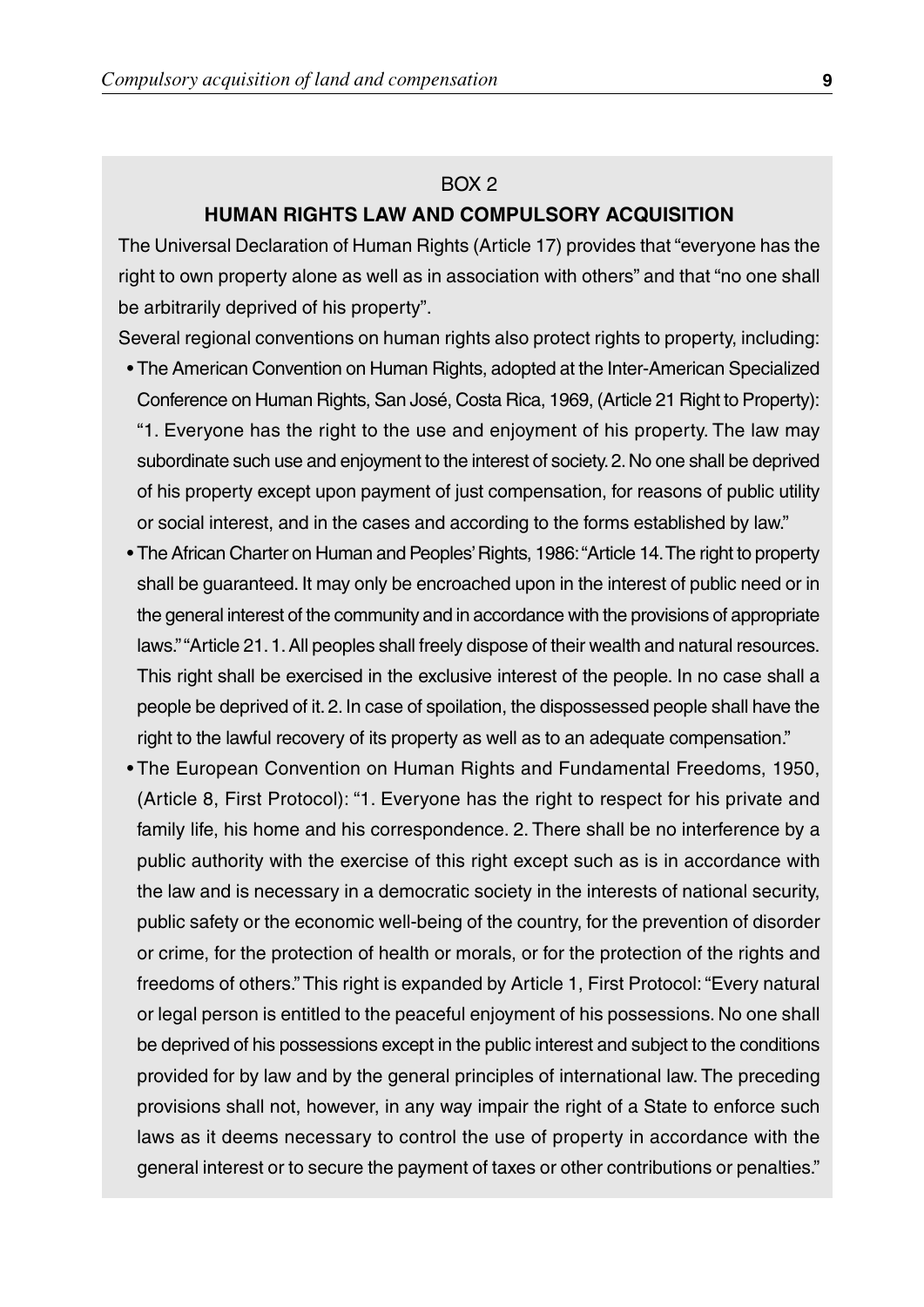#### BOX 2

#### **HUMAN RIGHTS LAW AND COMPULSORY ACQUISITION**

The Universal Declaration of Human Rights (Article 17) provides that "everyone has the right to own property alone as well as in association with others" and that "no one shall be arbitrarily deprived of his property".

Several regional conventions on human rights also protect rights to property, including:

- The American Convention on Human Rights, adopted at the Inter-American Specialized Conference on Human Rights, San José, Costa Rica, 1969, (Article 21 Right to Property): "1. Everyone has the right to the use and enjoyment of his property. The law may subordinate such use and enjoyment to the interest of society.2.No one shall be deprived of his property except upon payment of just compensation, for reasons of public utility or social interest, and in the cases and according to the forms established by law."
- The African Charter on Human and Peoples' Rights, 1986: "Article 14. The right to property shall be guaranteed. It may only be encroached upon in the interest of public need or in the general interest of the community and in accordance with the provisions of appropriate laws.""Article 21.1.All peoples shall freely dispose of their wealth and natural resources. This right shall be exercised in the exclusive interest of the people. In no case shall a people be deprived of it. 2. In case of spoilation, the dispossessed people shall have the right to the lawful recovery of its property as well as to an adequate compensation."
- The European Convention on Human Rights and Fundamental Freedoms, 1950, (Article 8, First Protocol): "1. Everyone has the right to respect for his private and family life, his home and his correspondence. 2. There shall be no interference by a public authority with the exercise of this right except such as is in accordance with the law and is necessary in a democratic society in the interests of national security, public safety or the economic well-being of the country, for the prevention of disorder or crime, for the protection of health or morals, or for the protection of the rights and freedoms of others." This right is expanded by Article 1, First Protocol: "Every natural or legal person is entitled to the peaceful enjoyment of his possessions. No one shall be deprived of his possessions except in the public interest and subject to the conditions provided for by law and by the general principles of international law. The preceding provisions shall not, however, in any way impair the right of a State to enforce such laws as it deems necessary to control the use of property in accordance with the general interest or to secure the payment of taxes or other contributions or penalties."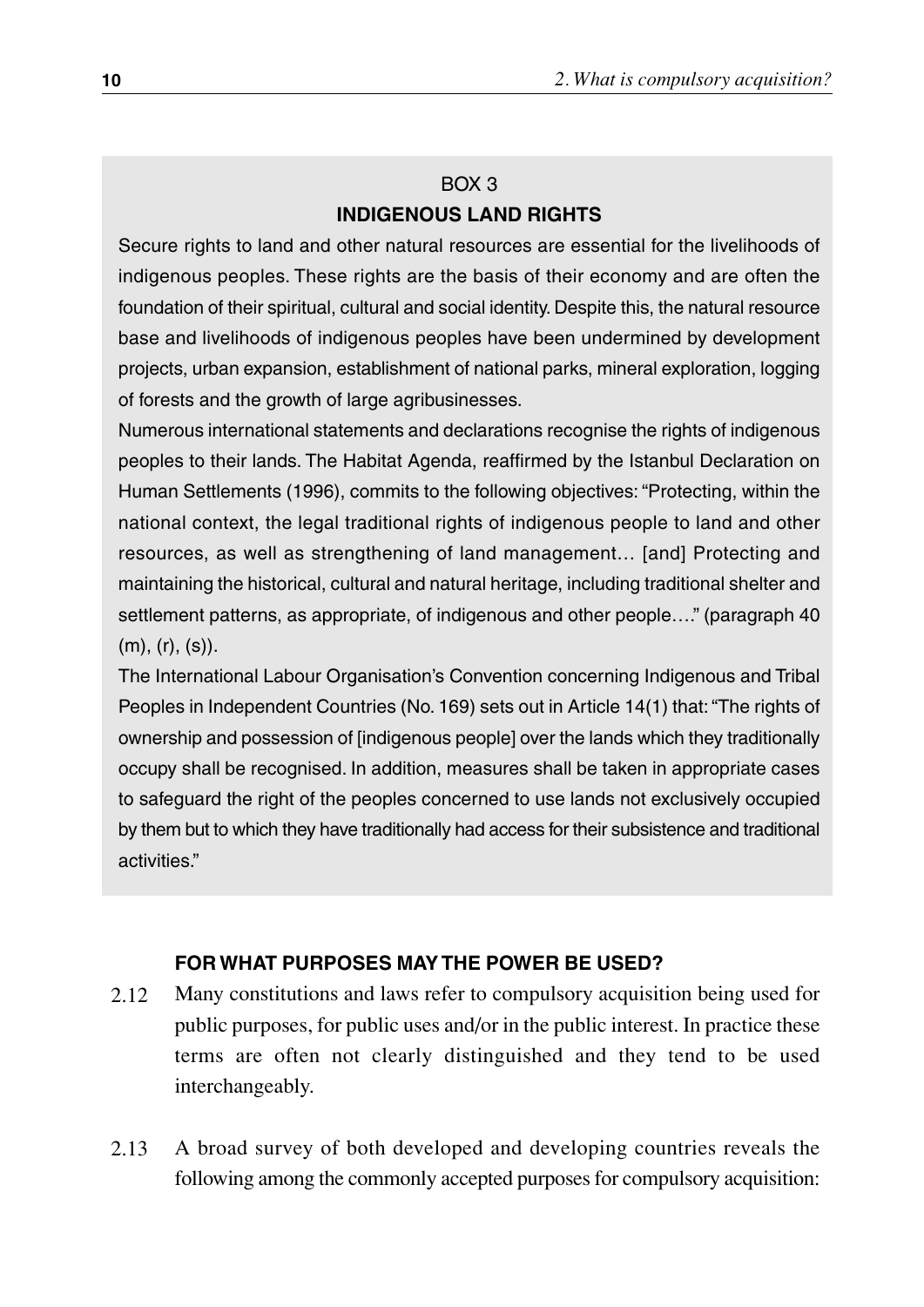#### BOX 3 **INDIGENOUS LAND RIGHTS**

Secure rights to land and other natural resources are essential for the livelihoods of indigenous peoples. These rights are the basis of their economy and are often the foundation of their spiritual, cultural and social identity. Despite this, the natural resource base and livelihoods of indigenous peoples have been undermined by development projects, urban expansion, establishment of national parks, mineral exploration, logging of forests and the growth of large agribusinesses.

Numerous international statements and declarations recognise the rights of indigenous peoples to their lands. The Habitat Agenda, reaffirmed by the Istanbul Declaration on Human Settlements (1996), commits to the following objectives: "Protecting, within the national context, the legal traditional rights of indigenous people to land and other resources, as well as strengthening of land management… [and] Protecting and maintaining the historical, cultural and natural heritage, including traditional shelter and settlement patterns, as appropriate, of indigenous and other people…." (paragraph 40 (m), (r), (s)).

The International Labour Organisation's Convention concerning Indigenous and Tribal Peoples in Independent Countries (No. 169) sets out in Article 14(1) that: "The rights of ownership and possession of [indigenous people] over the lands which they traditionally occupy shall be recognised. In addition, measures shall be taken in appropriate cases to safeguard the right of the peoples concerned to use lands not exclusively occupied by them but to which they have traditionally had access for their subsistence and traditional activities."

#### **FOR WHAT PURPOSES MAY THE POWER BE USED?**

- Many constitutions and laws refer to compulsory acquisition being used for public purposes, for public uses and/or in the public interest. In practice these terms are often not clearly distinguished and they tend to be used interchangeably. 2.12
- A broad survey of both developed and developing countries reveals the following among the commonly accepted purposes for compulsory acquisition: 2.13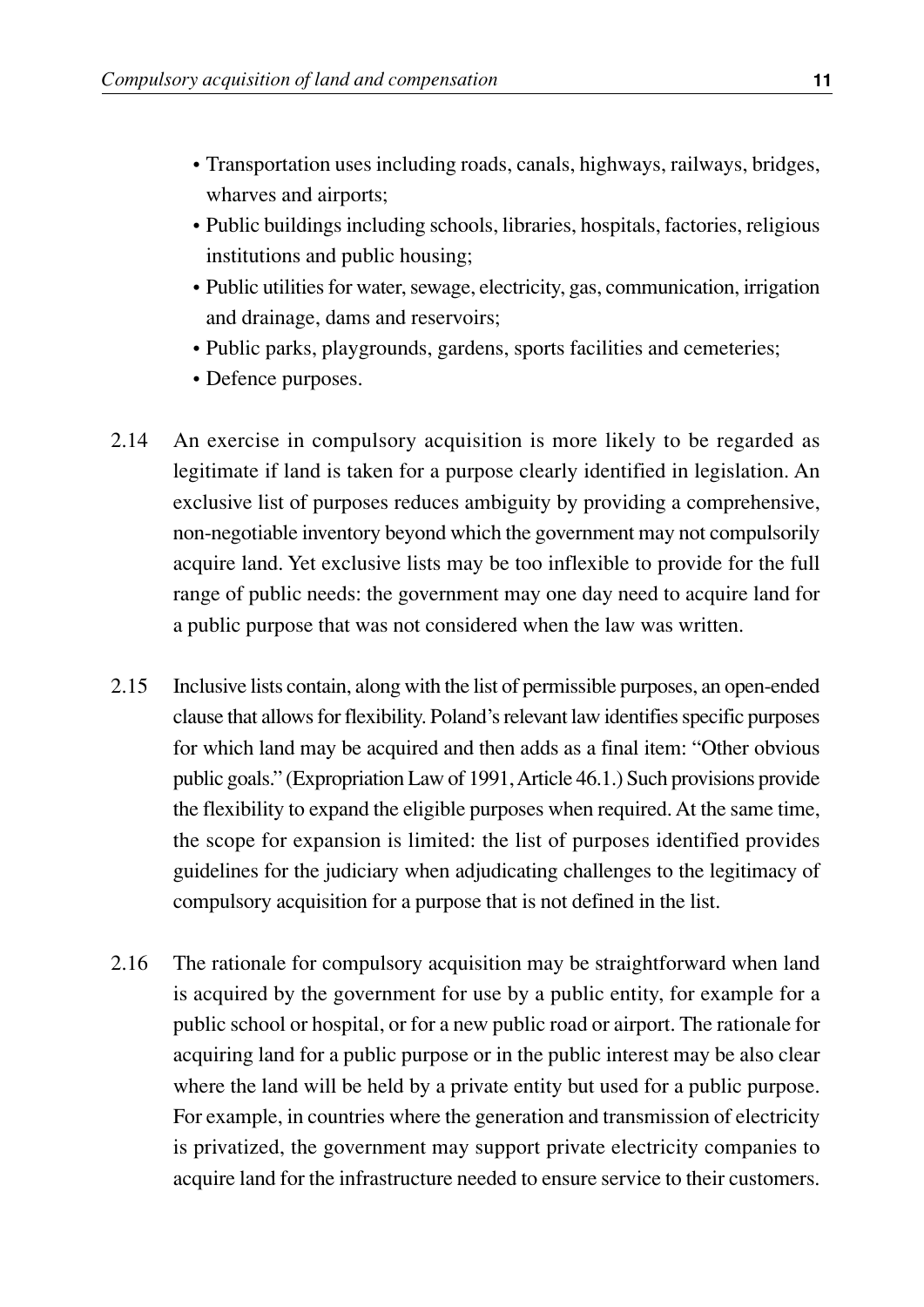- Transportation uses including roads, canals, highways, railways, bridges, wharves and airports;
- Public buildings including schools, libraries, hospitals, factories, religious institutions and public housing;
- Public utilities for water, sewage, electricity, gas, communication, irrigation and drainage, dams and reservoirs;
- Public parks, playgrounds, gardens, sports facilities and cemeteries;
- Defence purposes.
- An exercise in compulsory acquisition is more likely to be regarded as legitimate if land is taken for a purpose clearly identified in legislation. An exclusive list of purposes reduces ambiguity by providing a comprehensive, non-negotiable inventory beyond which the government may not compulsorily acquire land. Yet exclusive lists may be too inflexible to provide for the full range of public needs: the government may one day need to acquire land for a public purpose that was not considered when the law was written. 2.14
- Inclusive lists contain, along with the list of permissible purposes, an open-ended clause that allows for flexibility. Poland's relevant law identifies specific purposes for which land may be acquired and then adds as a final item: "Other obvious public goals." (Expropriation Law of 1991,Article 46.1.) Such provisions provide the flexibility to expand the eligible purposes when required. At the same time, the scope for expansion is limited: the list of purposes identified provides guidelines for the judiciary when adjudicating challenges to the legitimacy of compulsory acquisition for a purpose that is not defined in the list. 2.15
- The rationale for compulsory acquisition may be straightforward when land is acquired by the government for use by a public entity, for example for a public school or hospital, or for a new public road or airport. The rationale for acquiring land for a public purpose or in the public interest may be also clear where the land will be held by a private entity but used for a public purpose. For example, in countries where the generation and transmission of electricity is privatized, the government may support private electricity companies to acquire land for the infrastructure needed to ensure service to their customers. 2.16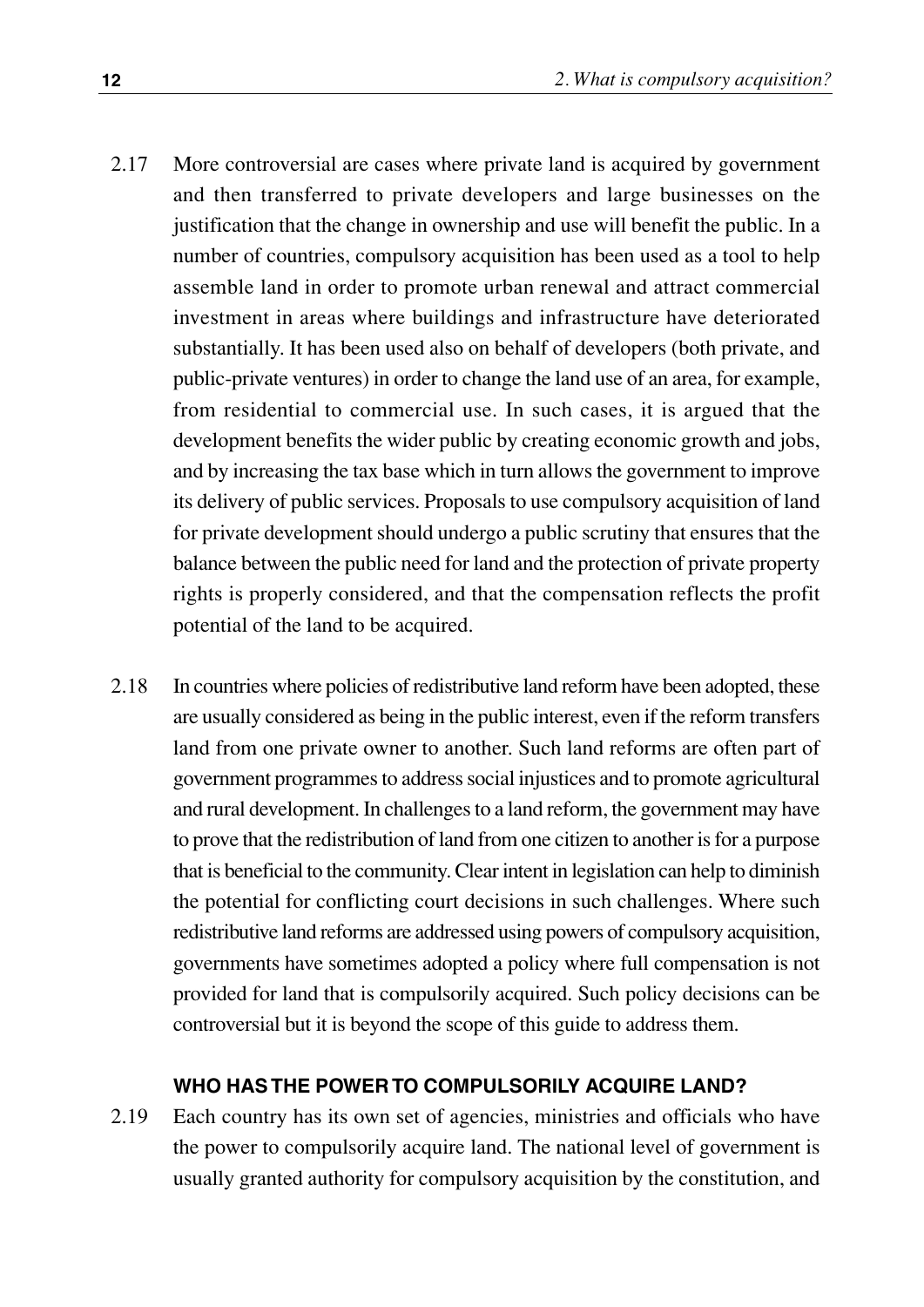- More controversial are cases where private land is acquired by government and then transferred to private developers and large businesses on the justification that the change in ownership and use will benefit the public. In a number of countries, compulsory acquisition has been used as a tool to help assemble land in order to promote urban renewal and attract commercial investment in areas where buildings and infrastructure have deteriorated substantially. It has been used also on behalf of developers (both private, and public-private ventures) in order to change the land use of an area, for example, from residential to commercial use. In such cases, it is argued that the development benefits the wider public by creating economic growth and jobs, and by increasing the tax base which in turn allows the government to improve its delivery of public services. Proposals to use compulsory acquisition of land for private development should undergo a public scrutiny that ensures that the balance between the public need for land and the protection of private property rights is properly considered, and that the compensation reflects the profit potential of the land to be acquired. 2.17
- In countries where policies of redistributive land reform have been adopted, these are usually considered as being in the public interest, even if the reform transfers land from one private owner to another. Such land reforms are often part of government programmes to address social injustices and to promote agricultural and rural development. In challenges to a land reform, the government may have to prove that the redistribution of land from one citizen to another is for a purpose that is beneficial to the community. Clear intent in legislation can help to diminish the potential for conflicting court decisions in such challenges. Where such redistributive land reforms are addressed using powers of compulsory acquisition, governments have sometimes adopted a policy where full compensation is not provided for land that is compulsorily acquired. Such policy decisions can be controversial but it is beyond the scope of this guide to address them. 2.18

#### **WHO HAS THE POWER TO COMPULSORILY ACQUIRE LAND?**

Each country has its own set of agencies, ministries and officials who have the power to compulsorily acquire land. The national level of government is usually granted authority for compulsory acquisition by the constitution, and 2.19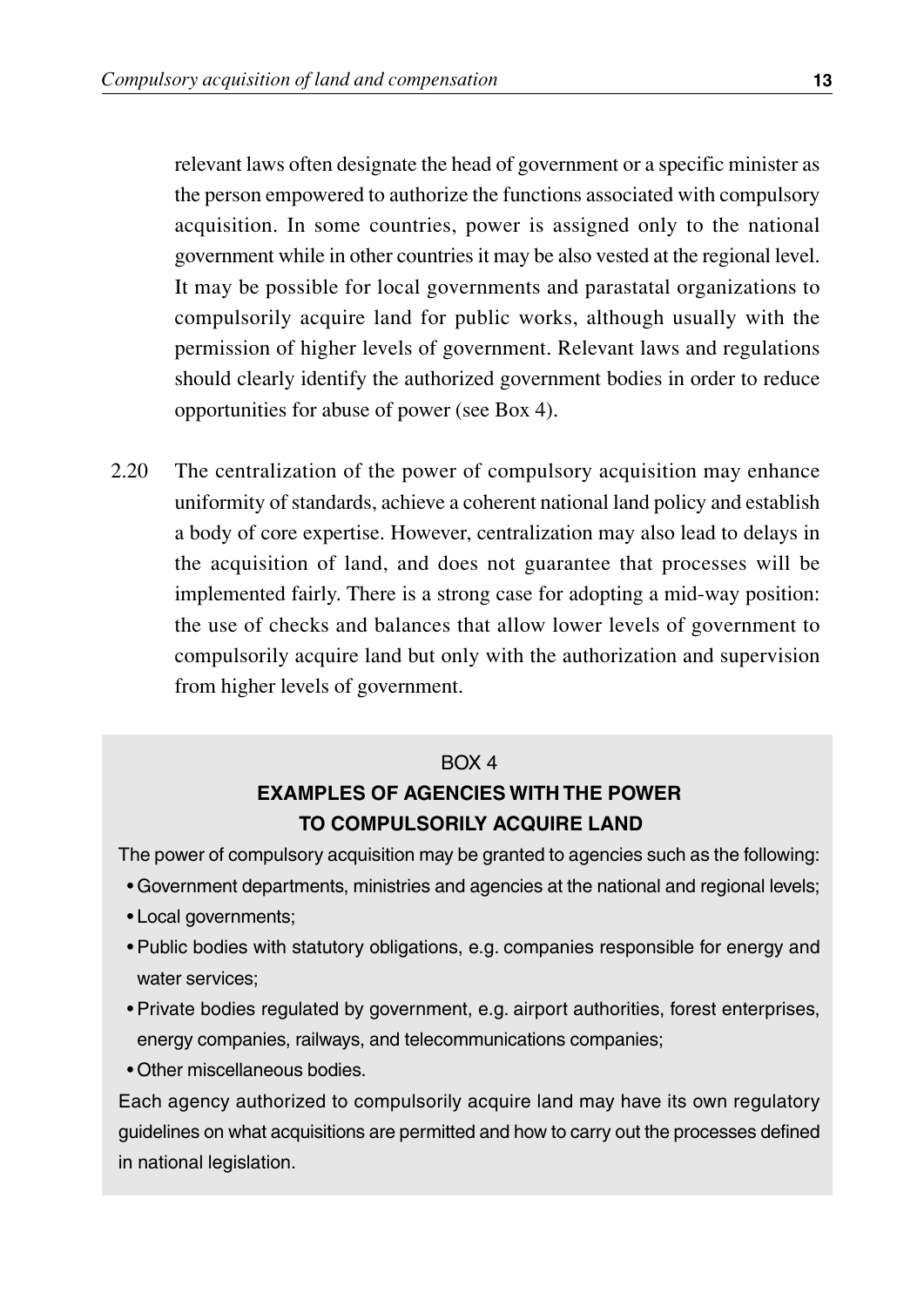relevant laws often designate the head of government or a specific minister as the person empowered to authorize the functions associated with compulsory acquisition. In some countries, power is assigned only to the national government while in other countries it may be also vested at the regional level. It may be possible for local governments and parastatal organizations to compulsorily acquire land for public works, although usually with the permission of higher levels of government. Relevant laws and regulations should clearly identify the authorized government bodies in order to reduce opportunities for abuse of power (see Box 4).

2.20 The centralization of the power of compulsory acquisition may enhance uniformity of standards, achieve a coherent national land policy and establish a body of core expertise. However, centralization may also lead to delays in the acquisition of land, and does not guarantee that processes will be implemented fairly. There is a strong case for adopting a mid-way position: the use of checks and balances that allow lower levels of government to compulsorily acquire land but only with the authorization and supervision from higher levels of government.

#### $ROX 4$

#### **EXAMPLES OF AGENCIES WITH THE POWER TO COMPULSORILY ACQUIRE LAND**

The power of compulsory acquisition may be granted to agencies such as the following:

- Government departments, ministries and agencies at the national and regional levels;
- Local governments;
- Public bodies with statutory obligations, e.g. companies responsible for energy and water services;
- Private bodies regulated by government, e.g. airport authorities, forest enterprises, energy companies, railways, and telecommunications companies;
- Other miscellaneous bodies.

Each agency authorized to compulsorily acquire land may have its own regulatory guidelines on what acquisitions are permitted and how to carry out the processes defined in national legislation.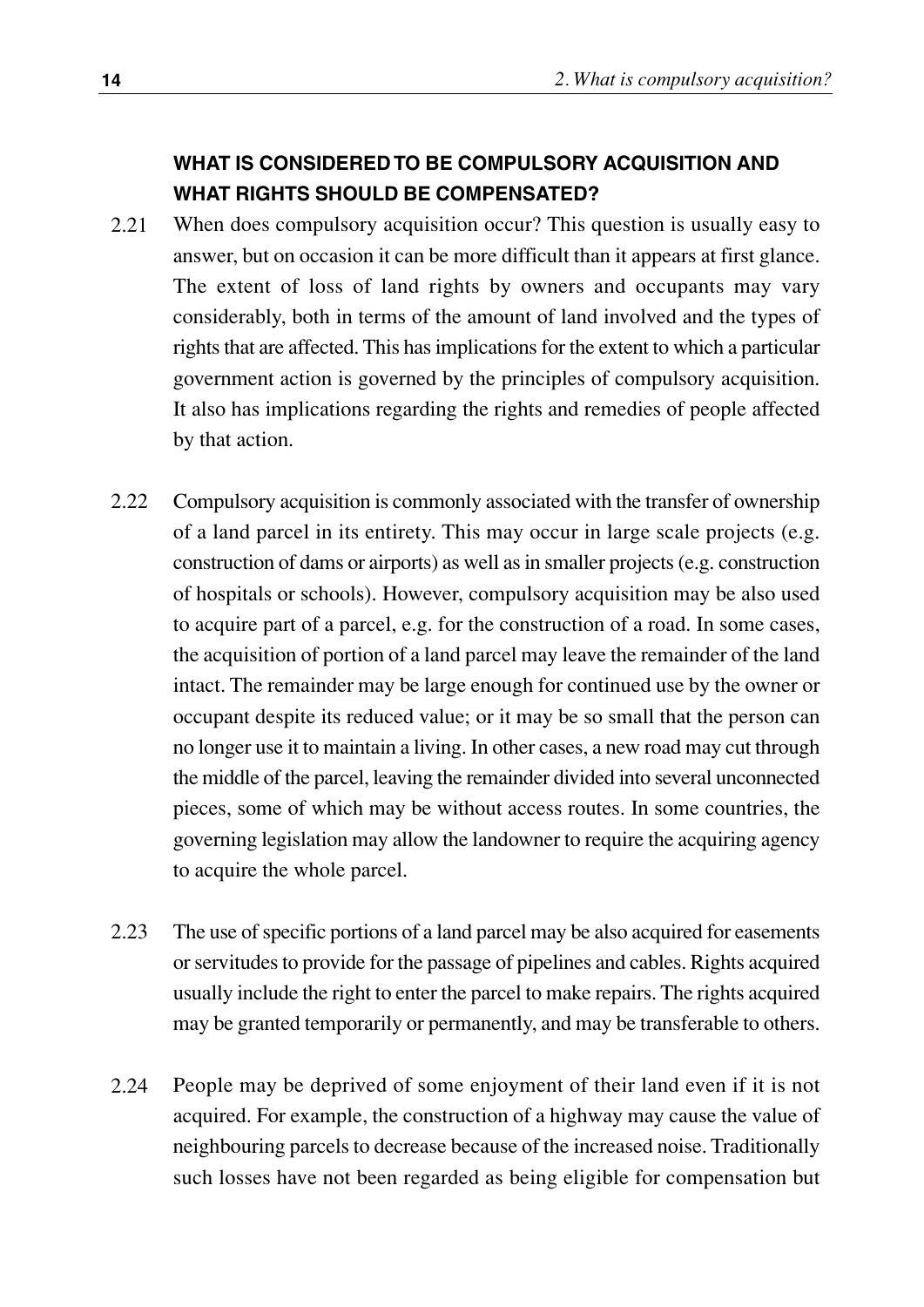#### **WHAT IS CONSIDERED TO BE COMPULSORY ACQUISITION AND WHAT RIGHTS SHOULD BE COMPENSATED?**

- When does compulsory acquisition occur? This question is usually easy to answer, but on occasion it can be more difficult than it appears at first glance. The extent of loss of land rights by owners and occupants may vary considerably, both in terms of the amount of land involved and the types of rights that are affected. This has implications for the extent to which a particular government action is governed by the principles of compulsory acquisition. It also has implications regarding the rights and remedies of people affected by that action. 2.21
- Compulsory acquisition is commonly associated with the transfer of ownership of a land parcel in its entirety. This may occur in large scale projects (e.g. construction of dams or airports) as well as in smaller projects (e.g. construction of hospitals or schools). However, compulsory acquisition may be also used to acquire part of a parcel, e.g. for the construction of a road. In some cases, the acquisition of portion of a land parcel may leave the remainder of the land intact. The remainder may be large enough for continued use by the owner or occupant despite its reduced value; or it may be so small that the person can no longer use it to maintain a living. In other cases, a new road may cut through the middle of the parcel, leaving the remainder divided into several unconnected pieces, some of which may be without access routes. In some countries, the governing legislation may allow the landowner to require the acquiring agency to acquire the whole parcel. 2.22
- The use of specific portions of a land parcel may be also acquired for easements or servitudes to provide for the passage of pipelines and cables. Rights acquired usually include the right to enter the parcel to make repairs. The rights acquired may be granted temporarily or permanently, and may be transferable to others. 2.23
- People may be deprived of some enjoyment of their land even if it is not acquired. For example, the construction of a highway may cause the value of neighbouring parcels to decrease because of the increased noise. Traditionally such losses have not been regarded as being eligible for compensation but 2.24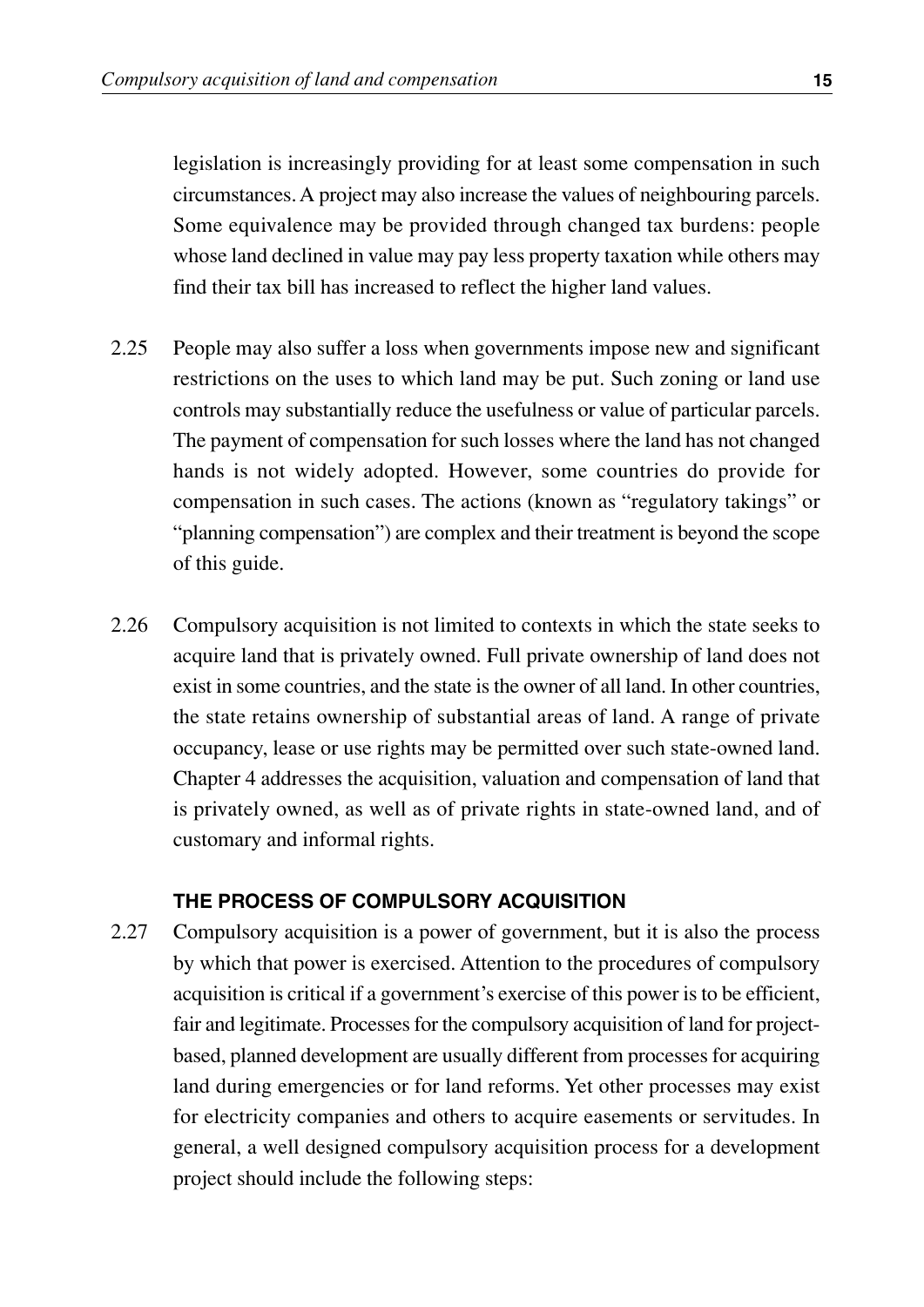legislation is increasingly providing for at least some compensation in such circumstances. A project may also increase the values of neighbouring parcels. Some equivalence may be provided through changed tax burdens: people whose land declined in value may pay less property taxation while others may find their tax bill has increased to reflect the higher land values.

- 2.25 People may also suffer a loss when governments impose new and significant restrictions on the uses to which land may be put. Such zoning or land use controls may substantially reduce the usefulness or value of particular parcels. The payment of compensation for such losses where the land has not changed hands is not widely adopted. However, some countries do provide for compensation in such cases. The actions (known as "regulatory takings" or "planning compensation") are complex and their treatment is beyond the scope of this guide.
- 2.26 Compulsory acquisition is not limited to contexts in which the state seeks to acquire land that is privately owned. Full private ownership of land does not exist in some countries, and the state is the owner of all land. In other countries, the state retains ownership of substantial areas of land. A range of private occupancy, lease or use rights may be permitted over such state-owned land. Chapter 4 addresses the acquisition, valuation and compensation of land that is privately owned, as well as of private rights in state-owned land, and of customary and informal rights.

#### **THE PROCESS OF COMPULSORY ACQUISITION**

2.27 Compulsory acquisition is a power of government, but it is also the process by which that power is exercised. Attention to the procedures of compulsory acquisition is critical if a government's exercise of this power is to be efficient, fair and legitimate. Processes for the compulsory acquisition of land for projectbased, planned development are usually different from processes for acquiring land during emergencies or for land reforms. Yet other processes may exist for electricity companies and others to acquire easements or servitudes. In general, a well designed compulsory acquisition process for a development project should include the following steps: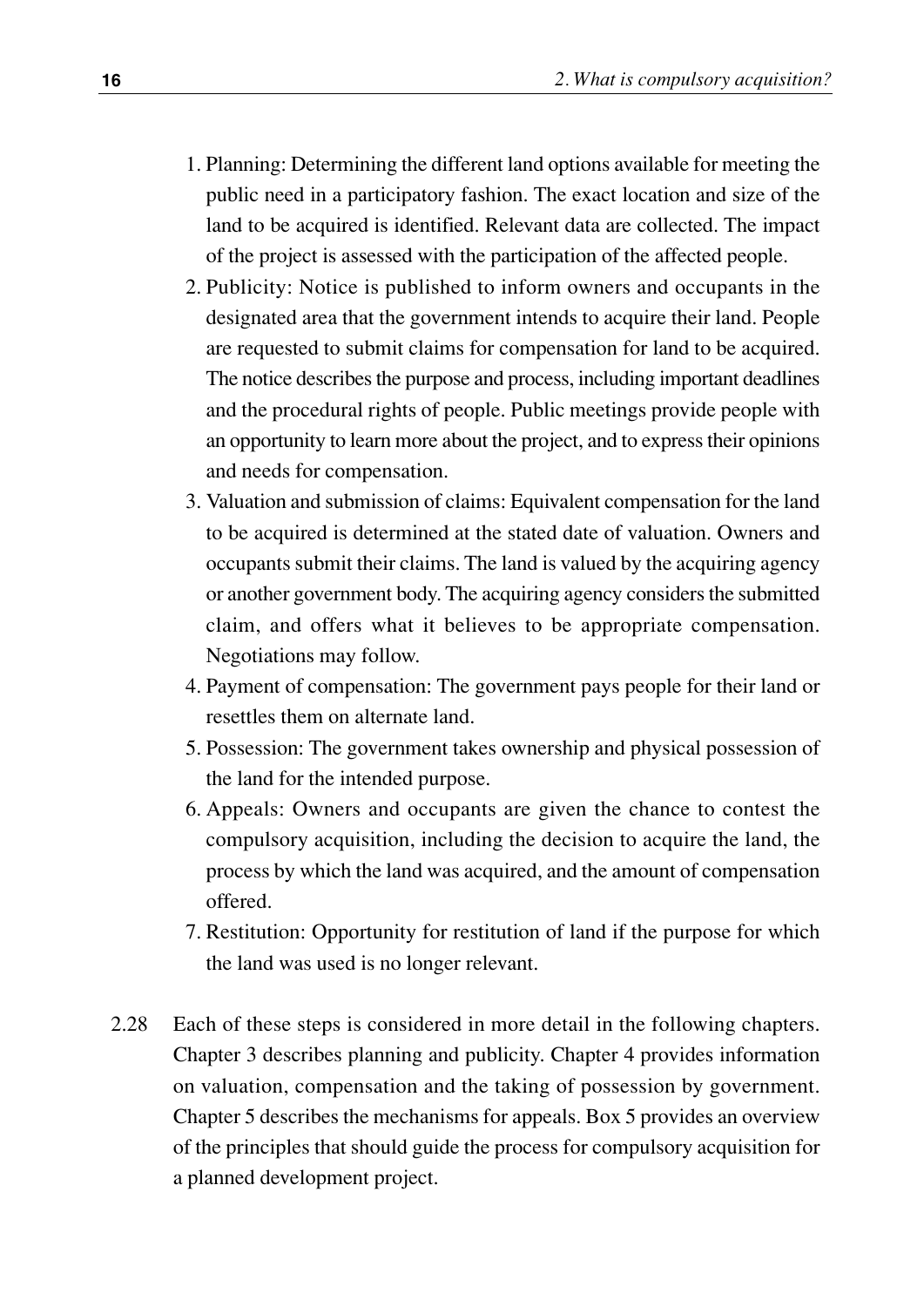- 1. Planning: Determining the different land options available for meeting the public need in a participatory fashion. The exact location and size of the land to be acquired is identified. Relevant data are collected. The impact of the project is assessed with the participation of the affected people.
- 2. Publicity: Notice is published to inform owners and occupants in the designated area that the government intends to acquire their land. People are requested to submit claims for compensation for land to be acquired. The notice describes the purpose and process, including important deadlines and the procedural rights of people. Public meetings provide people with an opportunity to learn more about the project, and to express their opinions and needs for compensation.
- 3. Valuation and submission of claims: Equivalent compensation for the land to be acquired is determined at the stated date of valuation. Owners and occupants submit their claims. The land is valued by the acquiring agency or another government body. The acquiring agency considers the submitted claim, and offers what it believes to be appropriate compensation. Negotiations may follow.
- 4. Payment of compensation: The government pays people for their land or resettles them on alternate land.
- 5. Possession: The government takes ownership and physical possession of the land for the intended purpose.
- 6. Appeals: Owners and occupants are given the chance to contest the compulsory acquisition, including the decision to acquire the land, the process by which the land was acquired, and the amount of compensation offered.
- 7. Restitution: Opportunity for restitution of land if the purpose for which the land was used is no longer relevant.
- 2.28 Each of these steps is considered in more detail in the following chapters. Chapter 3 describes planning and publicity. Chapter 4 provides information on valuation, compensation and the taking of possession by government. Chapter 5 describes the mechanisms for appeals. Box 5 provides an overview of the principles that should guide the process for compulsory acquisition for a planned development project.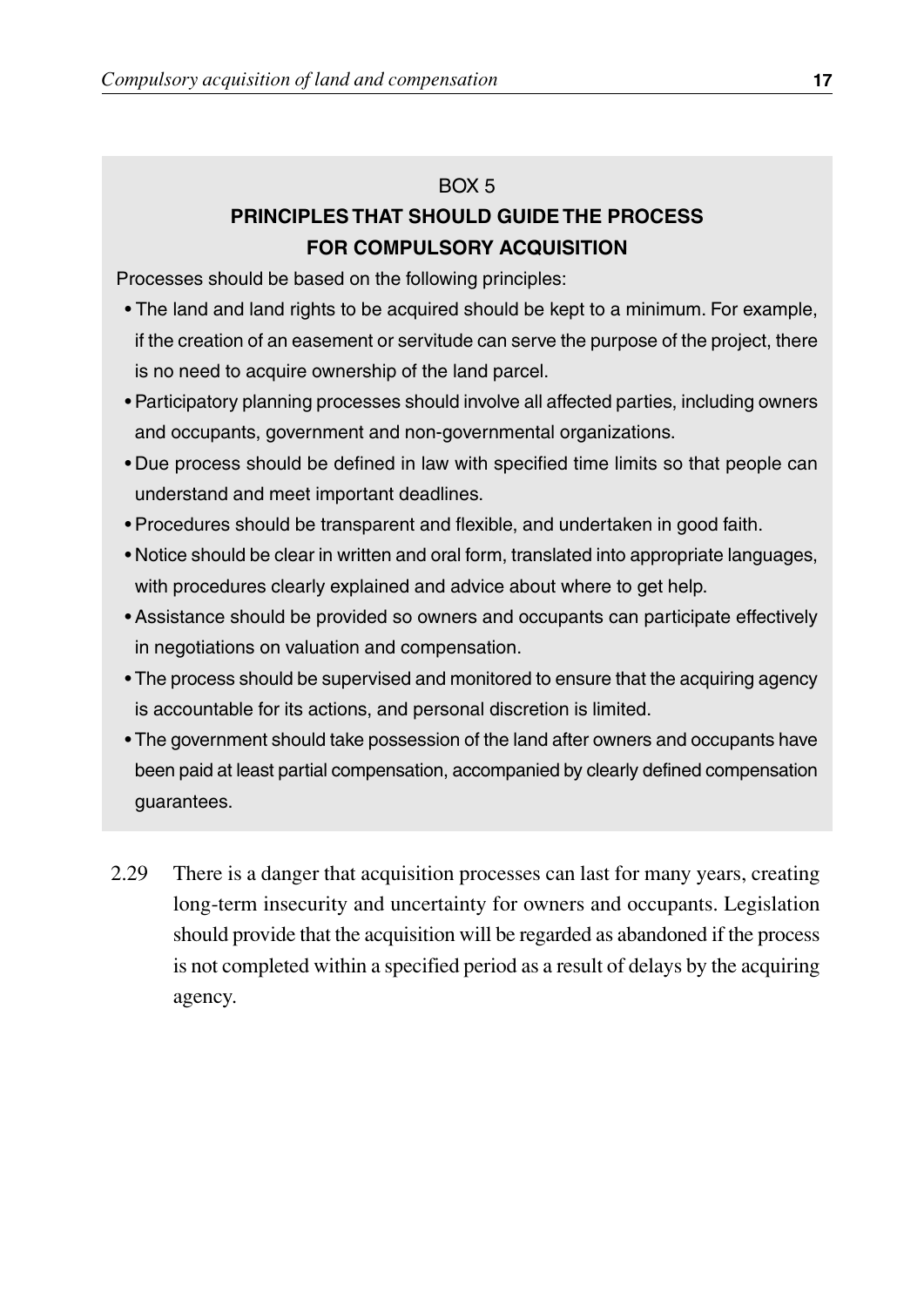#### $ROX<sub>5</sub>$

#### **PRINCIPLES THAT SHOULD GUIDE THE PROCESS FOR COMPULSORY ACQUISITION**

Processes should be based on the following principles:

- The land and land rights to be acquired should be kept to a minimum. For example, if the creation of an easement or servitude can serve the purpose of the project, there is no need to acquire ownership of the land parcel.
- Participatory planning processes should involve all affected parties, including owners and occupants, government and non-governmental organizations.
- Due process should be defined in law with specified time limits so that people can understand and meet important deadlines.
- Procedures should be transparent and flexible, and undertaken in good faith.
- Notice should be clear in written and oral form, translated into appropriate languages, with procedures clearly explained and advice about where to get help.
- Assistance should be provided so owners and occupants can participate effectively in negotiations on valuation and compensation.
- The process should be supervised and monitored to ensure that the acquiring agency is accountable for its actions, and personal discretion is limited.
- The government should take possession of the land after owners and occupants have been paid at least partial compensation, accompanied by clearly defined compensation guarantees.
- There is a danger that acquisition processes can last for many years, creating long-term insecurity and uncertainty for owners and occupants. Legislation should provide that the acquisition will be regarded as abandoned if the process is not completed within a specified period as a result of delays by the acquiring agency. 2.29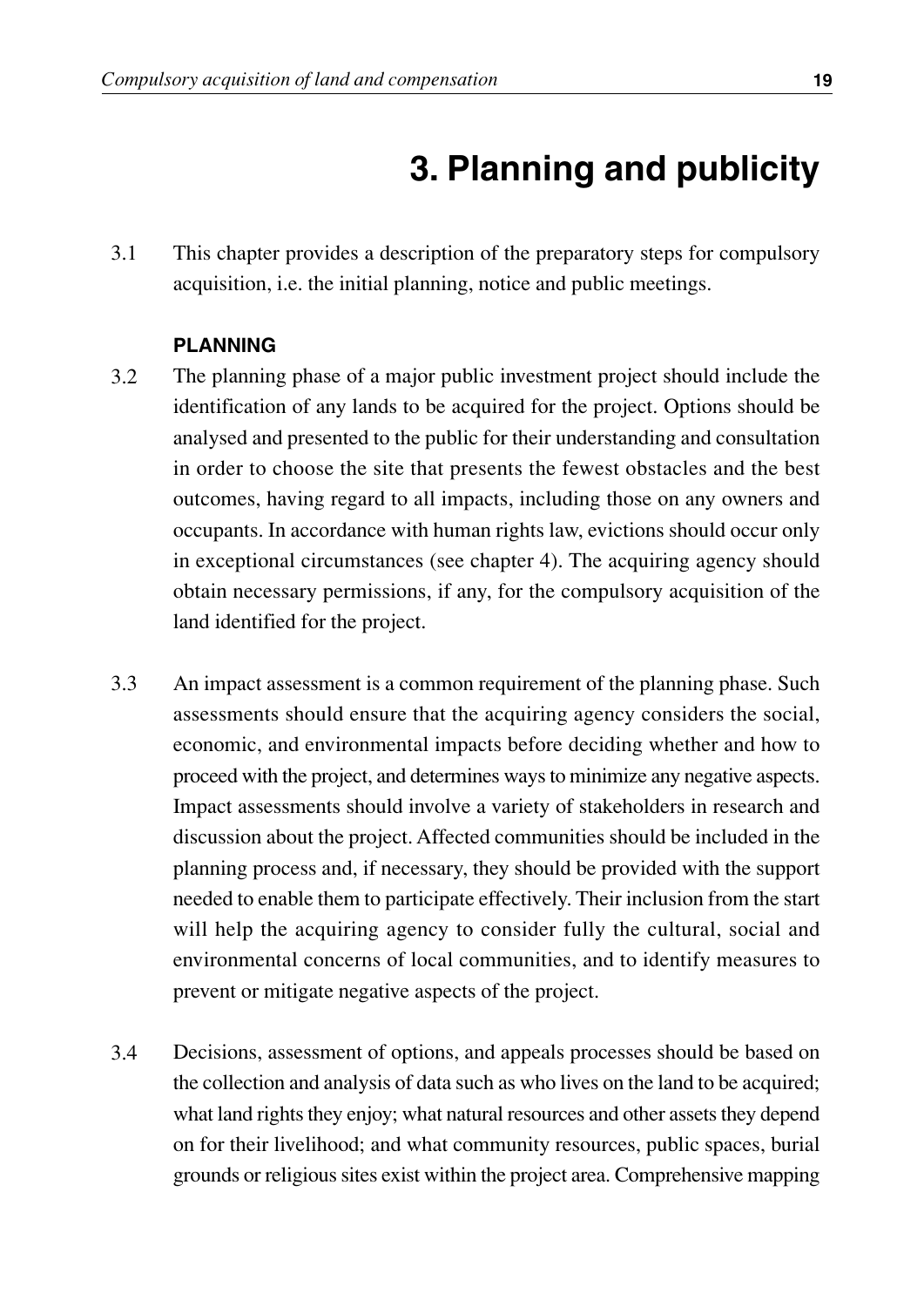## **3. Planning and publicity**

3.1 This chapter provides a description of the preparatory steps for compulsory acquisition, i.e. the initial planning, notice and public meetings.

#### **PLANNING**

- 3.2 The planning phase of a major public investment project should include the identification of any lands to be acquired for the project. Options should be analysed and presented to the public for their understanding and consultation in order to choose the site that presents the fewest obstacles and the best outcomes, having regard to all impacts, including those on any owners and occupants. In accordance with human rights law, evictions should occur only in exceptional circumstances (see chapter 4). The acquiring agency should obtain necessary permissions, if any, for the compulsory acquisition of the land identified for the project.
- 3.3 An impact assessment is a common requirement of the planning phase. Such assessments should ensure that the acquiring agency considers the social, economic, and environmental impacts before deciding whether and how to proceed with the project, and determines ways to minimize any negative aspects. Impact assessments should involve a variety of stakeholders in research and discussion about the project. Affected communities should be included in the planning process and, if necessary, they should be provided with the support needed to enable them to participate effectively. Their inclusion from the start will help the acquiring agency to consider fully the cultural, social and environmental concerns of local communities, and to identify measures to prevent or mitigate negative aspects of the project.
- 3.4 Decisions, assessment of options, and appeals processes should be based on the collection and analysis of data such as who lives on the land to be acquired; what land rights they enjoy; what natural resources and other assets they depend on for their livelihood; and what community resources, public spaces, burial grounds or religious sites exist within the project area. Comprehensive mapping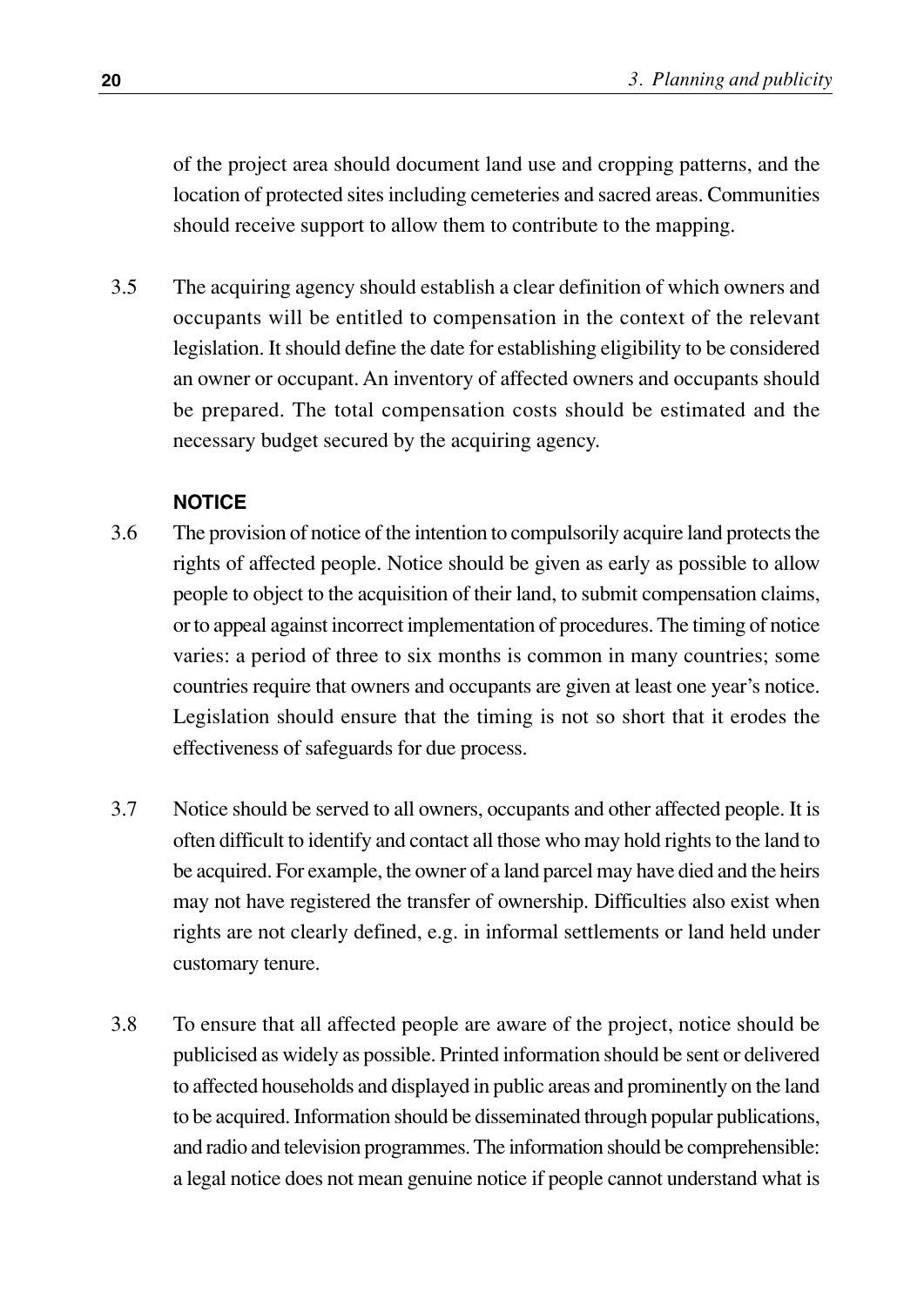of the project area should document land use and cropping patterns, and the location of protected sites including cemeteries and sacred areas. Communities should receive support to allow them to contribute to the mapping.

The acquiring agency should establish a clear definition of which owners and occupants will be entitled to compensation in the context of the relevant legislation. It should define the date for establishing eligibility to be considered an owner or occupant. An inventory of affected owners and occupants should be prepared. The total compensation costs should be estimated and the necessary budget secured by the acquiring agency. 3.5

#### **NOTICE**

- The provision of notice of the intention to compulsorily acquire land protects the rights of affected people. Notice should be given as early as possible to allow people to object to the acquisition of their land, to submit compensation claims, or to appeal against incorrect implementation of procedures. The timing of notice varies: a period of three to six months is common in many countries; some countries require that owners and occupants are given at least one year's notice. Legislation should ensure that the timing is not so short that it erodes the effectiveness of safeguards for due process. 3.6
- Notice should be served to all owners, occupants and other affected people. It is often difficult to identify and contact all those who may hold rights to the land to be acquired. For example, the owner of a land parcel may have died and the heirs may not have registered the transfer of ownership. Difficulties also exist when rights are not clearly defined, e.g. in informal settlements or land held under customary tenure. 3.7
- To ensure that all affected people are aware of the project, notice should be publicised as widely as possible. Printed information should be sent or delivered to affected households and displayed in public areas and prominently on the land to be acquired. Information should be disseminated through popular publications, and radio and television programmes. The information should be comprehensible: a legal notice does not mean genuine notice if people cannot understand what is 3.8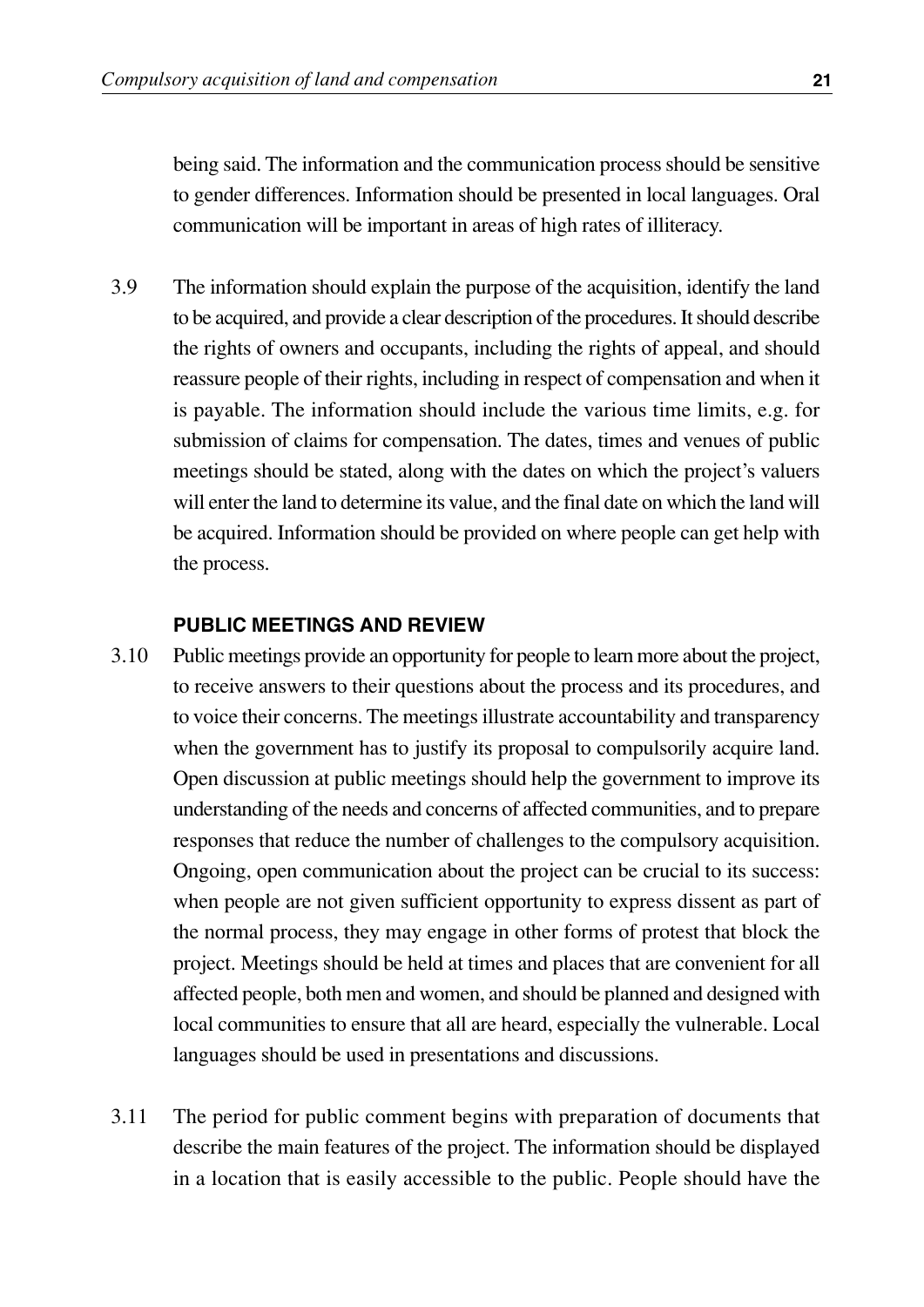being said. The information and the communication process should be sensitive to gender differences. Information should be presented in local languages. Oral communication will be important in areas of high rates of illiteracy.

The information should explain the purpose of the acquisition, identify the land to be acquired, and provide a clear description of the procedures. It should describe the rights of owners and occupants, including the rights of appeal, and should reassure people of their rights, including in respect of compensation and when it is payable. The information should include the various time limits, e.g. for submission of claims for compensation. The dates, times and venues of public meetings should be stated, along with the dates on which the project's valuers will enter the land to determine its value, and the final date on which the land will be acquired. Information should be provided on where people can get help with the process. 3.9

#### **PUBLIC MEETINGS AND REVIEW**

- Public meetings provide an opportunity for people to learn more about the project, to receive answers to their questions about the process and its procedures, and to voice their concerns. The meetings illustrate accountability and transparency when the government has to justify its proposal to compulsorily acquire land. Open discussion at public meetings should help the government to improve its understanding of the needs and concerns of affected communities, and to prepare responses that reduce the number of challenges to the compulsory acquisition. Ongoing, open communication about the project can be crucial to its success: when people are not given sufficient opportunity to express dissent as part of the normal process, they may engage in other forms of protest that block the project. Meetings should be held at times and places that are convenient for all affected people, both men and women, and should be planned and designed with local communities to ensure that all are heard, especially the vulnerable. Local languages should be used in presentations and discussions. 3.10
- The period for public comment begins with preparation of documents that describe the main features of the project. The information should be displayed in a location that is easily accessible to the public. People should have the 3.11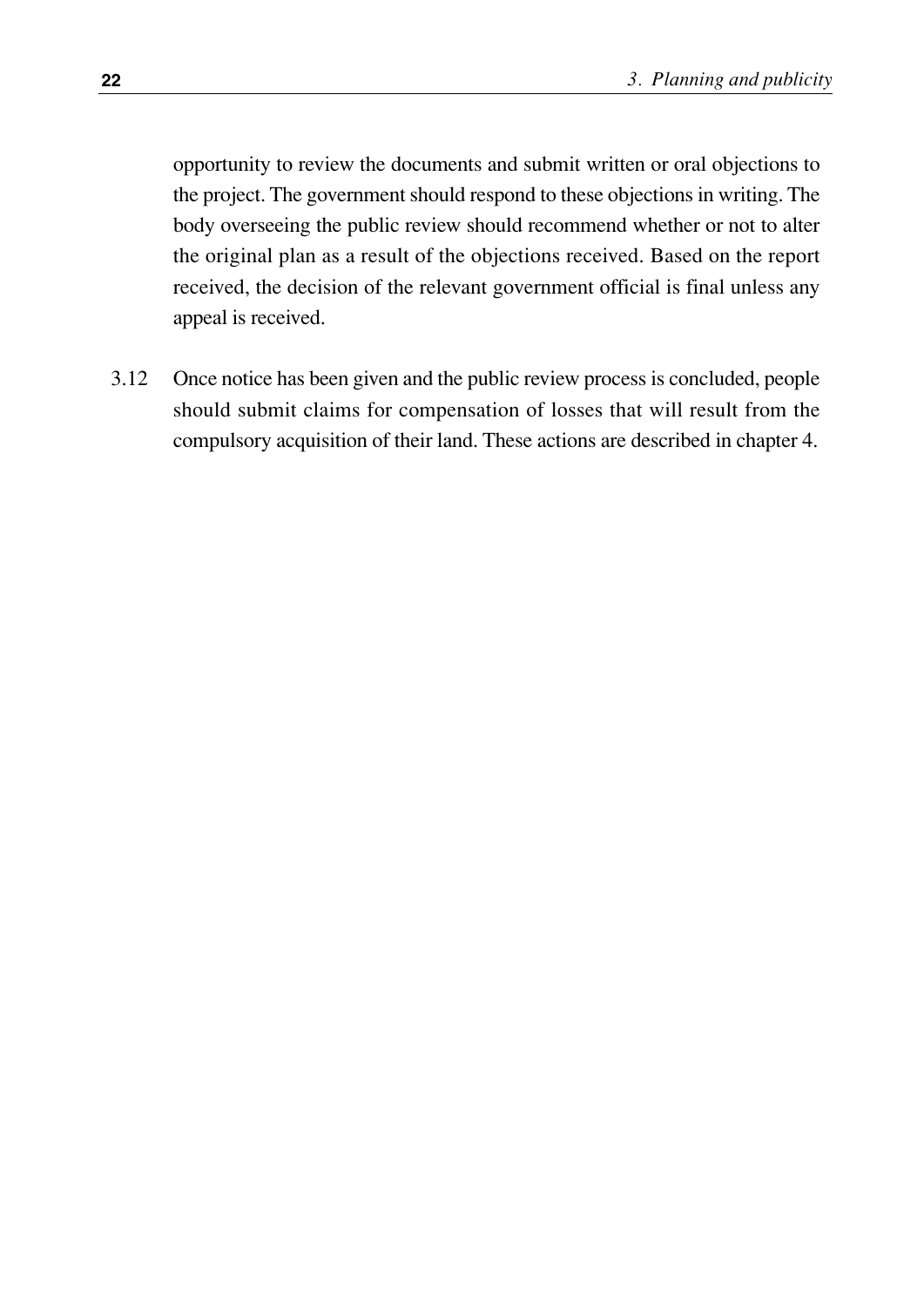opportunity to review the documents and submit written or oral objections to the project. The government should respond to these objections in writing. The body overseeing the public review should recommend whether or not to alter the original plan as a result of the objections received. Based on the report received, the decision of the relevant government official is final unless any appeal is received.

Once notice has been given and the public review process is concluded, people should submit claims for compensation of losses that will result from the compulsory acquisition of their land. These actions are described in chapter 4. 3.12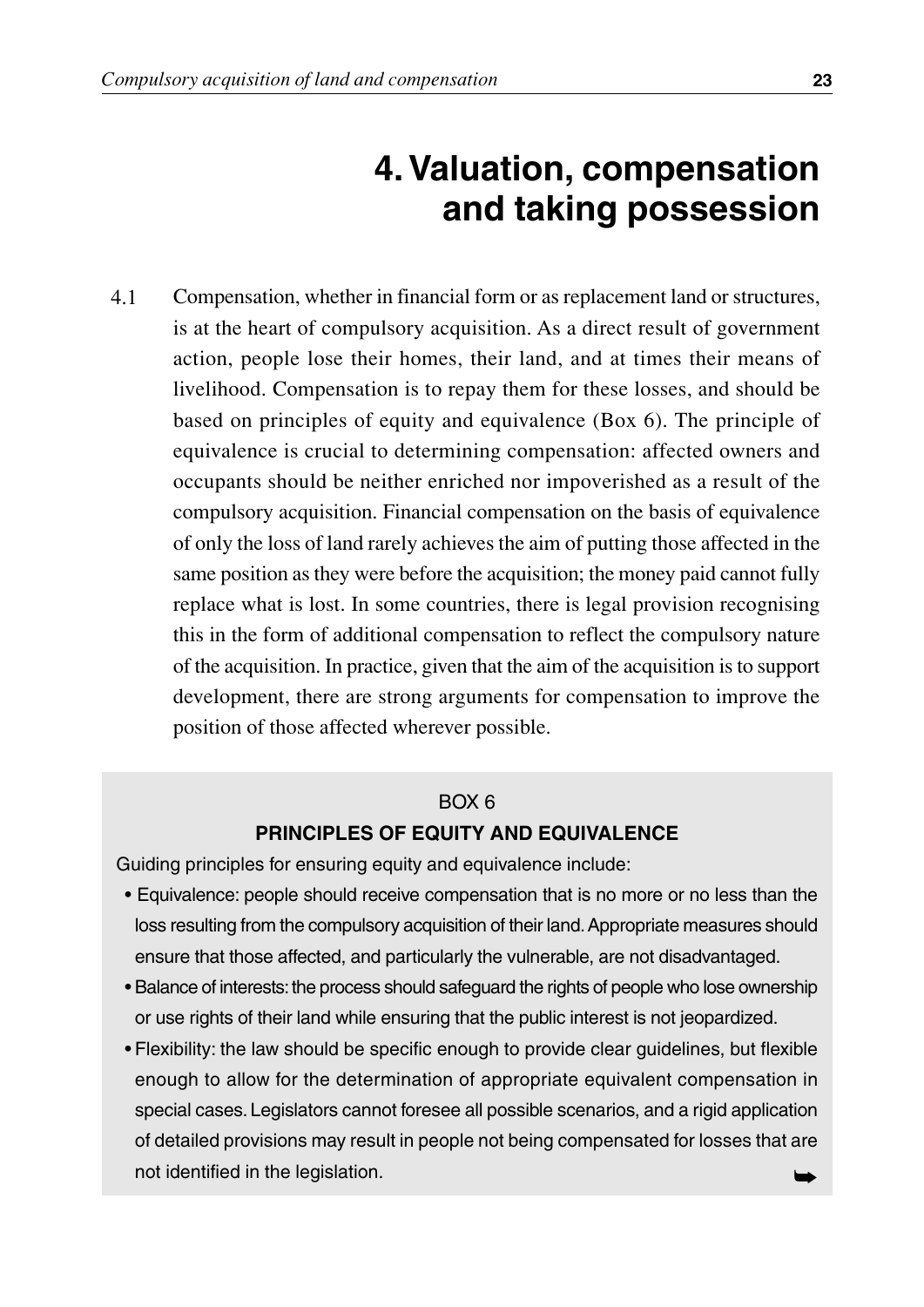## **4. Valuation, compensation and taking possession**

Compensation, whether in financial form or as replacement land or structures, is at the heart of compulsory acquisition. As a direct result of government action, people lose their homes, their land, and at times their means of livelihood. Compensation is to repay them for these losses, and should be based on principles of equity and equivalence (Box 6). The principle of equivalence is crucial to determining compensation: affected owners and occupants should be neither enriched nor impoverished as a result of the compulsory acquisition. Financial compensation on the basis of equivalence of only the loss of land rarely achieves the aim of putting those affected in the same position as they were before the acquisition; the money paid cannot fully replace what is lost. In some countries, there is legal provision recognising this in the form of additional compensation to reflect the compulsory nature of the acquisition. In practice, given that the aim of the acquisition is to support development, there are strong arguments for compensation to improve the position of those affected wherever possible. 4.1

#### BOX 6

#### **PRINCIPLES OF EQUITY AND EQUIVALENCE**

Guiding principles for ensuring equity and equivalence include:

- Equivalence: people should receive compensation that is no more or no less than the loss resulting from the compulsory acquisition of their land.Appropriate measures should ensure that those affected, and particularly the vulnerable, are not disadvantaged.
- Balance of interests: the process should safeguard the rights of people who lose ownership or use rights of their land while ensuring that the public interest is not jeopardized.
- Flexibility: the law should be specific enough to provide clear guidelines, but flexible enough to allow for the determination of appropriate equivalent compensation in special cases. Legislators cannot foresee all possible scenarios, and a rigid application of detailed provisions may result in people not being compensated for losses that are not identified in the legislation.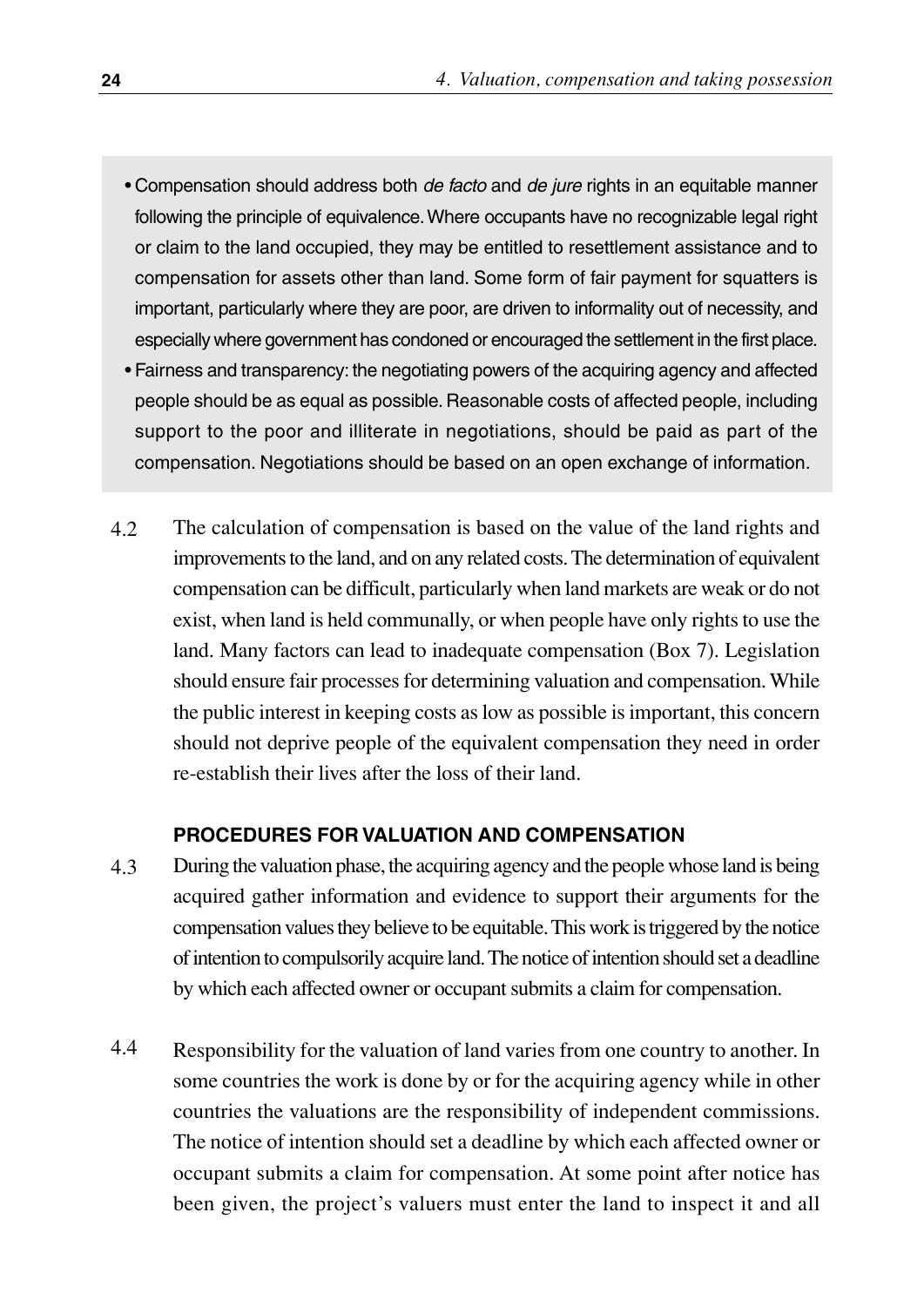- Compensation should address both *de facto* and *de jure* rights in an equitable manner following the principle of equivalence.Where occupants have no recognizable legal right or claim to the land occupied, they may be entitled to resettlement assistance and to compensation for assets other than land. Some form of fair payment for squatters is important, particularly where they are poor, are driven to informality out of necessity, and especially where government has condoned or encouraged the settlement in the first place.
- Fairness and transparency: the negotiating powers of the acquiring agency and affected people should be as equal as possible. Reasonable costs of affected people, including support to the poor and illiterate in negotiations, should be paid as part of the compensation. Negotiations should be based on an open exchange of information.
- The calculation of compensation is based on the value of the land rights and improvements to the land, and on any related costs. The determination of equivalent compensation can be difficult, particularly when land markets are weak or do not exist, when land is held communally, or when people have only rights to use the land. Many factors can lead to inadequate compensation (Box 7). Legislation should ensure fair processes for determining valuation and compensation. While the public interest in keeping costs as low as possible is important, this concern should not deprive people of the equivalent compensation they need in order re-establish their lives after the loss of their land. 4.2

#### **PROCEDURES FOR VALUATION AND COMPENSATION**

- During the valuation phase, the acquiring agency and the people whose land is being acquired gather information and evidence to support their arguments for the compensation values they believe to be equitable. This work is triggered by the notice of intention to compulsorily acquire land. The notice of intention should set a deadline by which each affected owner or occupant submits a claim for compensation. 4.3
- Responsibility for the valuation of land varies from one country to another. In some countries the work is done by or for the acquiring agency while in other countries the valuations are the responsibility of independent commissions. The notice of intention should set a deadline by which each affected owner or occupant submits a claim for compensation. At some point after notice has been given, the project's valuers must enter the land to inspect it and all 4.4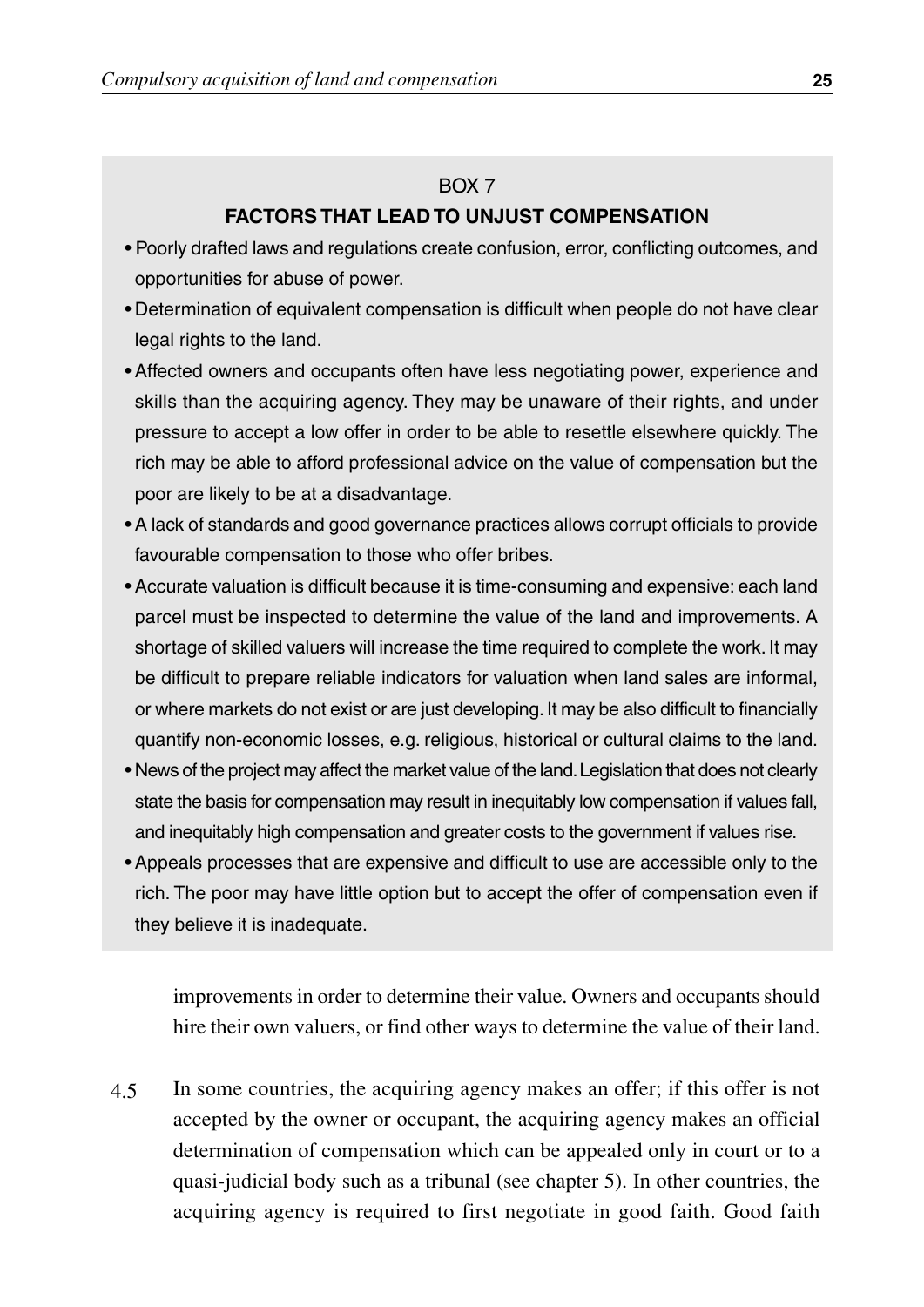#### BOX 7

#### **FACTORS THAT LEAD TO UNJUST COMPENSATION**

- Poorly drafted laws and regulations create confusion, error, conflicting outcomes, and opportunities for abuse of power.
- Determination of equivalent compensation is difficult when people do not have clear legal rights to the land.
- Affected owners and occupants often have less negotiating power, experience and skills than the acquiring agency. They may be unaware of their rights, and under pressure to accept a low offer in order to be able to resettle elsewhere quickly. The rich may be able to afford professional advice on the value of compensation but the poor are likely to be at a disadvantage.
- A lack of standards and good governance practices allows corrupt officials to provide favourable compensation to those who offer bribes.
- Accurate valuation is difficult because it is time-consuming and expensive: each land parcel must be inspected to determine the value of the land and improvements. A shortage of skilled valuers will increase the time required to complete the work. It may be difficult to prepare reliable indicators for valuation when land sales are informal, or where markets do not exist or are just developing. It may be also difficult to financially quantify non-economic losses, e.g. religious, historical or cultural claims to the land.
- News of the project may affect the market value of the land.Legislation that does not clearly state the basis for compensation may result in inequitably low compensation if values fall, and inequitably high compensation and greater costs to the government if values rise.
- Appeals processes that are expensive and difficult to use are accessible only to the rich. The poor may have little option but to accept the offer of compensation even if they believe it is inadequate.

improvements in order to determine their value. Owners and occupants should hire their own valuers, or find other ways to determine the value of their land.

In some countries, the acquiring agency makes an offer; if this offer is not accepted by the owner or occupant, the acquiring agency makes an official determination of compensation which can be appealed only in court or to a quasi-judicial body such as a tribunal (see chapter 5). In other countries, the acquiring agency is required to first negotiate in good faith. Good faith 4.5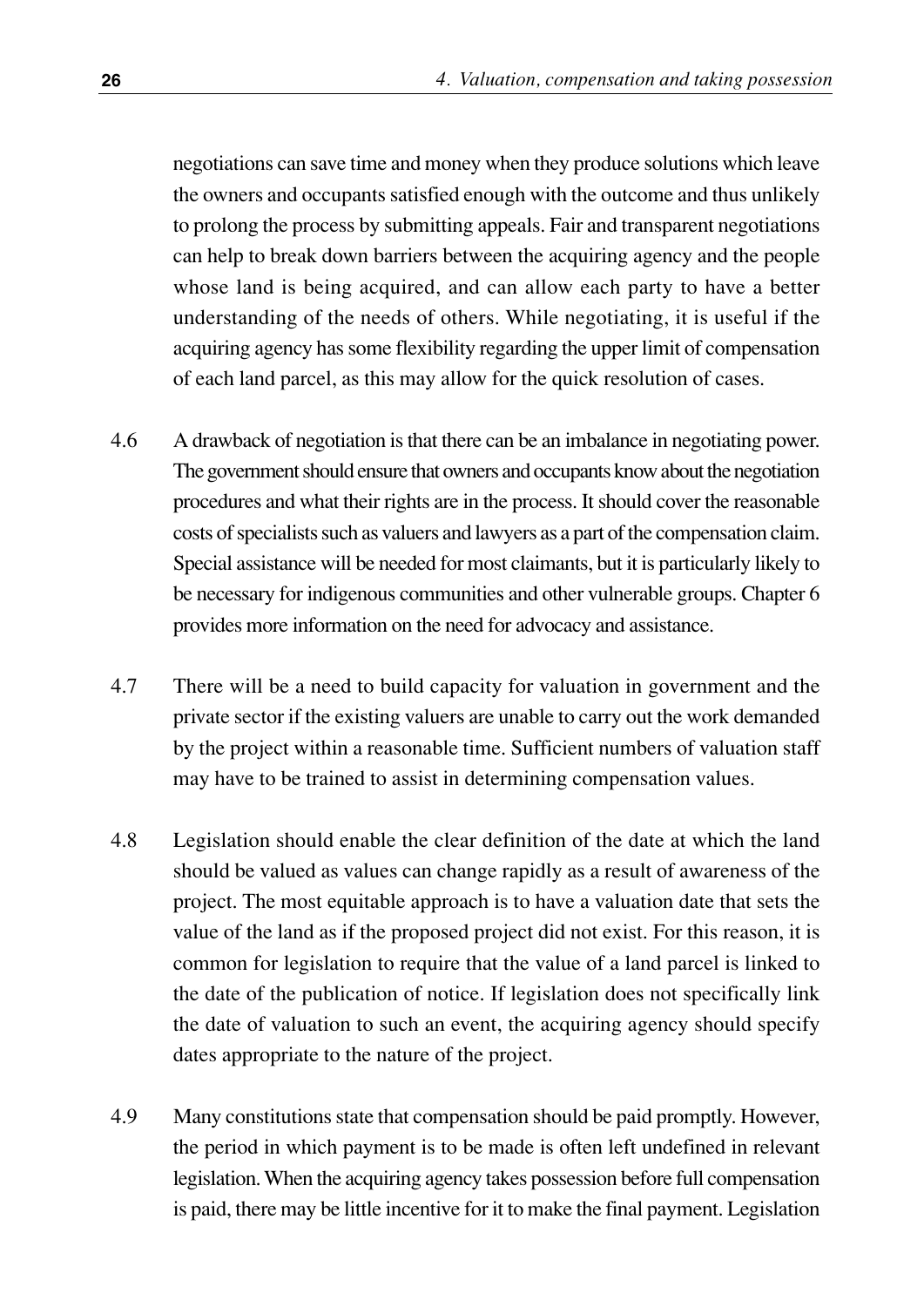negotiations can save time and money when they produce solutions which leave the owners and occupants satisfied enough with the outcome and thus unlikely to prolong the process by submitting appeals. Fair and transparent negotiations can help to break down barriers between the acquiring agency and the people whose land is being acquired, and can allow each party to have a better understanding of the needs of others. While negotiating, it is useful if the acquiring agency has some flexibility regarding the upper limit of compensation of each land parcel, as this may allow for the quick resolution of cases.

- 4.6 A drawback of negotiation is that there can be an imbalance in negotiating power. The government should ensure that owners and occupants know about the negotiation procedures and what their rights are in the process. It should cover the reasonable costs of specialists such as valuers and lawyers as a part of the compensation claim. Special assistance will be needed for most claimants, but it is particularly likely to be necessary for indigenous communities and other vulnerable groups. Chapter 6 provides more information on the need for advocacy and assistance.
- 4.7 There will be a need to build capacity for valuation in government and the private sector if the existing valuers are unable to carry out the work demanded by the project within a reasonable time. Sufficient numbers of valuation staff may have to be trained to assist in determining compensation values.
- 4.8 Legislation should enable the clear definition of the date at which the land should be valued as values can change rapidly as a result of awareness of the project. The most equitable approach is to have a valuation date that sets the value of the land as if the proposed project did not exist. For this reason, it is common for legislation to require that the value of a land parcel is linked to the date of the publication of notice. If legislation does not specifically link the date of valuation to such an event, the acquiring agency should specify dates appropriate to the nature of the project.
- 4.9 Many constitutions state that compensation should be paid promptly. However, the period in which payment is to be made is often left undefined in relevant legislation. When the acquiring agency takes possession before full compensation is paid, there may be little incentive for it to make the final payment. Legislation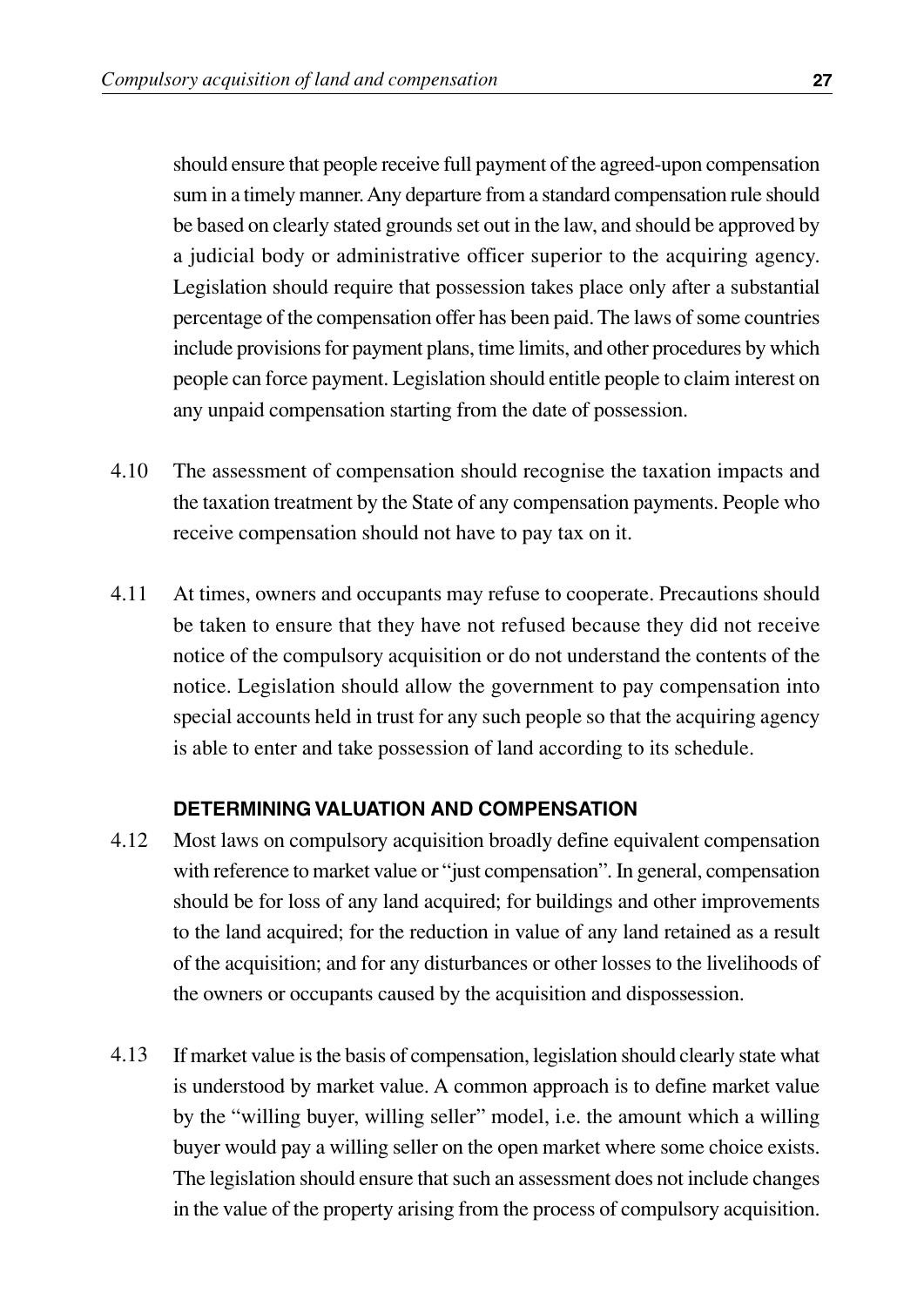should ensure that people receive full payment of the agreed-upon compensation sum in a timely manner. Any departure from a standard compensation rule should be based on clearly stated grounds set out in the law, and should be approved by a judicial body or administrative officer superior to the acquiring agency. Legislation should require that possession takes place only after a substantial percentage of the compensation offer has been paid. The laws of some countries include provisions for payment plans, time limits, and other procedures by which people can force payment. Legislation should entitle people to claim interest on any unpaid compensation starting from the date of possession.

- The assessment of compensation should recognise the taxation impacts and the taxation treatment by the State of any compensation payments. People who receive compensation should not have to pay tax on it. 4.10
- At times, owners and occupants may refuse to cooperate. Precautions should be taken to ensure that they have not refused because they did not receive notice of the compulsory acquisition or do not understand the contents of the notice. Legislation should allow the government to pay compensation into special accounts held in trust for any such people so that the acquiring agency is able to enter and take possession of land according to its schedule. 4.11

#### **DETERMINING VALUATION AND COMPENSATION**

- Most laws on compulsory acquisition broadly define equivalent compensation with reference to market value or "just compensation". In general, compensation should be for loss of any land acquired; for buildings and other improvements to the land acquired; for the reduction in value of any land retained as a result of the acquisition; and for any disturbances or other losses to the livelihoods of the owners or occupants caused by the acquisition and dispossession. 4.12
- If market value is the basis of compensation, legislation should clearly state what is understood by market value. A common approach is to define market value by the "willing buyer, willing seller" model, i.e. the amount which a willing buyer would pay a willing seller on the open market where some choice exists. The legislation should ensure that such an assessment does not include changes in the value of the property arising from the process of compulsory acquisition. 4.13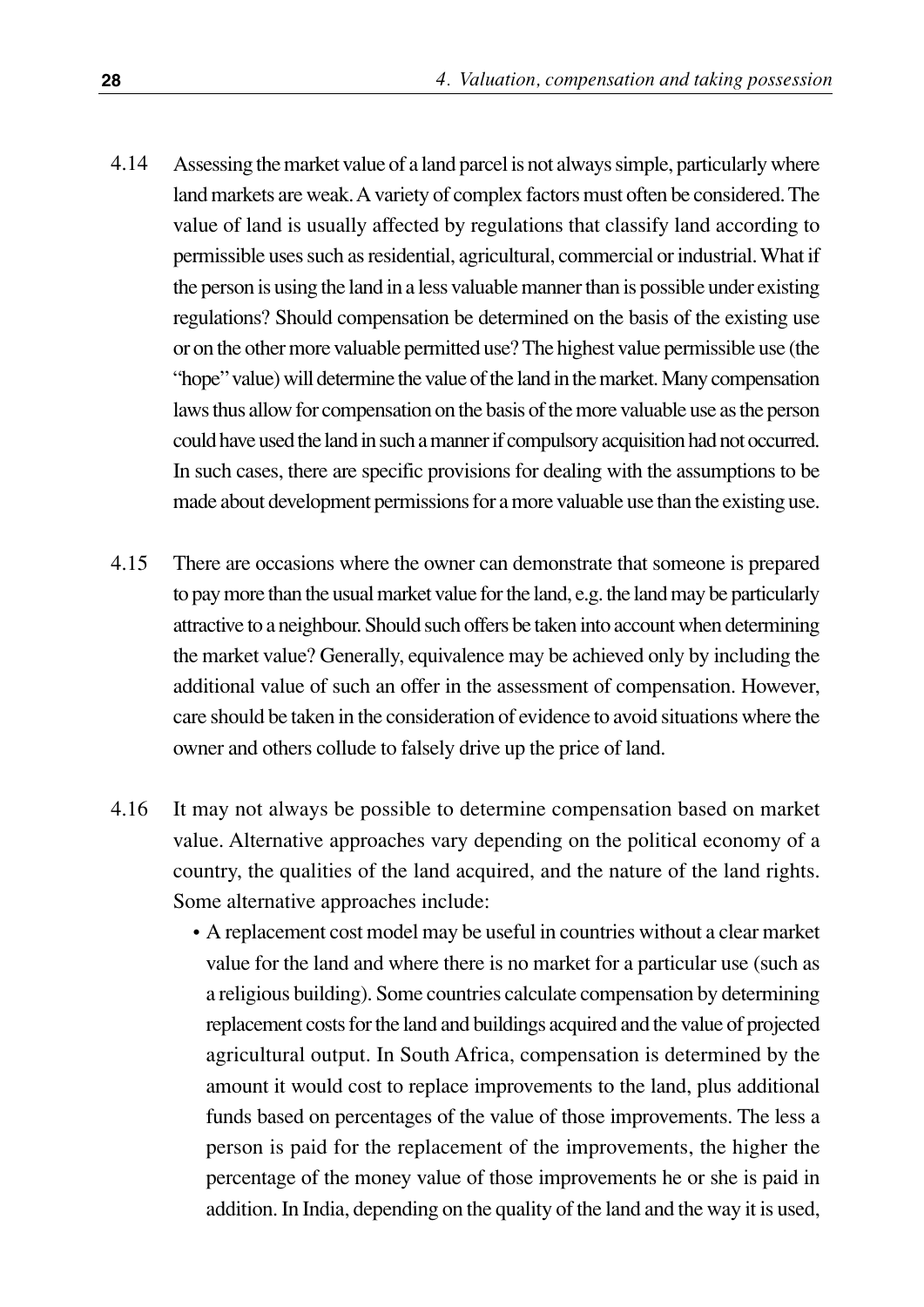- Assessing the market value of a land parcel is not always simple, particularly where land markets are weak. A variety of complex factors must often be considered. The value of land is usually affected by regulations that classify land according to permissible uses such as residential, agricultural, commercial or industrial. What if the person is using the land in a less valuable manner than is possible under existing regulations? Should compensation be determined on the basis of the existing use or on the other more valuable permitted use? The highest value permissible use (the "hope" value) will determine the value of the land in the market. Many compensation laws thus allow for compensation on the basis of the more valuable use as the person could have used the land in such a manner if compulsory acquisition had not occurred. In such cases, there are specific provisions for dealing with the assumptions to be made about development permissions for a more valuable use than the existing use. 4.14
- There are occasions where the owner can demonstrate that someone is prepared to pay more than the usual market value for the land, e.g. the land may be particularly attractive to a neighbour. Should such offers be taken into account when determining the market value? Generally, equivalence may be achieved only by including the additional value of such an offer in the assessment of compensation. However, care should be taken in the consideration of evidence to avoid situations where the owner and others collude to falsely drive up the price of land. 4.15
- It may not always be possible to determine compensation based on market value. Alternative approaches vary depending on the political economy of a country, the qualities of the land acquired, and the nature of the land rights. Some alternative approaches include: 4.16
	- A replacement cost model may be useful in countries without a clear market value for the land and where there is no market for a particular use (such as a religious building). Some countries calculate compensation by determining replacement costs for the land and buildings acquired and the value of projected agricultural output. In South Africa, compensation is determined by the amount it would cost to replace improvements to the land, plus additional funds based on percentages of the value of those improvements. The less a person is paid for the replacement of the improvements, the higher the percentage of the money value of those improvements he or she is paid in addition. In India, depending on the quality of the land and the way it is used,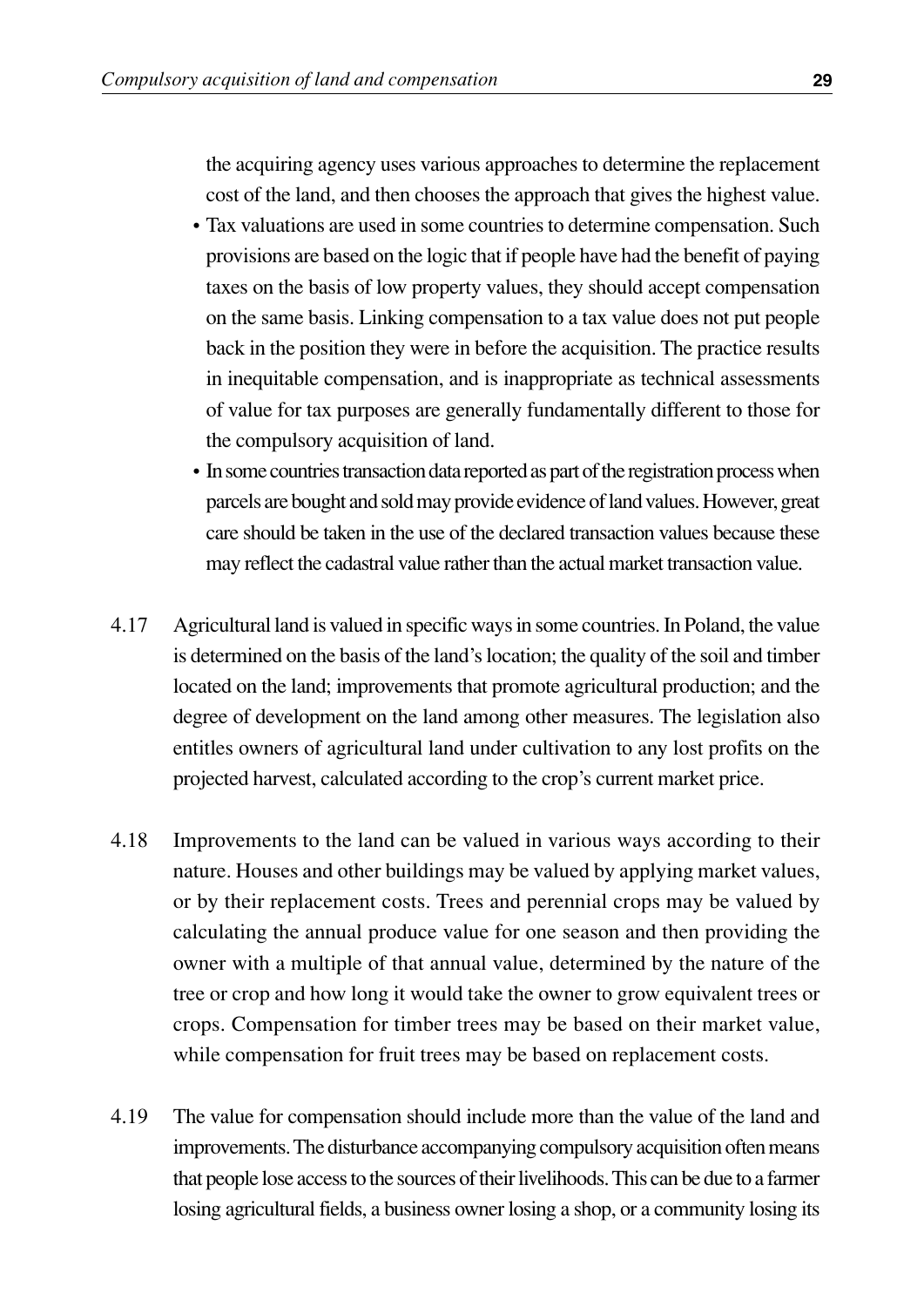the acquiring agency uses various approaches to determine the replacement cost of the land, and then chooses the approach that gives the highest value.

- Tax valuations are used in some countries to determine compensation. Such provisions are based on the logic that if people have had the benefit of paying taxes on the basis of low property values, they should accept compensation on the same basis. Linking compensation to a tax value does not put people back in the position they were in before the acquisition. The practice results in inequitable compensation, and is inappropriate as technical assessments of value for tax purposes are generally fundamentally different to those for the compulsory acquisition of land.
- In some countries transaction data reported as part of the registration process when parcels are bought and sold may provide evidence of land values. However, great care should be taken in the use of the declared transaction values because these may reflect the cadastral value rather than the actual market transaction value.
- Agricultural land is valued in specific ways in some countries. In Poland, the value is determined on the basis of the land's location; the quality of the soil and timber located on the land; improvements that promote agricultural production; and the degree of development on the land among other measures. The legislation also entitles owners of agricultural land under cultivation to any lost profits on the projected harvest, calculated according to the crop's current market price. 4.17
- Improvements to the land can be valued in various ways according to their nature. Houses and other buildings may be valued by applying market values, or by their replacement costs. Trees and perennial crops may be valued by calculating the annual produce value for one season and then providing the owner with a multiple of that annual value, determined by the nature of the tree or crop and how long it would take the owner to grow equivalent trees or crops. Compensation for timber trees may be based on their market value, while compensation for fruit trees may be based on replacement costs. 4.18
- The value for compensation should include more than the value of the land and improvements. The disturbance accompanying compulsory acquisition often means that people lose access to the sources of their livelihoods. This can be due to a farmer losing agricultural fields, a business owner losing a shop, or a community losing its 4.19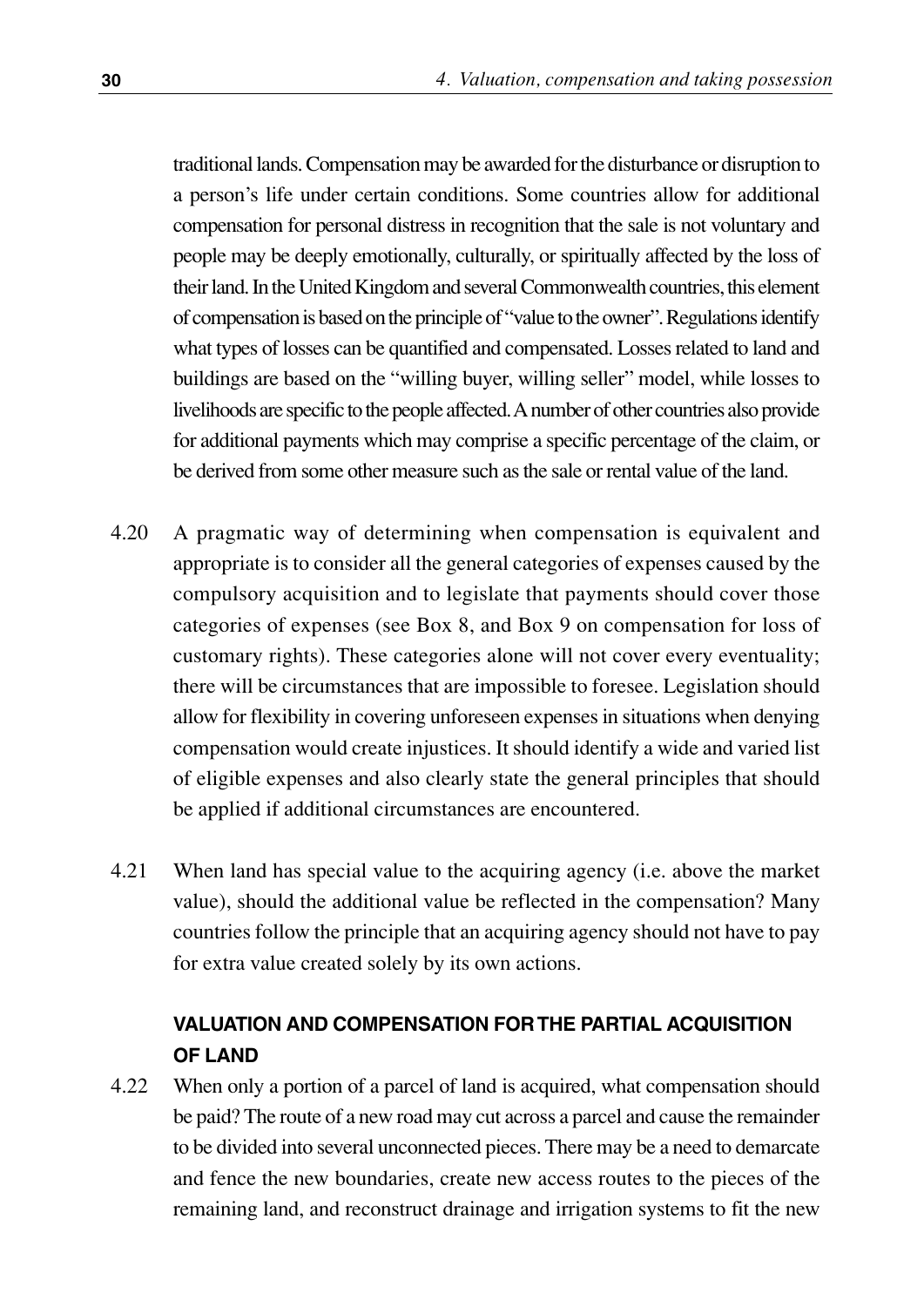traditional lands. Compensation may be awarded for the disturbance or disruption to a person's life under certain conditions. Some countries allow for additional compensation for personal distress in recognition that the sale is not voluntary and people may be deeply emotionally, culturally, or spiritually affected by the loss of their land. In the United Kingdom and several Commonwealth countries, this element of compensation is based on the principle of "value to the owner". Regulations identify what types of losses can be quantified and compensated. Losses related to land and buildings are based on the "willing buyer, willing seller" model, while losses to livelihoods are specific to the people affected. A number of other countries also provide for additional payments which may comprise a specific percentage of the claim, or be derived from some other measure such as the sale or rental value of the land.

- A pragmatic way of determining when compensation is equivalent and appropriate is to consider all the general categories of expenses caused by the compulsory acquisition and to legislate that payments should cover those categories of expenses (see Box 8, and Box 9 on compensation for loss of customary rights). These categories alone will not cover every eventuality; there will be circumstances that are impossible to foresee. Legislation should allow for flexibility in covering unforeseen expenses in situations when denying compensation would create injustices. It should identify a wide and varied list of eligible expenses and also clearly state the general principles that should be applied if additional circumstances are encountered. 4.20
- When land has special value to the acquiring agency (i.e. above the market value), should the additional value be reflected in the compensation? Many countries follow the principle that an acquiring agency should not have to pay for extra value created solely by its own actions. 4.21

#### **VALUATION AND COMPENSATION FOR THE PARTIAL ACQUISITION OF LAND**

When only a portion of a parcel of land is acquired, what compensation should be paid? The route of a new road may cut across a parcel and cause the remainder to be divided into several unconnected pieces. There may be a need to demarcate and fence the new boundaries, create new access routes to the pieces of the remaining land, and reconstruct drainage and irrigation systems to fit the new 4.22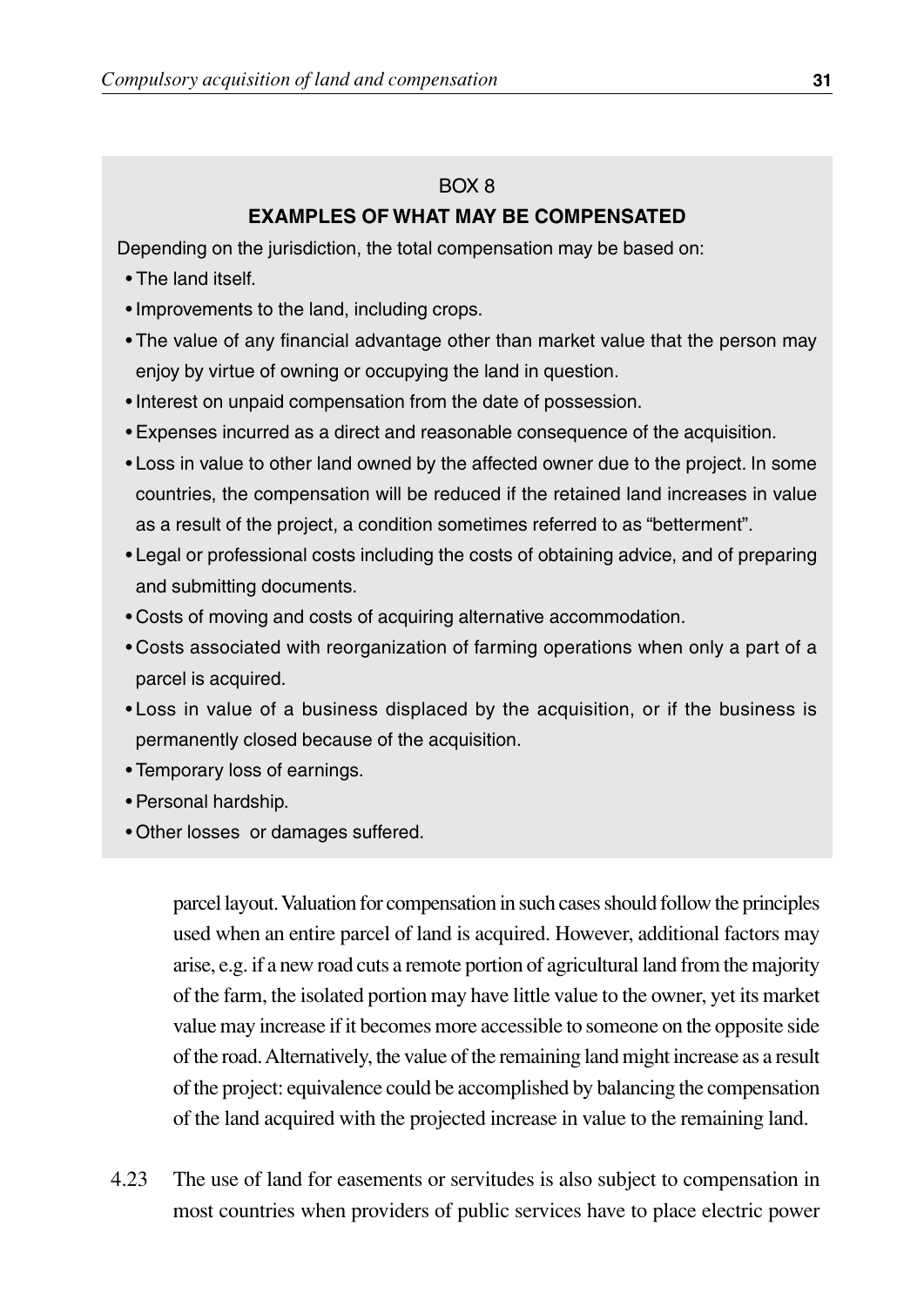#### $ROX$   $R$

#### **EXAMPLES OF WHAT MAY BE COMPENSATED**

Depending on the jurisdiction, the total compensation may be based on:

- The land itself.
- Improvements to the land, including crops.
- The value of any financial advantage other than market value that the person may enjoy by virtue of owning or occupying the land in question.
- Interest on unpaid compensation from the date of possession.
- Expenses incurred as a direct and reasonable consequence of the acquisition.
- Loss in value to other land owned by the affected owner due to the project. In some countries, the compensation will be reduced if the retained land increases in value as a result of the project, a condition sometimes referred to as "betterment".
- Legal or professional costs including the costs of obtaining advice, and of preparing and submitting documents.
- Costs of moving and costs of acquiring alternative accommodation.
- Costs associated with reorganization of farming operations when only a part of a parcel is acquired.
- Loss in value of a business displaced by the acquisition, or if the business is permanently closed because of the acquisition.
- Temporary loss of earnings.
- Personal hardship.
- Other losses or damages suffered.

parcel layout. Valuation for compensation in such cases should follow the principles used when an entire parcel of land is acquired. However, additional factors may arise, e.g. if a new road cuts a remote portion of agricultural land from the majority of the farm, the isolated portion may have little value to the owner, yet its market value may increase if it becomes more accessible to someone on the opposite side of the road. Alternatively, the value of the remaining land might increase as a result of the project: equivalence could be accomplished by balancing the compensation of the land acquired with the projected increase in value to the remaining land.

4.23 The use of land for easements or servitudes is also subject to compensation in most countries when providers of public services have to place electric power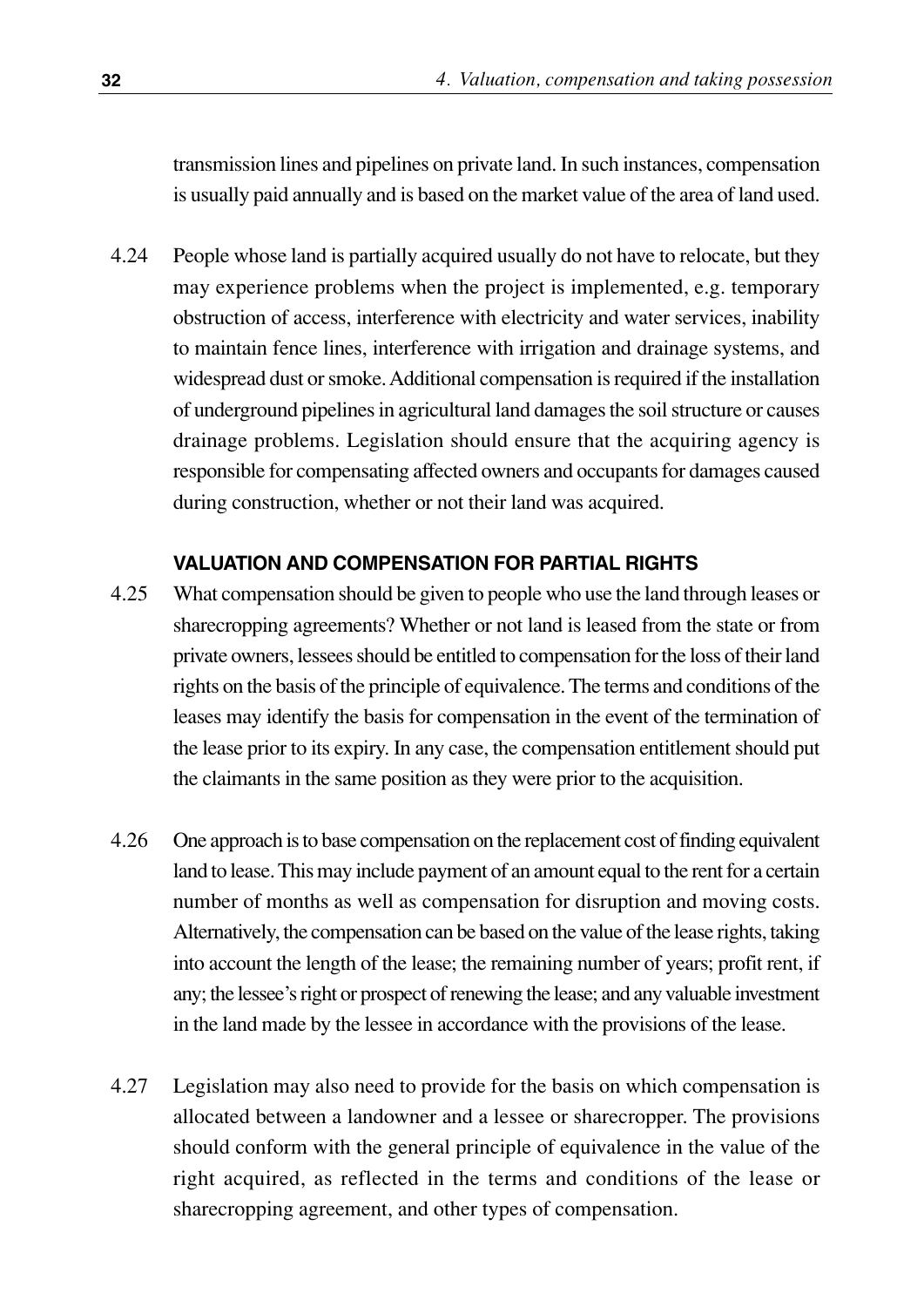transmission lines and pipelines on private land. In such instances, compensation is usually paid annually and is based on the market value of the area of land used.

People whose land is partially acquired usually do not have to relocate, but they may experience problems when the project is implemented, e.g. temporary obstruction of access, interference with electricity and water services, inability to maintain fence lines, interference with irrigation and drainage systems, and widespread dust or smoke. Additional compensation is required if the installation of underground pipelines in agricultural land damages the soil structure or causes drainage problems. Legislation should ensure that the acquiring agency is responsible for compensating affected owners and occupants for damages caused during construction, whether or not their land was acquired. 4.24

#### **VALUATION AND COMPENSATION FOR PARTIAL RIGHTS**

- What compensation should be given to people who use the land through leases or sharecropping agreements? Whether or not land is leased from the state or from private owners, lessees should be entitled to compensation for the loss of their land rights on the basis of the principle of equivalence. The terms and conditions of the leases may identify the basis for compensation in the event of the termination of the lease prior to its expiry. In any case, the compensation entitlement should put the claimants in the same position as they were prior to the acquisition. 4.25
- One approach is to base compensation on the replacement cost of finding equivalent land to lease. This may include payment of an amount equal to the rent for a certain number of months as well as compensation for disruption and moving costs. Alternatively, the compensation can be based on the value of the lease rights, taking into account the length of the lease; the remaining number of years; profit rent, if any; the lessee's right or prospect of renewing the lease; and any valuable investment in the land made by the lessee in accordance with the provisions of the lease. 4.26
- Legislation may also need to provide for the basis on which compensation is allocated between a landowner and a lessee or sharecropper. The provisions should conform with the general principle of equivalence in the value of the right acquired, as reflected in the terms and conditions of the lease or sharecropping agreement, and other types of compensation. 4.27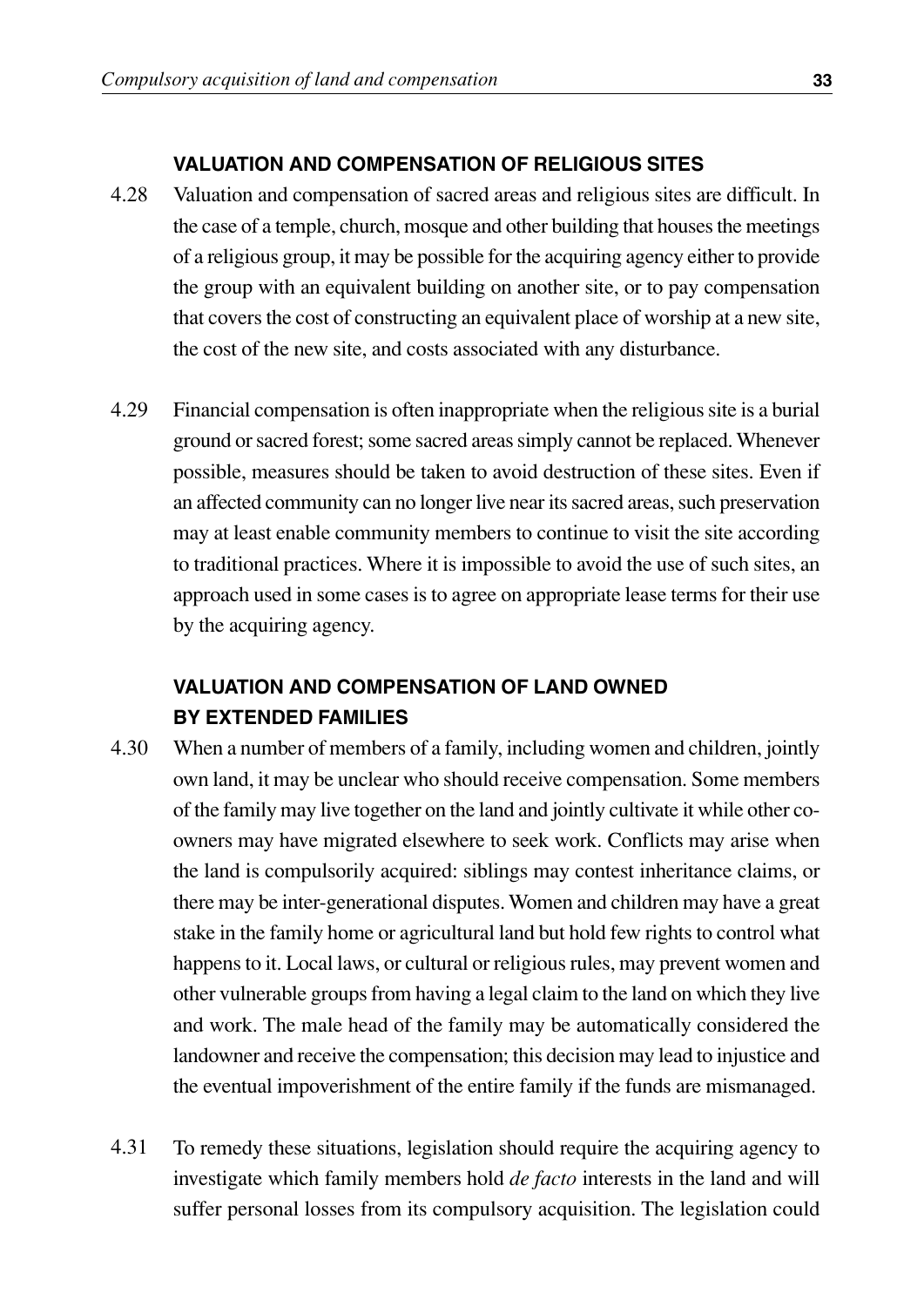#### **VALUATION AND COMPENSATION OF RELIGIOUS SITES**

- Valuation and compensation of sacred areas and religious sites are difficult. In the case of a temple, church, mosque and other building that houses the meetings of a religious group, it may be possible for the acquiring agency either to provide the group with an equivalent building on another site, or to pay compensation that covers the cost of constructing an equivalent place of worship at a new site, the cost of the new site, and costs associated with any disturbance. 4.28
- Financial compensation is often inappropriate when the religious site is a burial ground or sacred forest; some sacred areas simply cannot be replaced. Whenever possible, measures should be taken to avoid destruction of these sites. Even if an affected community can no longer live near its sacred areas, such preservation may at least enable community members to continue to visit the site according to traditional practices. Where it is impossible to avoid the use of such sites, an approach used in some cases is to agree on appropriate lease terms for their use by the acquiring agency. 4.29

#### **VALUATION AND COMPENSATION OF LAND OWNED BY EXTENDED FAMILIES**

- When a number of members of a family, including women and children, jointly own land, it may be unclear who should receive compensation. Some members of the family may live together on the land and jointly cultivate it while other coowners may have migrated elsewhere to seek work. Conflicts may arise when the land is compulsorily acquired: siblings may contest inheritance claims, or there may be inter-generational disputes. Women and children may have a great stake in the family home or agricultural land but hold few rights to control what happens to it. Local laws, or cultural or religious rules, may prevent women and other vulnerable groups from having a legal claim to the land on which they live and work. The male head of the family may be automatically considered the landowner and receive the compensation; this decision may lead to injustice and the eventual impoverishment of the entire family if the funds are mismanaged. 4.30
- To remedy these situations, legislation should require the acquiring agency to investigate which family members hold *de facto* interests in the land and will suffer personal losses from its compulsory acquisition. The legislation could 4.31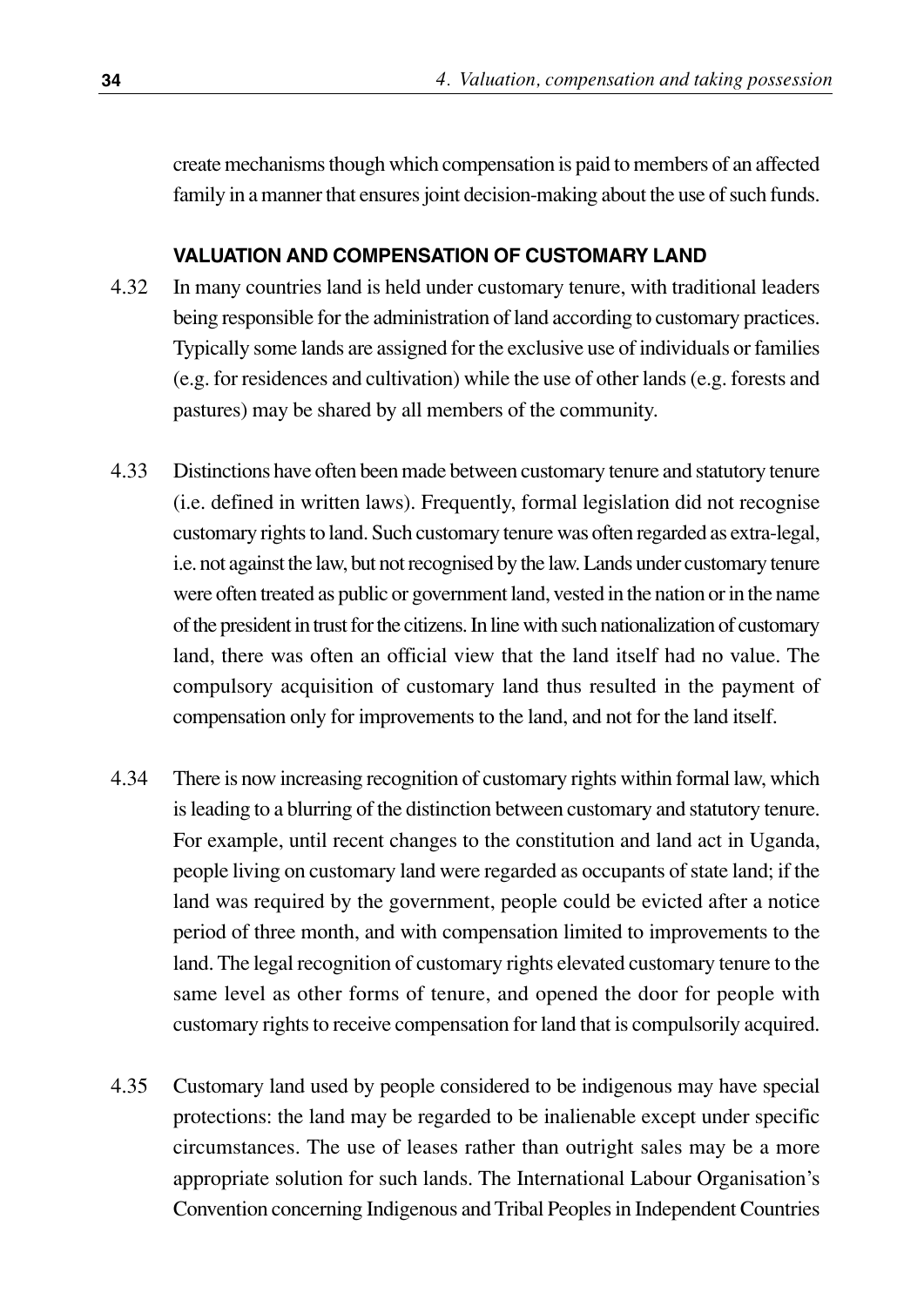create mechanisms though which compensation is paid to members of an affected family in a manner that ensures joint decision-making about the use of such funds.

#### **VALUATION AND COMPENSATION OF CUSTOMARY LAND**

- In many countries land is held under customary tenure, with traditional leaders being responsible for the administration of land according to customary practices. Typically some lands are assigned for the exclusive use of individuals or families (e.g. for residences and cultivation) while the use of other lands (e.g. forests and pastures) may be shared by all members of the community. 4.32
- Distinctions have often been made between customary tenure and statutory tenure (i.e. defined in written laws). Frequently, formal legislation did not recognise customary rights to land. Such customary tenure was often regarded as extra-legal, i.e. not against the law, but not recognised by the law. Lands under customary tenure were often treated as public or government land, vested in the nation or in the name of the president in trust for the citizens. In line with such nationalization of customary land, there was often an official view that the land itself had no value. The compulsory acquisition of customary land thus resulted in the payment of compensation only for improvements to the land, and not for the land itself. 4.33
- There is now increasing recognition of customary rights within formal law, which is leading to a blurring of the distinction between customary and statutory tenure. For example, until recent changes to the constitution and land act in Uganda, people living on customary land were regarded as occupants of state land; if the land was required by the government, people could be evicted after a notice period of three month, and with compensation limited to improvements to the land. The legal recognition of customary rights elevated customary tenure to the same level as other forms of tenure, and opened the door for people with customary rights to receive compensation for land that is compulsorily acquired. 4.34
- Customary land used by people considered to be indigenous may have special protections: the land may be regarded to be inalienable except under specific circumstances. The use of leases rather than outright sales may be a more appropriate solution for such lands. The International Labour Organisation's Convention concerning Indigenous and Tribal Peoples in Independent Countries 4.35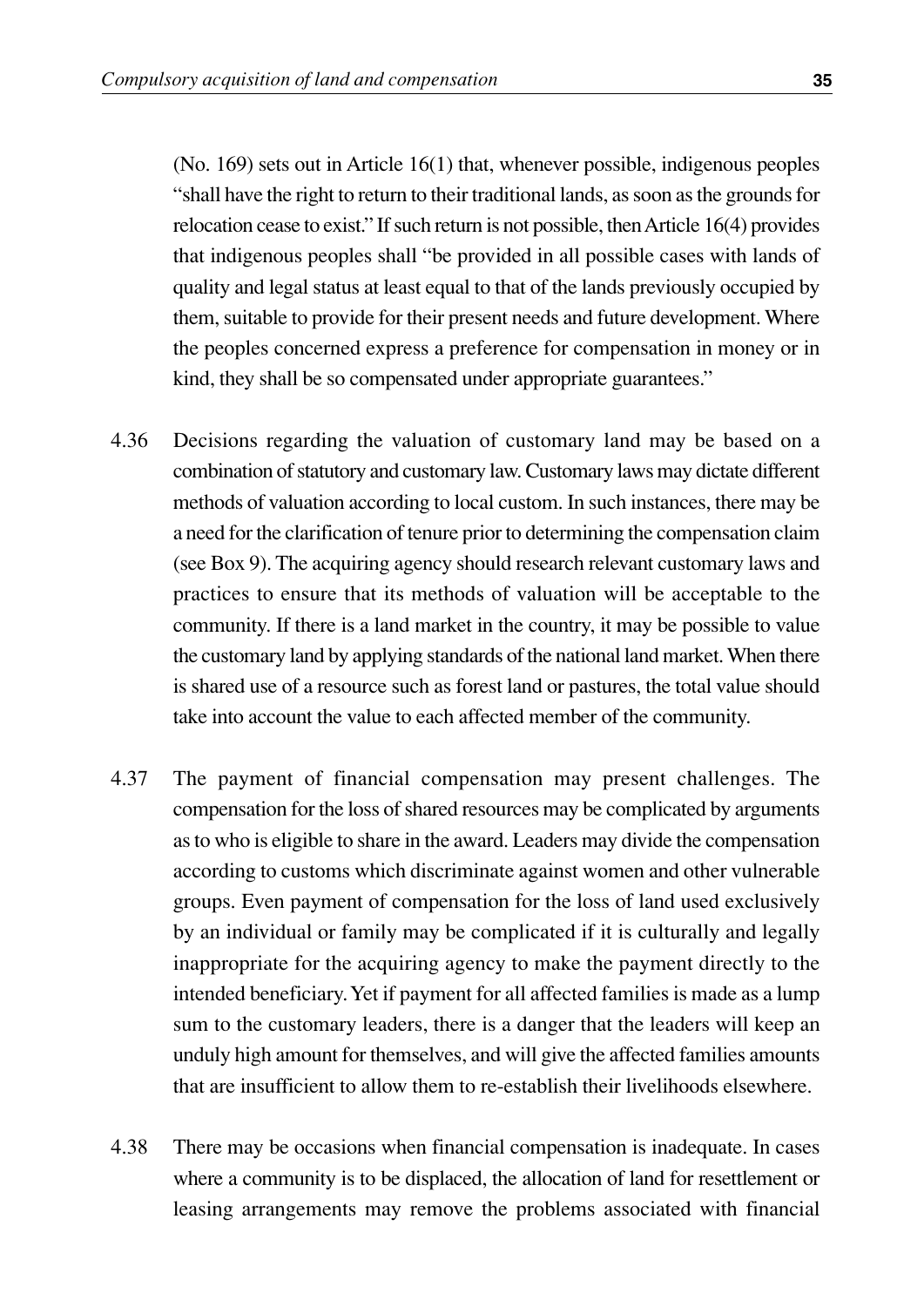(No. 169) sets out in Article 16(1) that, whenever possible, indigenous peoples "shall have the right to return to their traditional lands, as soon as the grounds for relocation cease to exist." If such return is not possible, then Article 16(4) provides that indigenous peoples shall "be provided in all possible cases with lands of quality and legal status at least equal to that of the lands previously occupied by them, suitable to provide for their present needs and future development. Where the peoples concerned express a preference for compensation in money or in kind, they shall be so compensated under appropriate guarantees."

- Decisions regarding the valuation of customary land may be based on a combination of statutory and customary law. Customary laws may dictate different methods of valuation according to local custom. In such instances, there may be a need for the clarification of tenure prior to determining the compensation claim (see Box 9). The acquiring agency should research relevant customary laws and practices to ensure that its methods of valuation will be acceptable to the community. If there is a land market in the country, it may be possible to value the customary land by applying standards of the national land market. When there is shared use of a resource such as forest land or pastures, the total value should take into account the value to each affected member of the community. 4.36
- The payment of financial compensation may present challenges. The compensation for the loss of shared resources may be complicated by arguments as to who is eligible to share in the award. Leaders may divide the compensation according to customs which discriminate against women and other vulnerable groups. Even payment of compensation for the loss of land used exclusively by an individual or family may be complicated if it is culturally and legally inappropriate for the acquiring agency to make the payment directly to the intended beneficiary. Yet if payment for all affected families is made as a lump sum to the customary leaders, there is a danger that the leaders will keep an unduly high amount for themselves, and will give the affected families amounts that are insufficient to allow them to re-establish their livelihoods elsewhere. 4.37
- There may be occasions when financial compensation is inadequate. In cases where a community is to be displaced, the allocation of land for resettlement or leasing arrangements may remove the problems associated with financial 4.38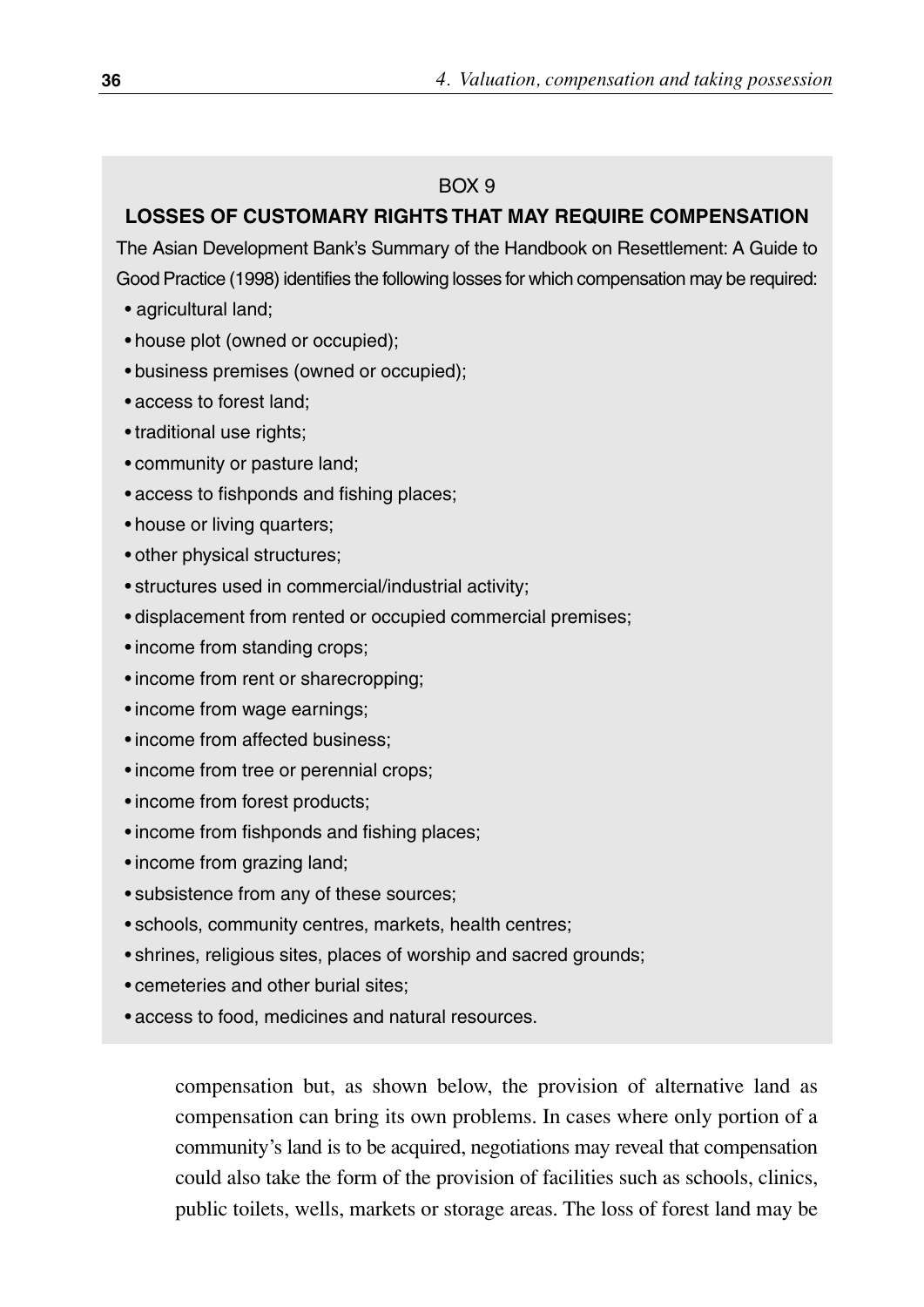#### $ROX$  9

#### **LOSSES OF CUSTOMARY RIGHTS THAT MAY REQUIRE COMPENSATION**

The Asian Development Bank's Summary of the Handbook on Resettlement: A Guide to Good Practice (1998) identifies the following losses for which compensation may be required:

- agricultural land;
- house plot (owned or occupied);
- business premises (owned or occupied);
- access to forest land;
- traditional use rights;
- community or pasture land;
- access to fishponds and fishing places;
- house or living quarters;
- other physical structures;
- structures used in commercial/industrial activity;
- displacement from rented or occupied commercial premises;
- income from standing crops;
- income from rent or sharecropping:
- income from wage earnings;
- income from affected business;
- income from tree or perennial crops;
- income from forest products;
- income from fishponds and fishing places:
- income from grazing land;
- subsistence from any of these sources;
- schools, community centres, markets, health centres;
- shrines, religious sites, places of worship and sacred grounds;
- cemeteries and other burial sites;
- access to food, medicines and natural resources.

compensation but, as shown below, the provision of alternative land as compensation can bring its own problems. In cases where only portion of a community's land is to be acquired, negotiations may reveal that compensation could also take the form of the provision of facilities such as schools, clinics, public toilets, wells, markets or storage areas. The loss of forest land may be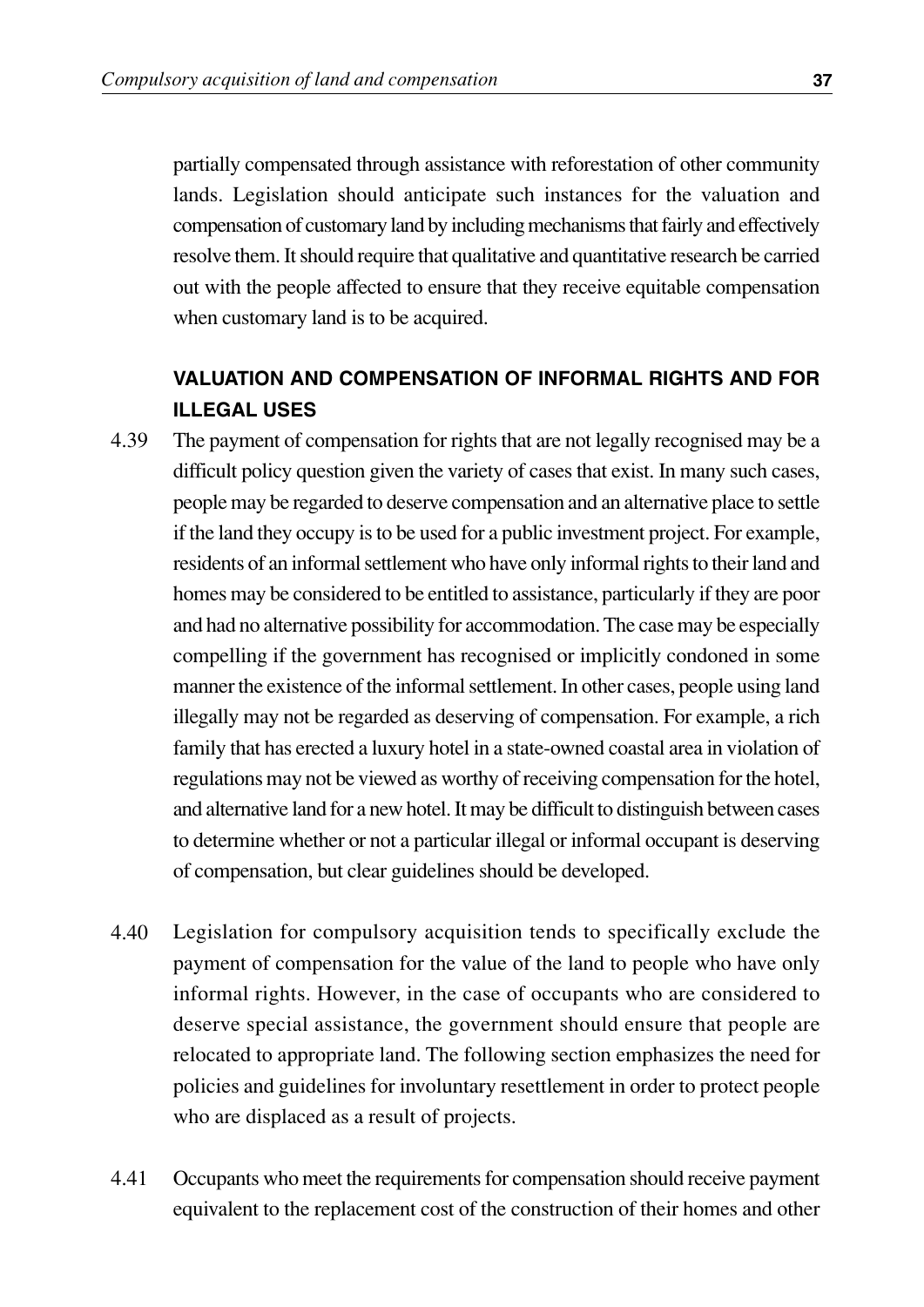partially compensated through assistance with reforestation of other community lands. Legislation should anticipate such instances for the valuation and compensation of customary land by including mechanisms that fairly and effectively resolve them. It should require that qualitative and quantitative research be carried out with the people affected to ensure that they receive equitable compensation when customary land is to be acquired.

#### **VALUATION AND COMPENSATION OF INFORMAL RIGHTS AND FOR ILLEGAL USES**

- The payment of compensation for rights that are not legally recognised may be a difficult policy question given the variety of cases that exist. In many such cases, people may be regarded to deserve compensation and an alternative place to settle if the land they occupy is to be used for a public investment project. For example, residents of an informal settlement who have only informal rights to their land and homes may be considered to be entitled to assistance, particularly if they are poor and had no alternative possibility for accommodation. The case may be especially compelling if the government has recognised or implicitly condoned in some manner the existence of the informal settlement. In other cases, people using land illegally may not be regarded as deserving of compensation. For example, a rich family that has erected a luxury hotel in a state-owned coastal area in violation of regulations may not be viewed as worthy of receiving compensation for the hotel, and alternative land for a new hotel. It may be difficult to distinguish between cases to determine whether or not a particular illegal or informal occupant is deserving of compensation, but clear guidelines should be developed. 4.39
- Legislation for compulsory acquisition tends to specifically exclude the payment of compensation for the value of the land to people who have only informal rights. However, in the case of occupants who are considered to deserve special assistance, the government should ensure that people are relocated to appropriate land. The following section emphasizes the need for policies and guidelines for involuntary resettlement in order to protect people who are displaced as a result of projects. 4.40
- Occupants who meet the requirements for compensation should receive payment equivalent to the replacement cost of the construction of their homes and other 4.41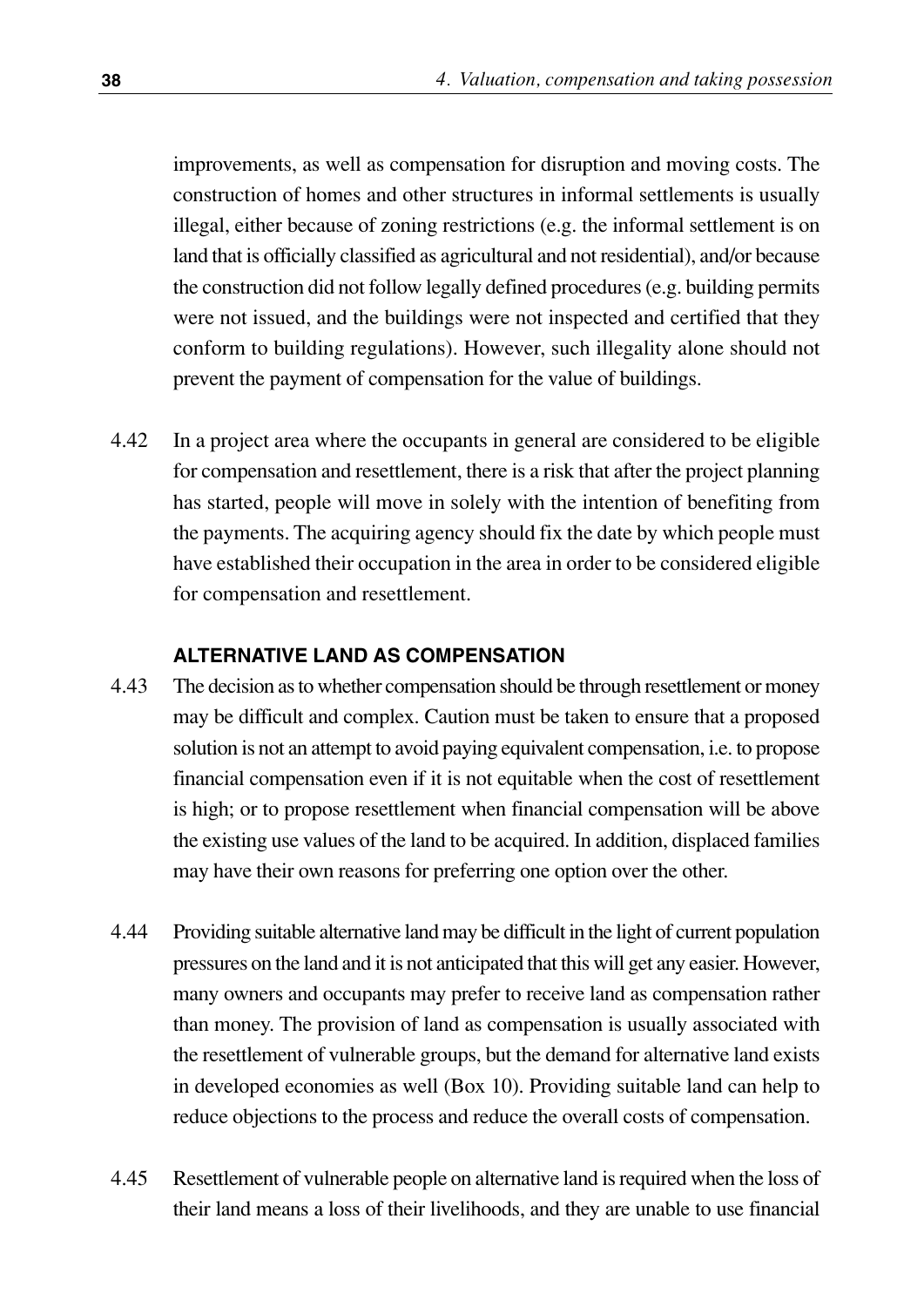improvements, as well as compensation for disruption and moving costs. The construction of homes and other structures in informal settlements is usually illegal, either because of zoning restrictions (e.g. the informal settlement is on land that is officially classified as agricultural and not residential), and/or because the construction did not follow legally defined procedures (e.g. building permits were not issued, and the buildings were not inspected and certified that they conform to building regulations). However, such illegality alone should not prevent the payment of compensation for the value of buildings.

In a project area where the occupants in general are considered to be eligible for compensation and resettlement, there is a risk that after the project planning has started, people will move in solely with the intention of benefiting from the payments. The acquiring agency should fix the date by which people must have established their occupation in the area in order to be considered eligible for compensation and resettlement. 4.42

#### **ALTERNATIVE LAND AS COMPENSATION**

- The decision as to whether compensation should be through resettlement or money may be difficult and complex. Caution must be taken to ensure that a proposed solution is not an attempt to avoid paying equivalent compensation, i.e. to propose financial compensation even if it is not equitable when the cost of resettlement is high; or to propose resettlement when financial compensation will be above the existing use values of the land to be acquired. In addition, displaced families may have their own reasons for preferring one option over the other. 4.43
- Providing suitable alternative land may be difficult in the light of current population pressures on the land and it is not anticipated that this will get any easier. However, many owners and occupants may prefer to receive land as compensation rather than money. The provision of land as compensation is usually associated with the resettlement of vulnerable groups, but the demand for alternative land exists in developed economies as well (Box 10). Providing suitable land can help to reduce objections to the process and reduce the overall costs of compensation. 4.44
- Resettlement of vulnerable people on alternative land is required when the loss of their land means a loss of their livelihoods, and they are unable to use financial 4.45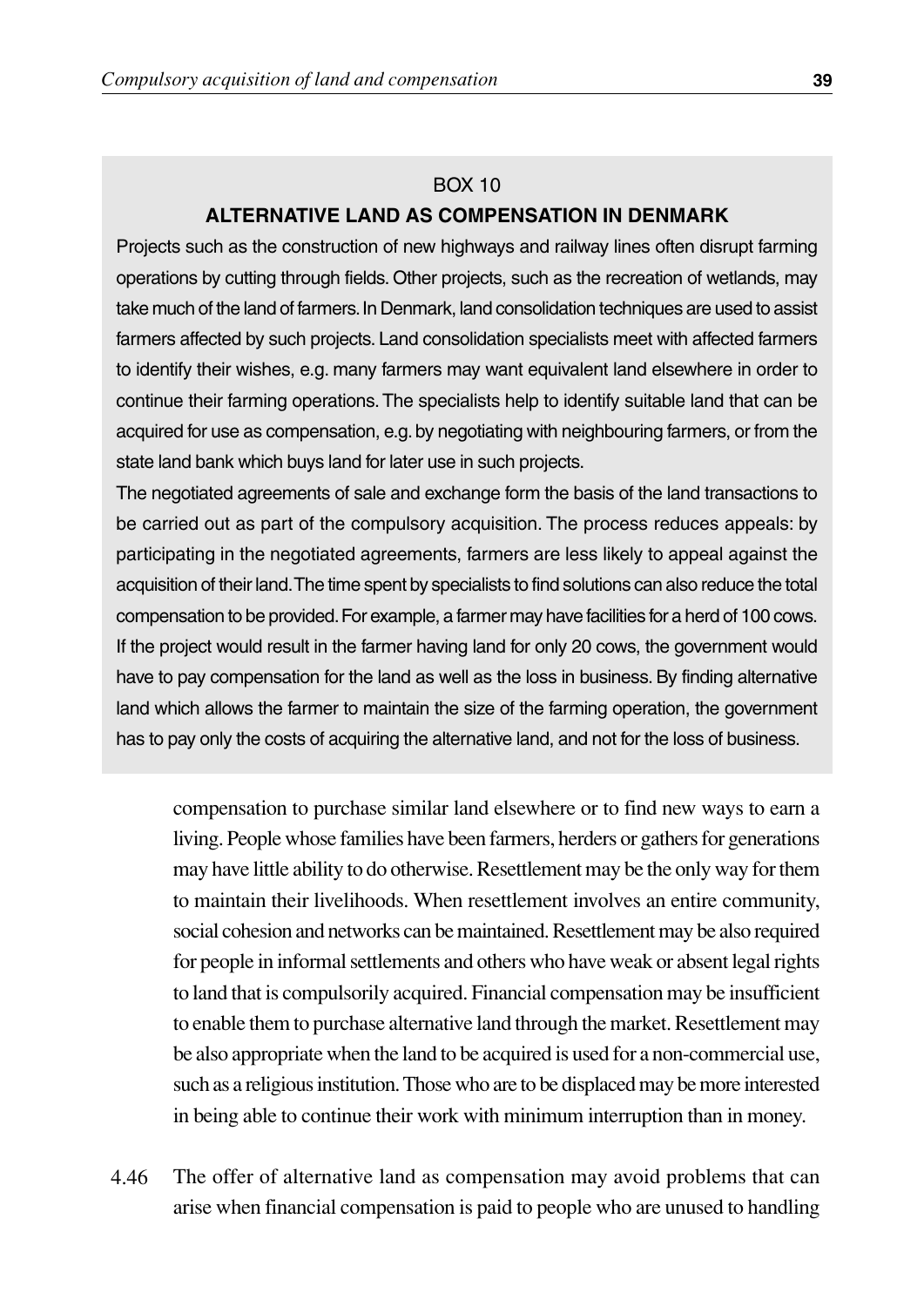#### BOX 10 **ALTERNATIVE LAND AS COMPENSATION IN DENMARK**

Projects such as the construction of new highways and railway lines often disrupt farming operations by cutting through fields. Other projects, such as the recreation of wetlands, may take much of the land of farmers.In Denmark, land consolidation techniques are used to assist farmers affected by such projects. Land consolidation specialists meet with affected farmers to identify their wishes, e.g. many farmers may want equivalent land elsewhere in order to continue their farming operations. The specialists help to identify suitable land that can be acquired for use as compensation, e.g.by negotiating with neighbouring farmers, or from the state land bank which buys land for later use in such projects.

The negotiated agreements of sale and exchange form the basis of the land transactions to be carried out as part of the compulsory acquisition. The process reduces appeals: by participating in the negotiated agreements, farmers are less likely to appeal against the acquisition of their land.The time spent by specialists to find solutions can also reduce the total compensation to be provided.For example, a farmer may have facilities for a herd of 100 cows. If the project would result in the farmer having land for only 20 cows, the government would have to pay compensation for the land as well as the loss in business. By finding alternative land which allows the farmer to maintain the size of the farming operation, the government has to pay only the costs of acquiring the alternative land, and not for the loss of business.

compensation to purchase similar land elsewhere or to find new ways to earn a living. People whose families have been farmers, herders or gathers for generations may have little ability to do otherwise. Resettlement may be the only way for them to maintain their livelihoods. When resettlement involves an entire community, social cohesion and networks can be maintained. Resettlement may be also required for people in informal settlements and others who have weak or absent legal rights to land that is compulsorily acquired. Financial compensation may be insufficient to enable them to purchase alternative land through the market. Resettlement may be also appropriate when the land to be acquired is used for a non-commercial use, such as a religious institution. Those who are to be displaced may be more interested in being able to continue their work with minimum interruption than in money.

The offer of alternative land as compensation may avoid problems that can arise when financial compensation is paid to people who are unused to handling 4.46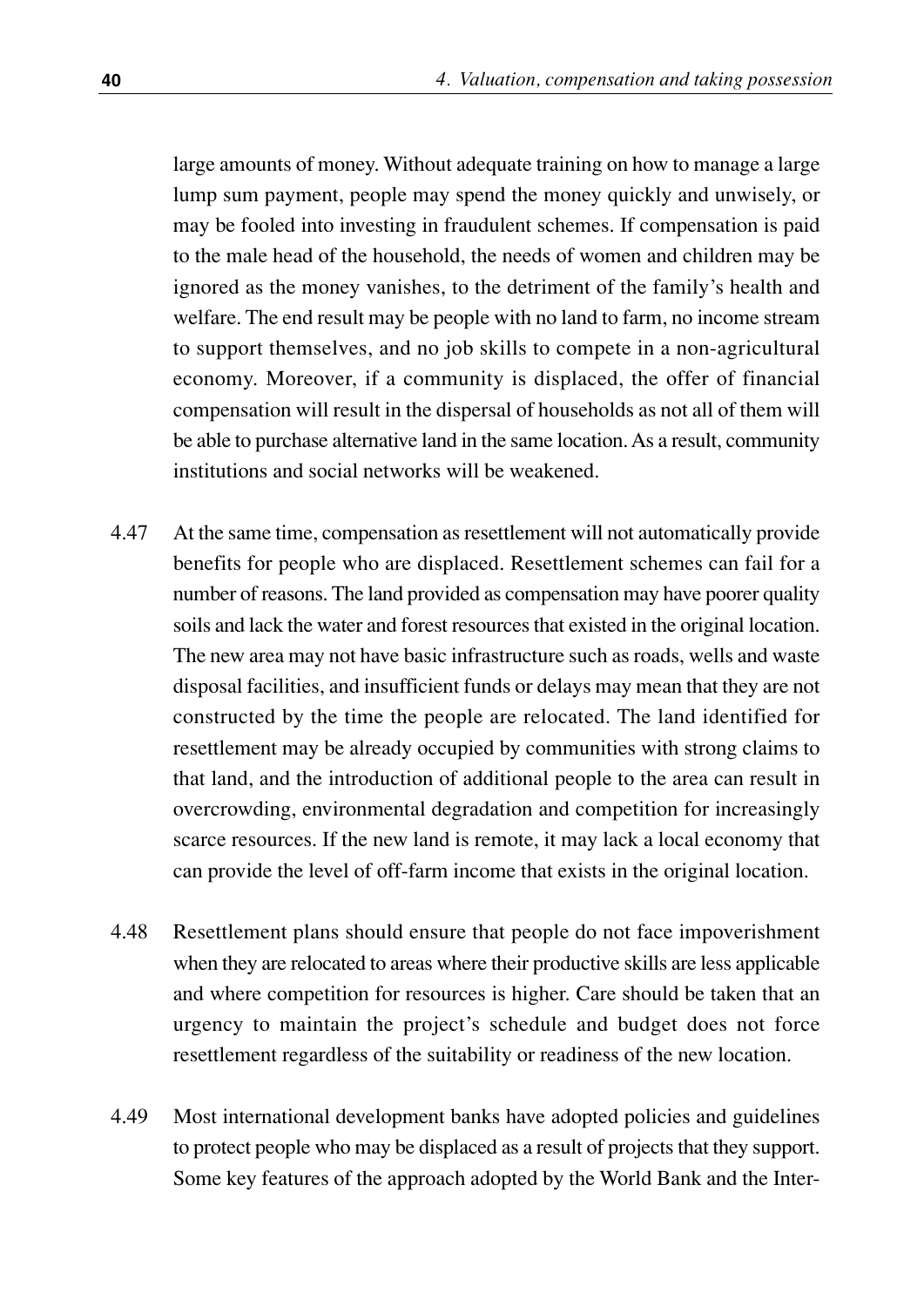large amounts of money. Without adequate training on how to manage a large lump sum payment, people may spend the money quickly and unwisely, or may be fooled into investing in fraudulent schemes. If compensation is paid to the male head of the household, the needs of women and children may be ignored as the money vanishes, to the detriment of the family's health and welfare. The end result may be people with no land to farm, no income stream to support themselves, and no job skills to compete in a non-agricultural economy. Moreover, if a community is displaced, the offer of financial compensation will result in the dispersal of households as not all of them will be able to purchase alternative land in the same location. As a result, community institutions and social networks will be weakened.

- At the same time, compensation as resettlement will not automatically provide benefits for people who are displaced. Resettlement schemes can fail for a number of reasons. The land provided as compensation may have poorer quality soils and lack the water and forest resources that existed in the original location. The new area may not have basic infrastructure such as roads, wells and waste disposal facilities, and insufficient funds or delays may mean that they are not constructed by the time the people are relocated. The land identified for resettlement may be already occupied by communities with strong claims to that land, and the introduction of additional people to the area can result in overcrowding, environmental degradation and competition for increasingly scarce resources. If the new land is remote, it may lack a local economy that can provide the level of off-farm income that exists in the original location. 4.47
- Resettlement plans should ensure that people do not face impoverishment when they are relocated to areas where their productive skills are less applicable and where competition for resources is higher. Care should be taken that an urgency to maintain the project's schedule and budget does not force resettlement regardless of the suitability or readiness of the new location. 4.48
- Most international development banks have adopted policies and guidelines to protect people who may be displaced as a result of projects that they support. Some key features of the approach adopted by the World Bank and the Inter-4.49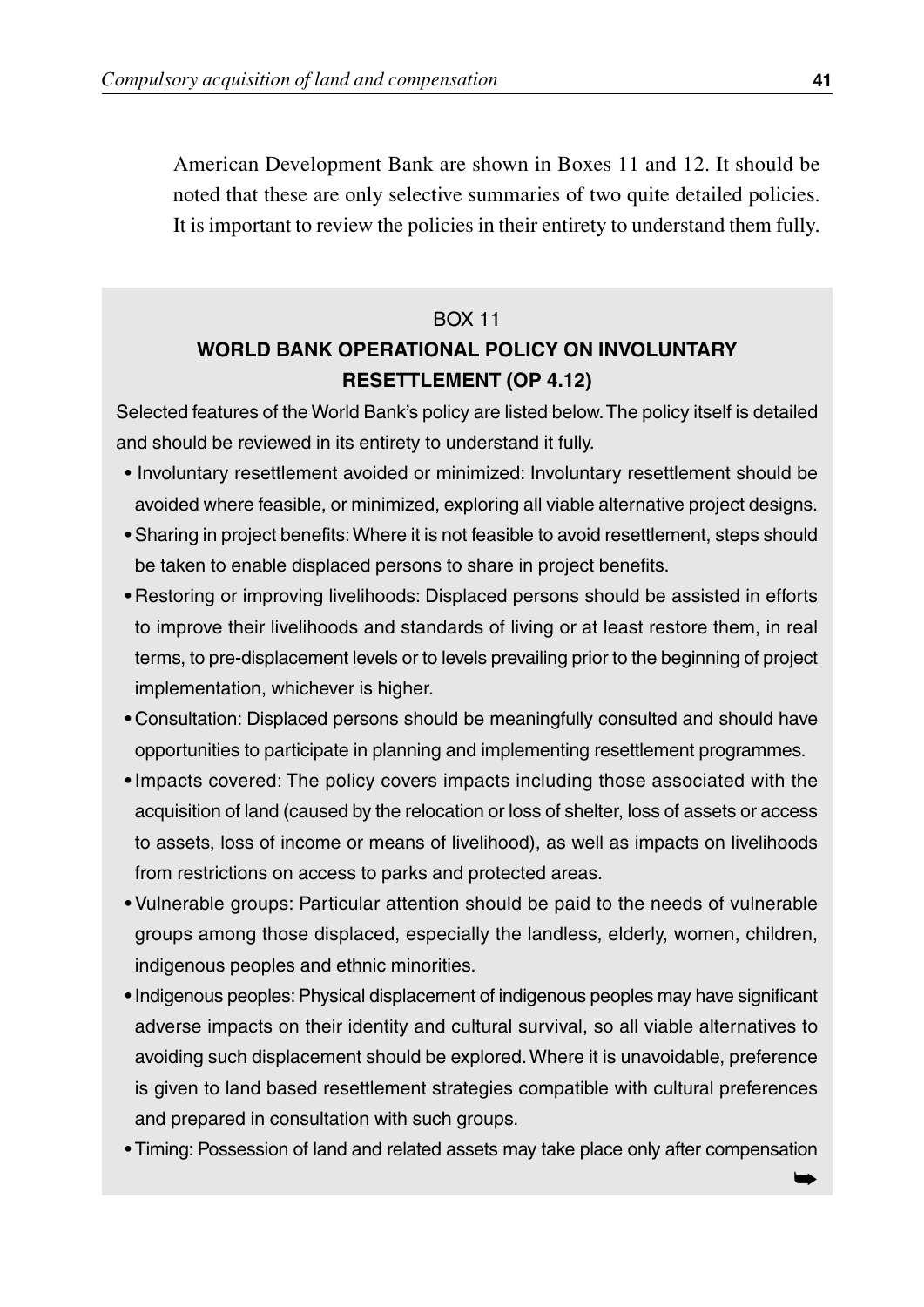American Development Bank are shown in Boxes 11 and 12. It should be noted that these are only selective summaries of two quite detailed policies. It is important to review the policies in their entirety to understand them fully.

#### BOX 11

#### **WORLD BANK OPERATIONAL POLICY ON INVOLUNTARY RESETTLEMENT (OP 4.12)**

Selected features of the World Bank's policy are listed below.The policy itself is detailed and should be reviewed in its entirety to understand it fully.

- Involuntary resettlement avoided or minimized: Involuntary resettlement should be avoided where feasible, or minimized, exploring all viable alternative project designs.
- Sharing in project benefits:Where it is not feasible to avoid resettlement, steps should be taken to enable displaced persons to share in project benefits.
- Restoring or improving livelihoods: Displaced persons should be assisted in efforts to improve their livelihoods and standards of living or at least restore them, in real terms, to pre-displacement levels or to levels prevailing prior to the beginning of project implementation, whichever is higher.
- Consultation: Displaced persons should be meaningfully consulted and should have opportunities to participate in planning and implementing resettlement programmes.
- Impacts covered: The policy covers impacts including those associated with the acquisition of land (caused by the relocation or loss of shelter, loss of assets or access to assets, loss of income or means of livelihood), as well as impacts on livelihoods from restrictions on access to parks and protected areas.
- Vulnerable groups: Particular attention should be paid to the needs of vulnerable groups among those displaced, especially the landless, elderly, women, children, indigenous peoples and ethnic minorities.
- Indigenous peoples: Physical displacement of indigenous peoples may have significant adverse impacts on their identity and cultural survival, so all viable alternatives to avoiding such displacement should be explored. Where it is unavoidable, preference is given to land based resettlement strategies compatible with cultural preferences and prepared in consultation with such groups.
- Timing: Possession of land and related assets may take place only after compensation

➥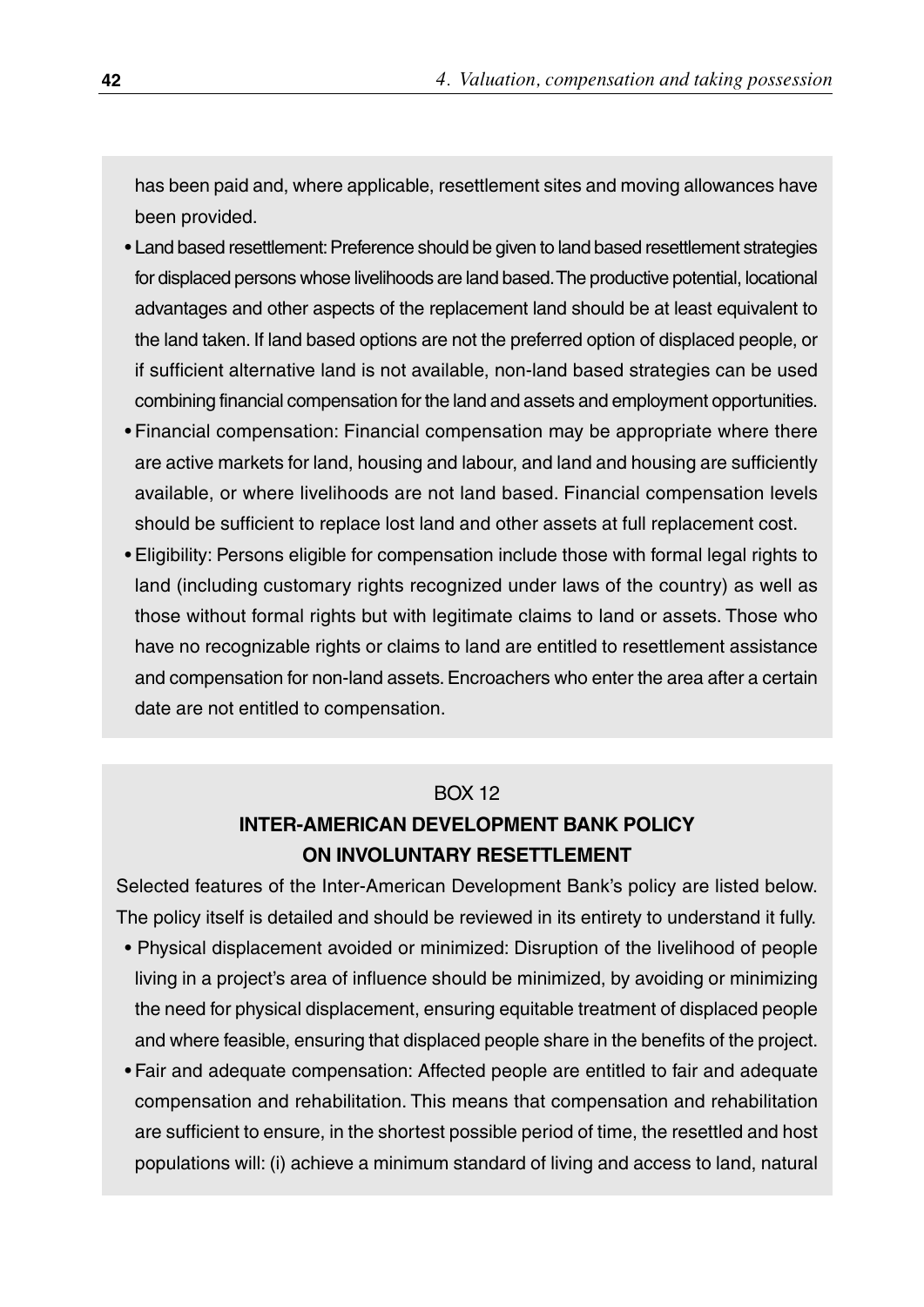has been paid and, where applicable, resettlement sites and moving allowances have been provided.

- Land based resettlement: Preference should be given to land based resettlement strategies for displaced persons whose livelihoods are land based.The productive potential, locational advantages and other aspects of the replacement land should be at least equivalent to the land taken. If land based options are not the preferred option of displaced people, or if sufficient alternative land is not available, non-land based strategies can be used combining financial compensation for the land and assets and employment opportunities.
- Financial compensation: Financial compensation may be appropriate where there are active markets for land, housing and labour, and land and housing are sufficiently available, or where livelihoods are not land based. Financial compensation levels should be sufficient to replace lost land and other assets at full replacement cost.
- Eligibility: Persons eligible for compensation include those with formal legal rights to land (including customary rights recognized under laws of the country) as well as those without formal rights but with legitimate claims to land or assets. Those who have no recognizable rights or claims to land are entitled to resettlement assistance and compensation for non-land assets. Encroachers who enter the area after a certain date are not entitled to compensation.

#### BOX 12

#### **INTER-AMERICAN DEVELOPMENT BANK POLICY ON INVOLUNTARY RESETTLEMENT**

Selected features of the Inter-American Development Bank's policy are listed below. The policy itself is detailed and should be reviewed in its entirety to understand it fully.

- Physical displacement avoided or minimized: Disruption of the livelihood of people living in a project's area of influence should be minimized, by avoiding or minimizing the need for physical displacement, ensuring equitable treatment of displaced people and where feasible, ensuring that displaced people share in the benefits of the project.
- Fair and adequate compensation: Affected people are entitled to fair and adequate compensation and rehabilitation. This means that compensation and rehabilitation are sufficient to ensure, in the shortest possible period of time, the resettled and host populations will: (i) achieve a minimum standard of living and access to land, natural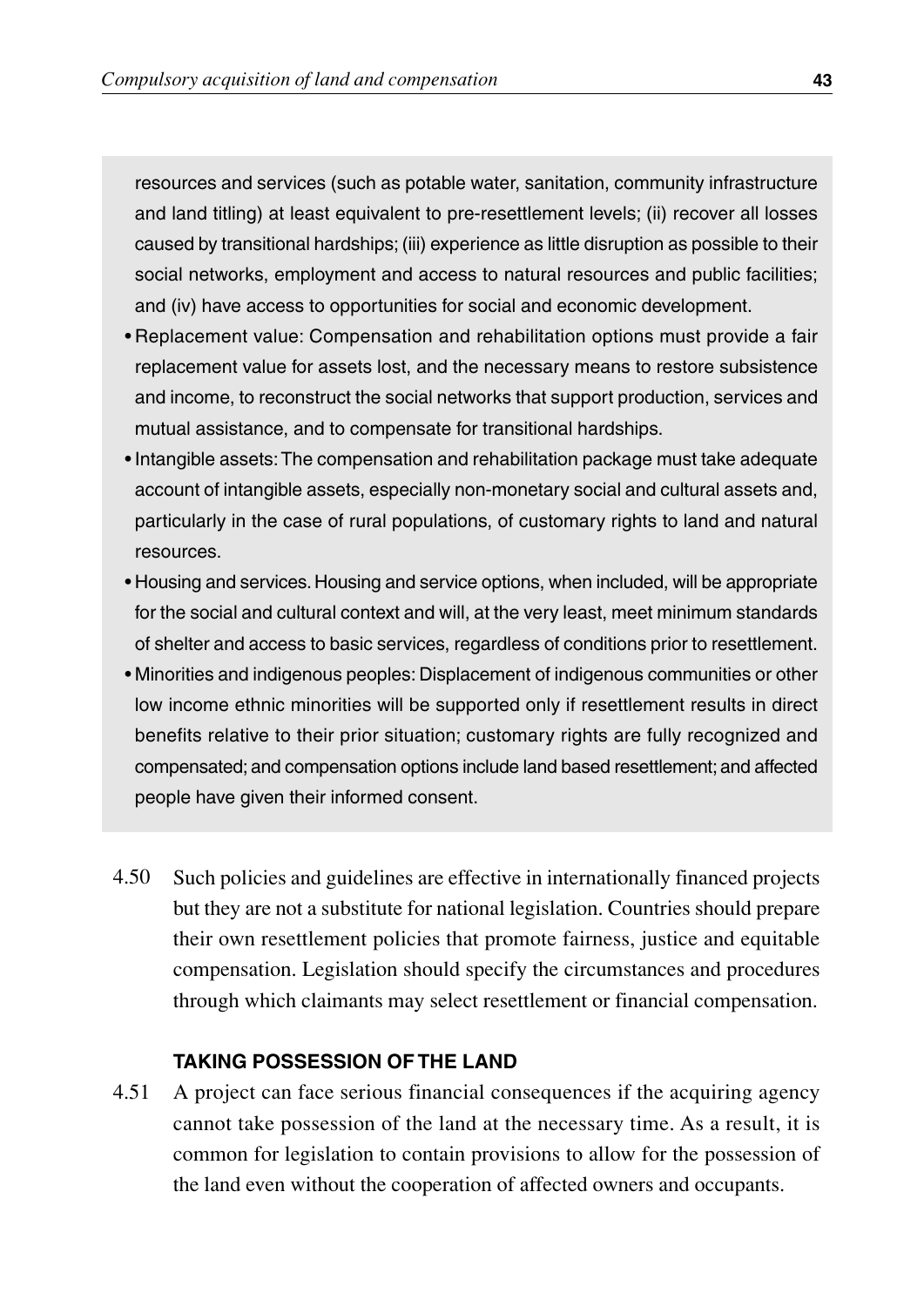resources and services (such as potable water, sanitation, community infrastructure and land titling) at least equivalent to pre-resettlement levels; (ii) recover all losses caused by transitional hardships; (iii) experience as little disruption as possible to their social networks, employment and access to natural resources and public facilities; and (iv) have access to opportunities for social and economic development.

- Replacement value: Compensation and rehabilitation options must provide a fair replacement value for assets lost, and the necessary means to restore subsistence and income, to reconstruct the social networks that support production, services and mutual assistance, and to compensate for transitional hardships.
- Intangible assets:The compensation and rehabilitation package must take adequate account of intangible assets, especially non-monetary social and cultural assets and, particularly in the case of rural populations, of customary rights to land and natural resources.
- Housing and services. Housing and service options, when included, will be appropriate for the social and cultural context and will, at the very least, meet minimum standards of shelter and access to basic services, regardless of conditions prior to resettlement.
- Minorities and indigenous peoples: Displacement of indigenous communities or other low income ethnic minorities will be supported only if resettlement results in direct benefits relative to their prior situation; customary rights are fully recognized and compensated; and compensation options include land based resettlement; and affected people have given their informed consent.
- 4.50 Such policies and guidelines are effective in internationally financed projects but they are not a substitute for national legislation. Countries should prepare their own resettlement policies that promote fairness, justice and equitable compensation. Legislation should specify the circumstances and procedures through which claimants may select resettlement or financial compensation.

#### **TAKING POSSESSION OF THE LAND**

4.51 A project can face serious financial consequences if the acquiring agency cannot take possession of the land at the necessary time. As a result, it is common for legislation to contain provisions to allow for the possession of the land even without the cooperation of affected owners and occupants.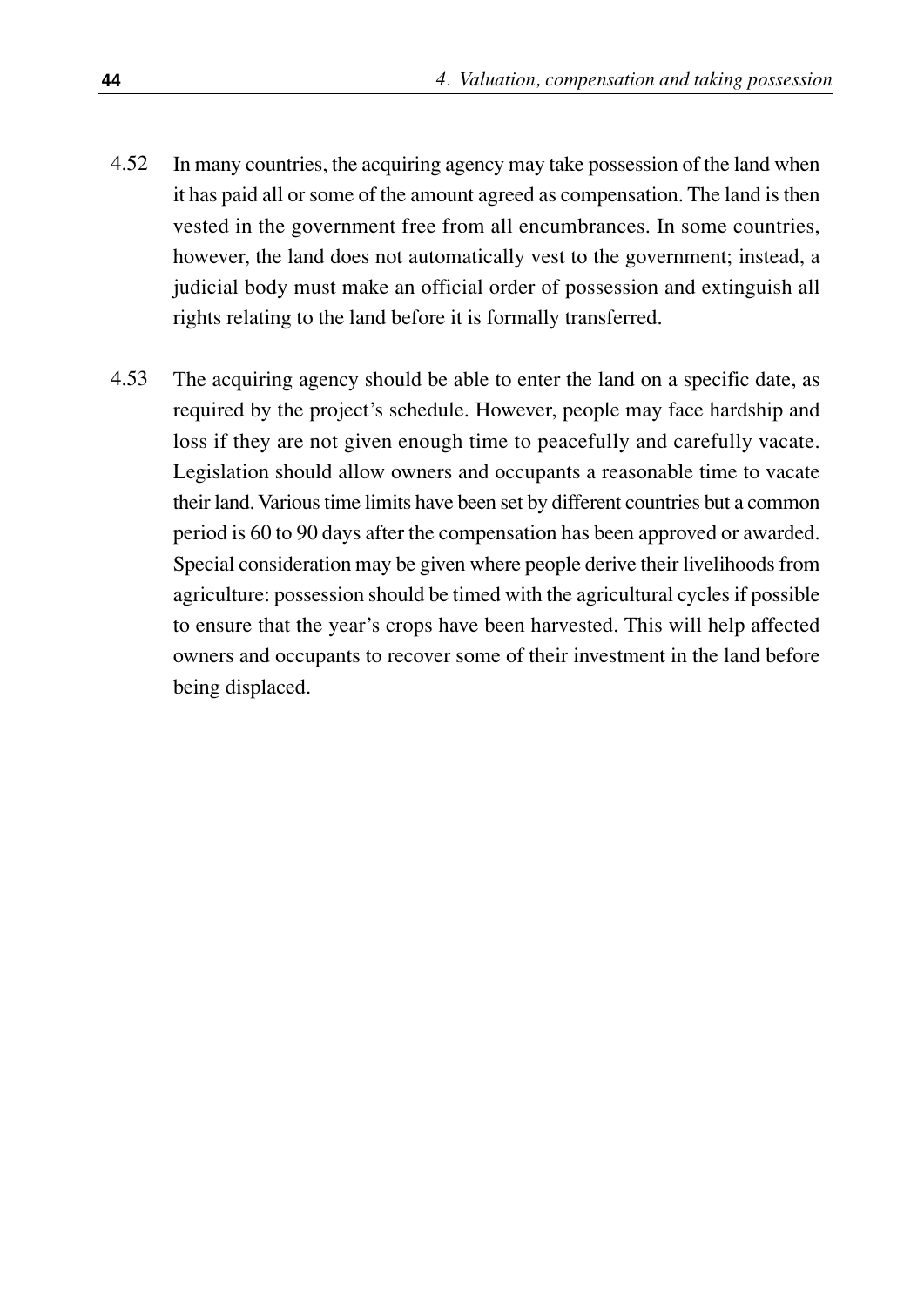- In many countries, the acquiring agency may take possession of the land when it has paid all or some of the amount agreed as compensation. The land is then vested in the government free from all encumbrances. In some countries, however, the land does not automatically vest to the government; instead, a judicial body must make an official order of possession and extinguish all rights relating to the land before it is formally transferred. 4.52
- The acquiring agency should be able to enter the land on a specific date, as required by the project's schedule. However, people may face hardship and loss if they are not given enough time to peacefully and carefully vacate. Legislation should allow owners and occupants a reasonable time to vacate their land. Various time limits have been set by different countries but a common period is 60 to 90 days after the compensation has been approved or awarded. Special consideration may be given where people derive their livelihoods from agriculture: possession should be timed with the agricultural cycles if possible to ensure that the year's crops have been harvested. This will help affected owners and occupants to recover some of their investment in the land before being displaced. 4.53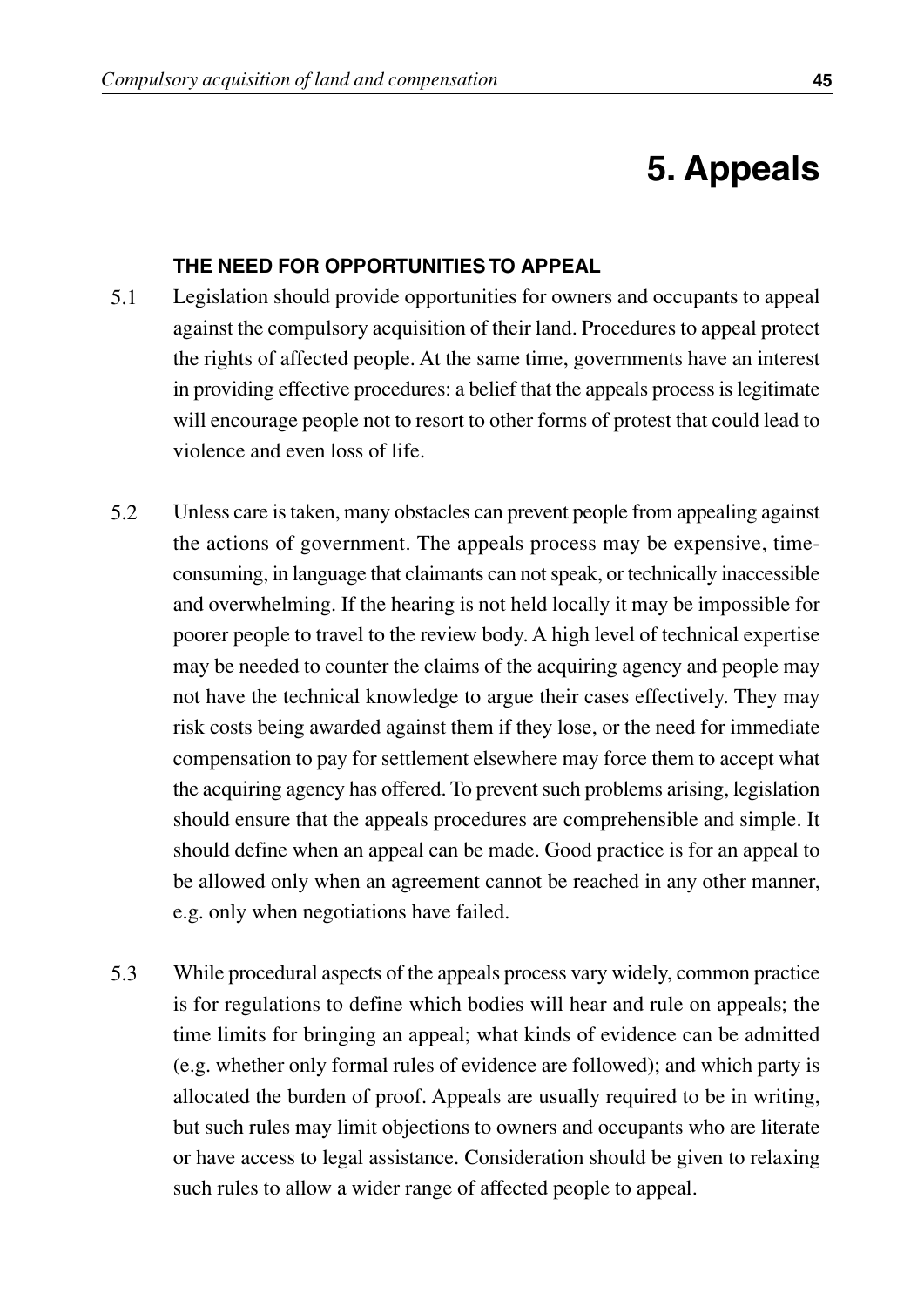## **5. Appeals**

#### **THE NEED FOR OPPORTUNITIES TO APPEAL**

- Legislation should provide opportunities for owners and occupants to appeal against the compulsory acquisition of their land. Procedures to appeal protect the rights of affected people. At the same time, governments have an interest in providing effective procedures: a belief that the appeals process is legitimate will encourage people not to resort to other forms of protest that could lead to violence and even loss of life. 5.1
- Unless care is taken, many obstacles can prevent people from appealing against the actions of government. The appeals process may be expensive, timeconsuming, in language that claimants can not speak, or technically inaccessible and overwhelming. If the hearing is not held locally it may be impossible for poorer people to travel to the review body. A high level of technical expertise may be needed to counter the claims of the acquiring agency and people may not have the technical knowledge to argue their cases effectively. They may risk costs being awarded against them if they lose, or the need for immediate compensation to pay for settlement elsewhere may force them to accept what the acquiring agency has offered. To prevent such problems arising, legislation should ensure that the appeals procedures are comprehensible and simple. It should define when an appeal can be made. Good practice is for an appeal to be allowed only when an agreement cannot be reached in any other manner, e.g. only when negotiations have failed. 5.2
- While procedural aspects of the appeals process vary widely, common practice is for regulations to define which bodies will hear and rule on appeals; the time limits for bringing an appeal; what kinds of evidence can be admitted (e.g. whether only formal rules of evidence are followed); and which party is allocated the burden of proof. Appeals are usually required to be in writing, but such rules may limit objections to owners and occupants who are literate or have access to legal assistance. Consideration should be given to relaxing such rules to allow a wider range of affected people to appeal. 5.3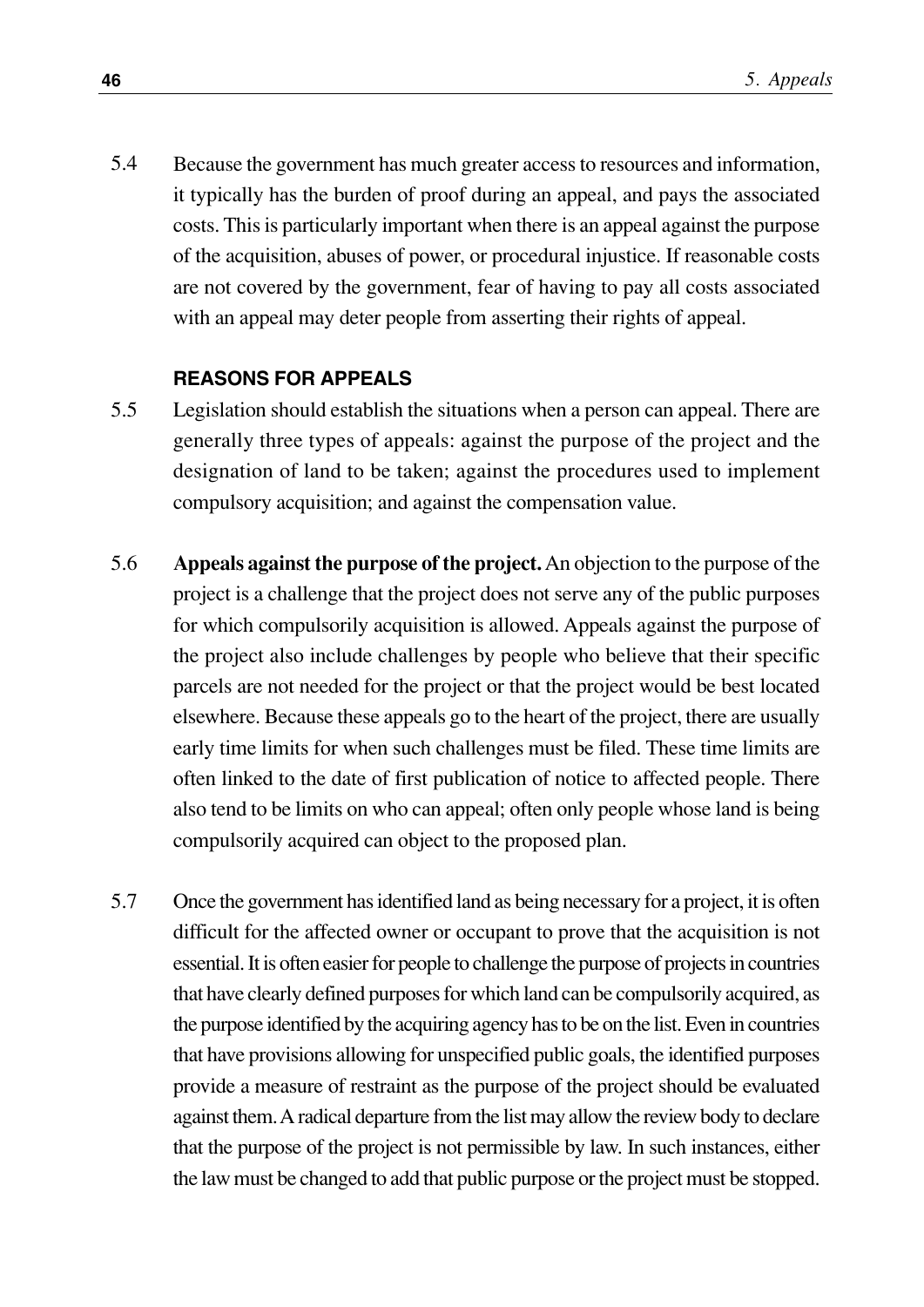Because the government has much greater access to resources and information, it typically has the burden of proof during an appeal, and pays the associated costs. This is particularly important when there is an appeal against the purpose of the acquisition, abuses of power, or procedural injustice. If reasonable costs are not covered by the government, fear of having to pay all costs associated with an appeal may deter people from asserting their rights of appeal. 5.4

#### **REASONS FOR APPEALS**

- Legislation should establish the situations when a person can appeal. There are generally three types of appeals: against the purpose of the project and the designation of land to be taken; against the procedures used to implement compulsory acquisition; and against the compensation value. 5.5
- **Appeals against the purpose of the project.**An objection to the purpose of the project is a challenge that the project does not serve any of the public purposes for which compulsorily acquisition is allowed. Appeals against the purpose of the project also include challenges by people who believe that their specific parcels are not needed for the project or that the project would be best located elsewhere. Because these appeals go to the heart of the project, there are usually early time limits for when such challenges must be filed. These time limits are often linked to the date of first publication of notice to affected people. There also tend to be limits on who can appeal; often only people whose land is being compulsorily acquired can object to the proposed plan. 5.6
- Once the government has identified land as being necessary for a project, it is often difficult for the affected owner or occupant to prove that the acquisition is not essential. It is often easier for people to challenge the purpose of projects in countries that have clearly defined purposes for which land can be compulsorily acquired, as the purpose identified by the acquiring agency has to be on the list. Even in countries that have provisions allowing for unspecified public goals, the identified purposes provide a measure of restraint as the purpose of the project should be evaluated against them. A radical departure from the list may allow the review body to declare that the purpose of the project is not permissible by law. In such instances, either the law must be changed to add that public purpose or the project must be stopped. 5.7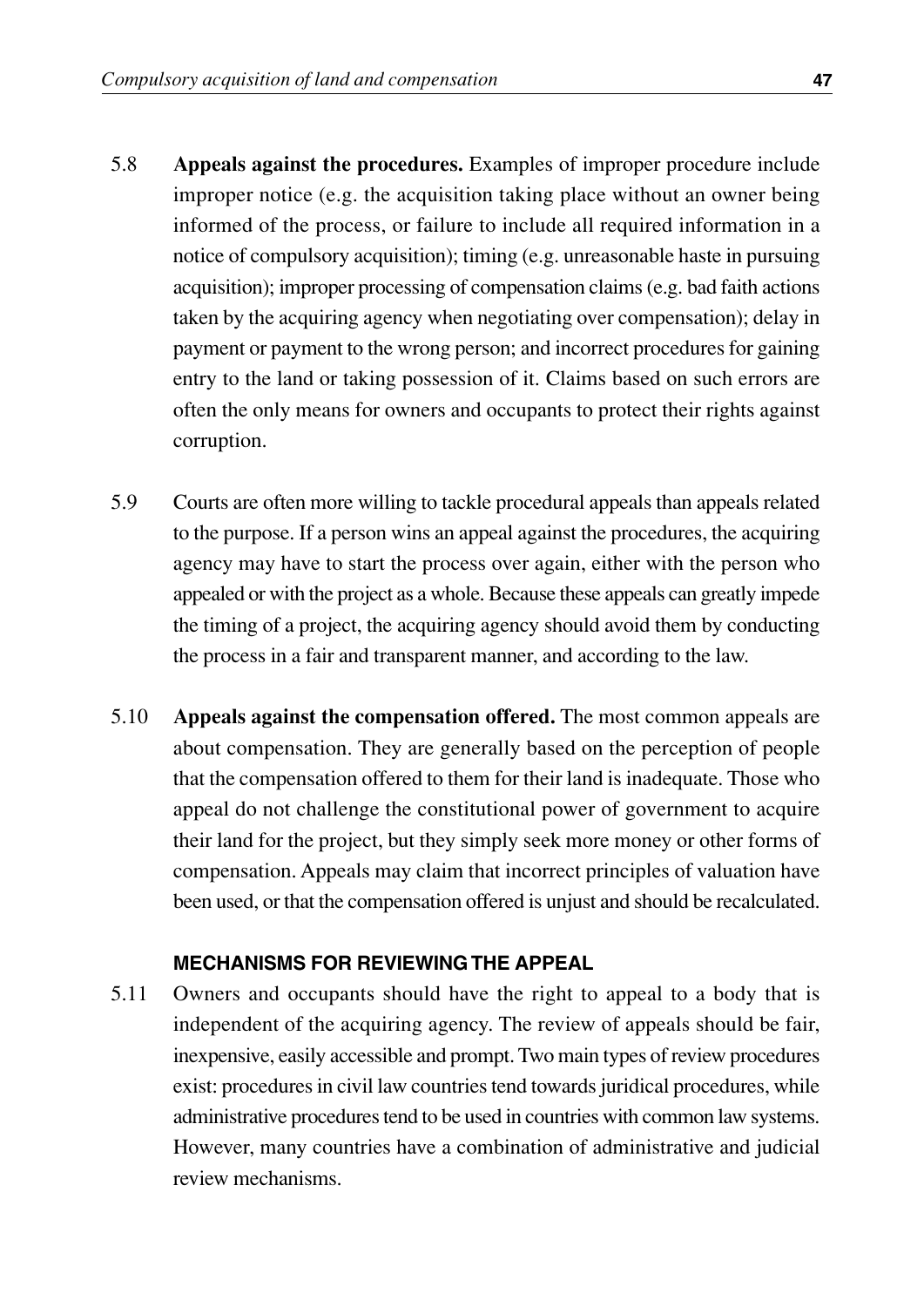- 5.8 **Appeals against the procedures.** Examples of improper procedure include improper notice (e.g. the acquisition taking place without an owner being informed of the process, or failure to include all required information in a notice of compulsory acquisition); timing (e.g. unreasonable haste in pursuing acquisition); improper processing of compensation claims (e.g. bad faith actions taken by the acquiring agency when negotiating over compensation); delay in payment or payment to the wrong person; and incorrect procedures for gaining entry to the land or taking possession of it. Claims based on such errors are often the only means for owners and occupants to protect their rights against corruption.
- 5.9 Courts are often more willing to tackle procedural appeals than appeals related to the purpose. If a person wins an appeal against the procedures, the acquiring agency may have to start the process over again, either with the person who appealed or with the project as a whole. Because these appeals can greatly impede the timing of a project, the acquiring agency should avoid them by conducting the process in a fair and transparent manner, and according to the law.
- 5.10 **Appeals against the compensation offered.** The most common appeals are about compensation. They are generally based on the perception of people that the compensation offered to them for their land is inadequate. Those who appeal do not challenge the constitutional power of government to acquire their land for the project, but they simply seek more money or other forms of compensation. Appeals may claim that incorrect principles of valuation have been used, or that the compensation offered is unjust and should be recalculated.

#### **MECHANISMS FOR REVIEWING THE APPEAL**

5.11 Owners and occupants should have the right to appeal to a body that is independent of the acquiring agency. The review of appeals should be fair, inexpensive, easily accessible and prompt. Two main types of review procedures exist: procedures in civil law countries tend towards juridical procedures, while administrative procedures tend to be used in countries with common law systems. However, many countries have a combination of administrative and judicial review mechanisms.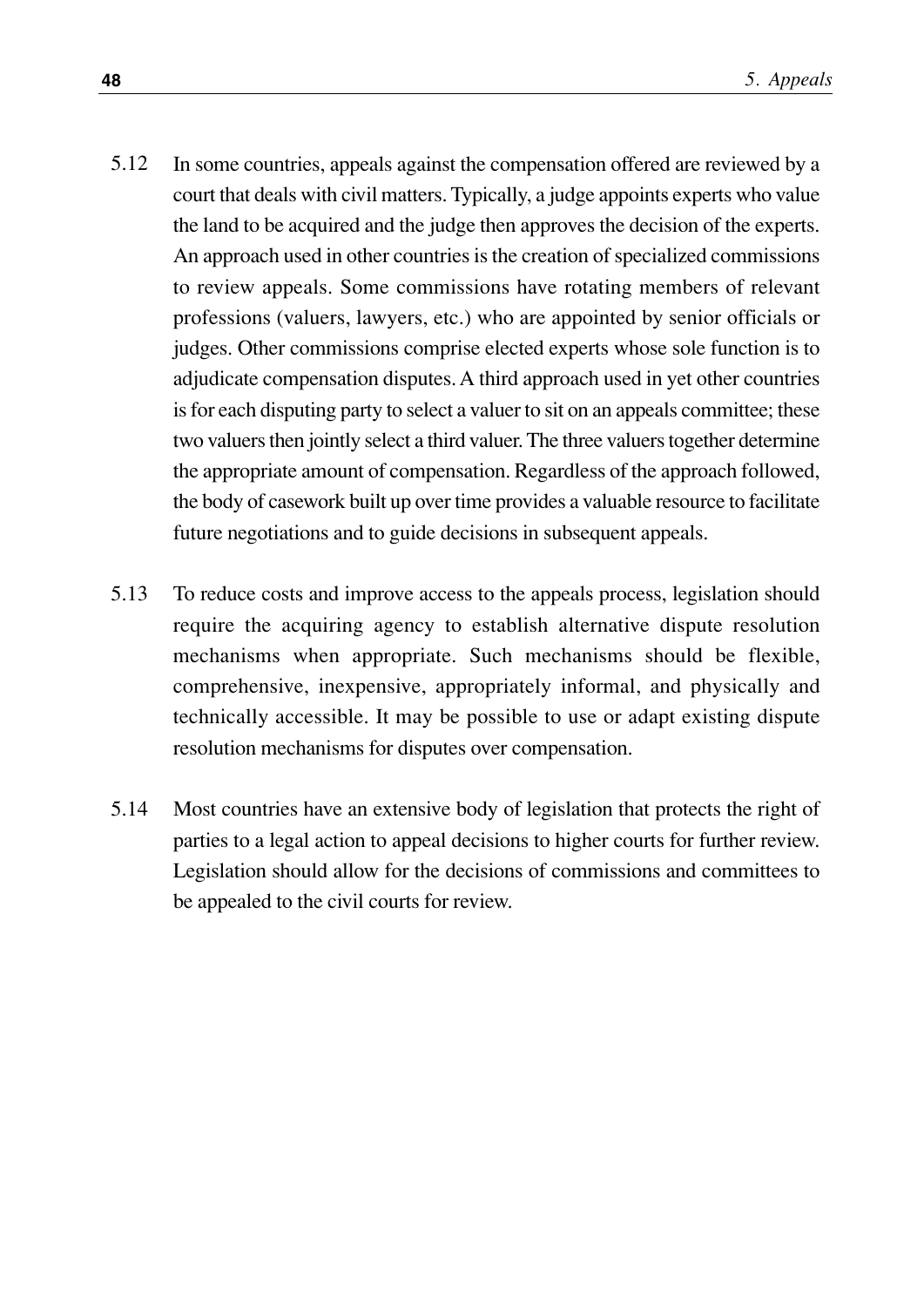- In some countries, appeals against the compensation offered are reviewed by a court that deals with civil matters. Typically, a judge appoints experts who value the land to be acquired and the judge then approves the decision of the experts. An approach used in other countries is the creation of specialized commissions to review appeals. Some commissions have rotating members of relevant professions (valuers, lawyers, etc.) who are appointed by senior officials or judges. Other commissions comprise elected experts whose sole function is to adjudicate compensation disputes. A third approach used in yet other countries is for each disputing party to select a valuer to sit on an appeals committee; these two valuers then jointly select a third valuer. The three valuers together determine the appropriate amount of compensation. Regardless of the approach followed, the body of casework built up over time provides a valuable resource to facilitate future negotiations and to guide decisions in subsequent appeals. 5.12
- To reduce costs and improve access to the appeals process, legislation should require the acquiring agency to establish alternative dispute resolution mechanisms when appropriate. Such mechanisms should be flexible, comprehensive, inexpensive, appropriately informal, and physically and technically accessible. It may be possible to use or adapt existing dispute resolution mechanisms for disputes over compensation. 5.13
- Most countries have an extensive body of legislation that protects the right of parties to a legal action to appeal decisions to higher courts for further review. Legislation should allow for the decisions of commissions and committees to be appealed to the civil courts for review. 5.14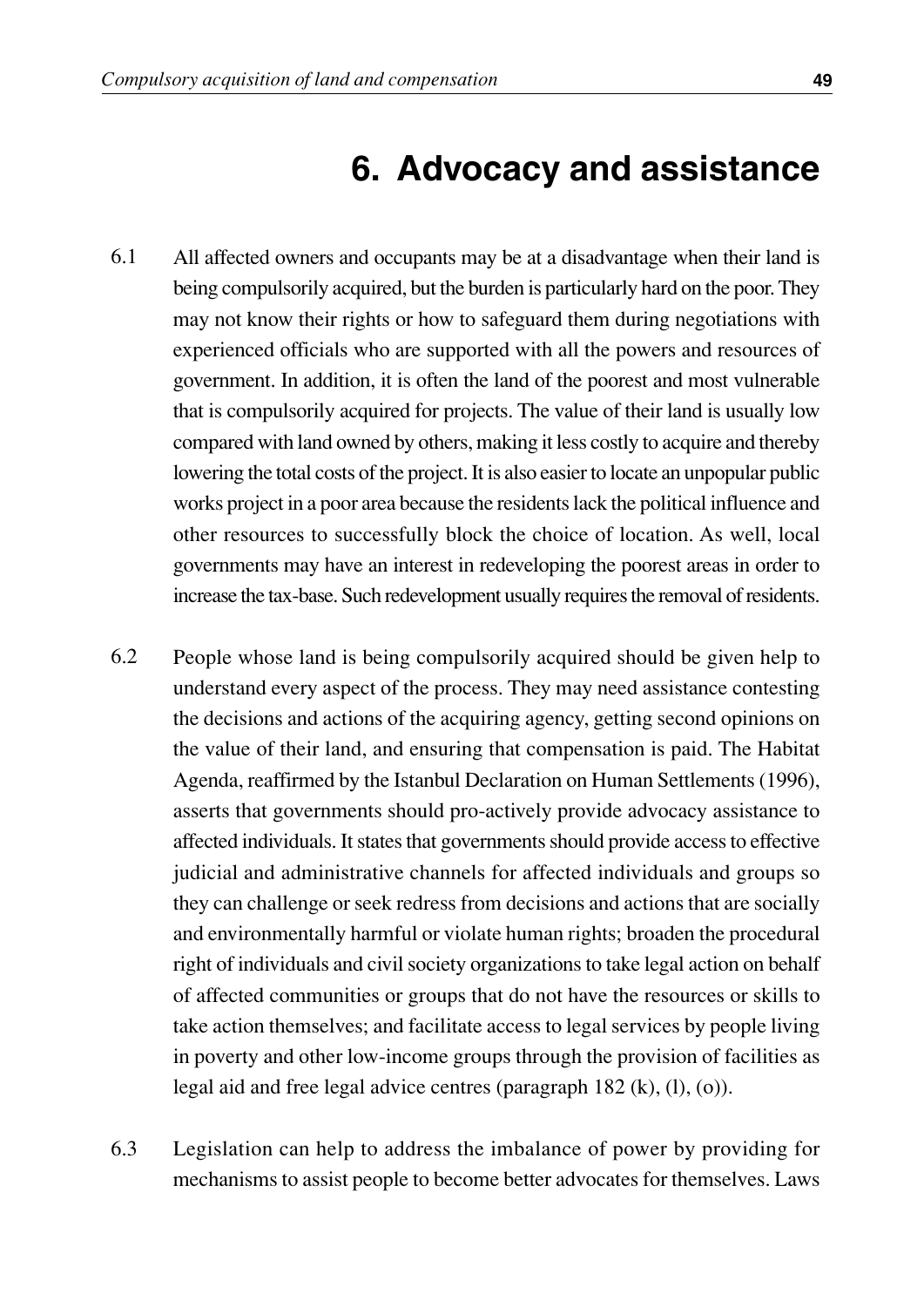## **6. Advocacy and assistance**

- All affected owners and occupants may be at a disadvantage when their land is being compulsorily acquired, but the burden is particularly hard on the poor. They may not know their rights or how to safeguard them during negotiations with experienced officials who are supported with all the powers and resources of government. In addition, it is often the land of the poorest and most vulnerable that is compulsorily acquired for projects. The value of their land is usually low compared with land owned by others, making it less costly to acquire and thereby lowering the total costs of the project. It is also easier to locate an unpopular public works project in a poor area because the residents lack the political influence and other resources to successfully block the choice of location. As well, local governments may have an interest in redeveloping the poorest areas in order to increase the tax-base. Such redevelopment usually requires the removal of residents. 6.1
- People whose land is being compulsorily acquired should be given help to understand every aspect of the process. They may need assistance contesting the decisions and actions of the acquiring agency, getting second opinions on the value of their land, and ensuring that compensation is paid. The Habitat Agenda, reaffirmed by the Istanbul Declaration on Human Settlements (1996), asserts that governments should pro-actively provide advocacy assistance to affected individuals. It states that governments should provide access to effective judicial and administrative channels for affected individuals and groups so they can challenge or seek redress from decisions and actions that are socially and environmentally harmful or violate human rights; broaden the procedural right of individuals and civil society organizations to take legal action on behalf of affected communities or groups that do not have the resources or skills to take action themselves; and facilitate access to legal services by people living in poverty and other low-income groups through the provision of facilities as legal aid and free legal advice centres (paragraph 182 (k), (l), (o)). 6.2
- Legislation can help to address the imbalance of power by providing for mechanisms to assist people to become better advocates for themselves. Laws 6.3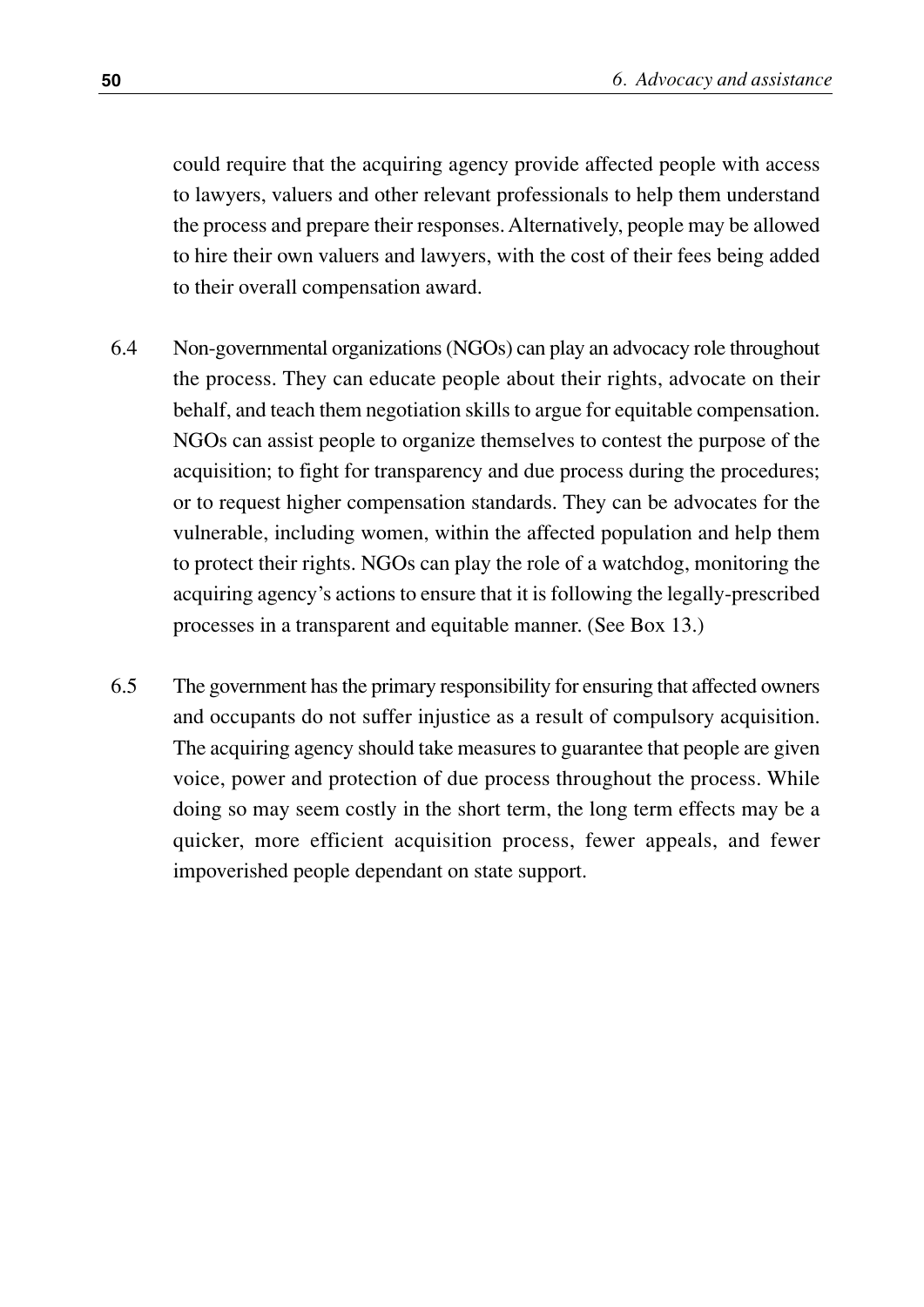could require that the acquiring agency provide affected people with access to lawyers, valuers and other relevant professionals to help them understand the process and prepare their responses. Alternatively, people may be allowed to hire their own valuers and lawyers, with the cost of their fees being added to their overall compensation award.

- Non-governmental organizations (NGOs) can play an advocacy role throughout the process. They can educate people about their rights, advocate on their behalf, and teach them negotiation skills to argue for equitable compensation. NGOs can assist people to organize themselves to contest the purpose of the acquisition; to fight for transparency and due process during the procedures; or to request higher compensation standards. They can be advocates for the vulnerable, including women, within the affected population and help them to protect their rights. NGOs can play the role of a watchdog, monitoring the acquiring agency's actions to ensure that it is following the legally-prescribed processes in a transparent and equitable manner. (See Box 13.) 6.4
- The government has the primary responsibility for ensuring that affected owners and occupants do not suffer injustice as a result of compulsory acquisition. The acquiring agency should take measures to guarantee that people are given voice, power and protection of due process throughout the process. While doing so may seem costly in the short term, the long term effects may be a quicker, more efficient acquisition process, fewer appeals, and fewer impoverished people dependant on state support. 6.5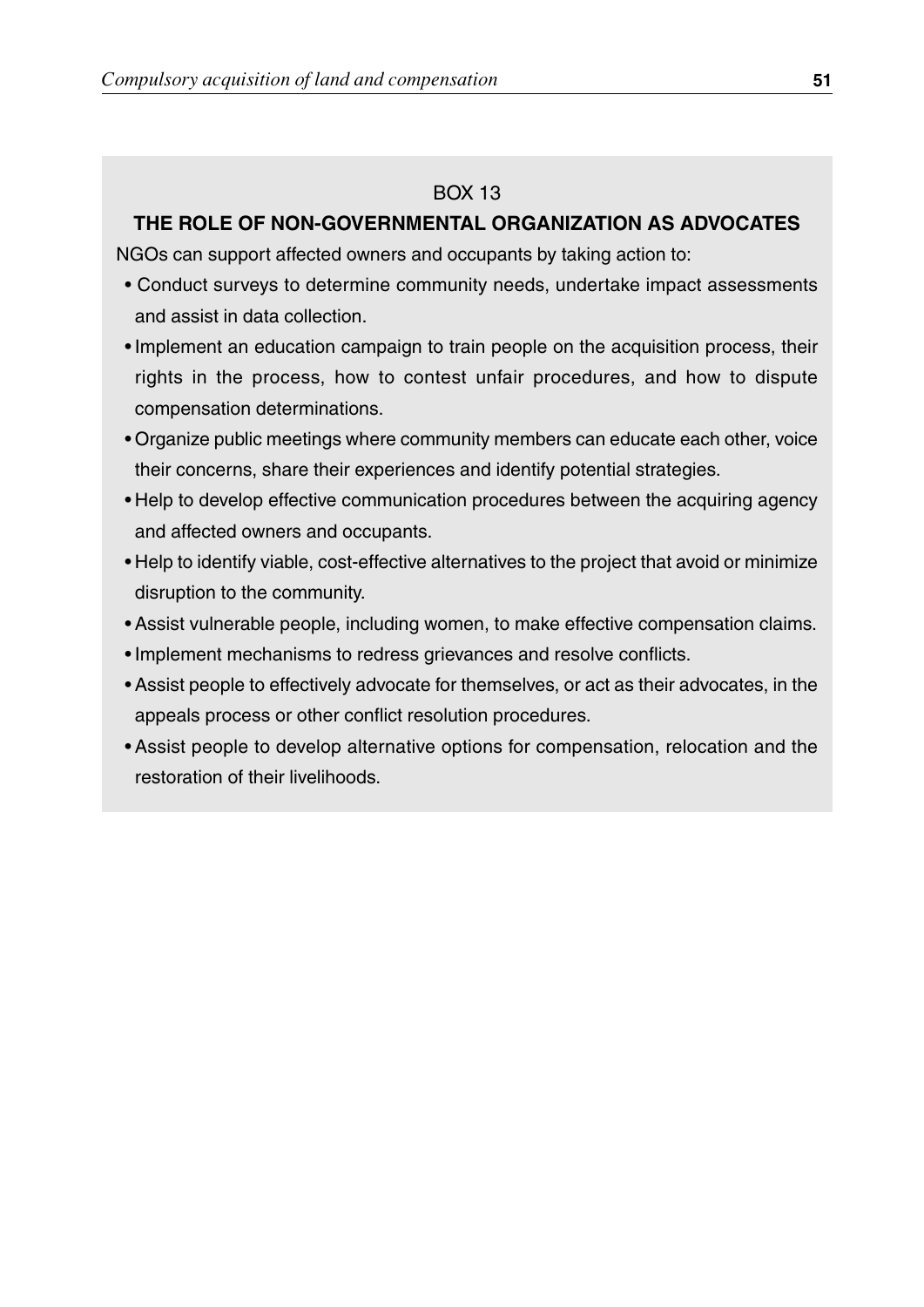#### BOX 13

#### **THE ROLE OF NON-GOVERNMENTAL ORGANIZATION AS ADVOCATES**

NGOs can support affected owners and occupants by taking action to:

- Conduct surveys to determine community needs, undertake impact assessments and assist in data collection.
- Implement an education campaign to train people on the acquisition process, their rights in the process, how to contest unfair procedures, and how to dispute compensation determinations.
- Organize public meetings where community members can educate each other, voice their concerns, share their experiences and identify potential strategies.
- Help to develop effective communication procedures between the acquiring agency and affected owners and occupants.
- Help to identify viable, cost-effective alternatives to the project that avoid or minimize disruption to the community.
- Assist vulnerable people, including women, to make effective compensation claims.
- Implement mechanisms to redress grievances and resolve conflicts.
- Assist people to effectively advocate for themselves, or act as their advocates, in the appeals process or other conflict resolution procedures.
- Assist people to develop alternative options for compensation, relocation and the restoration of their livelihoods.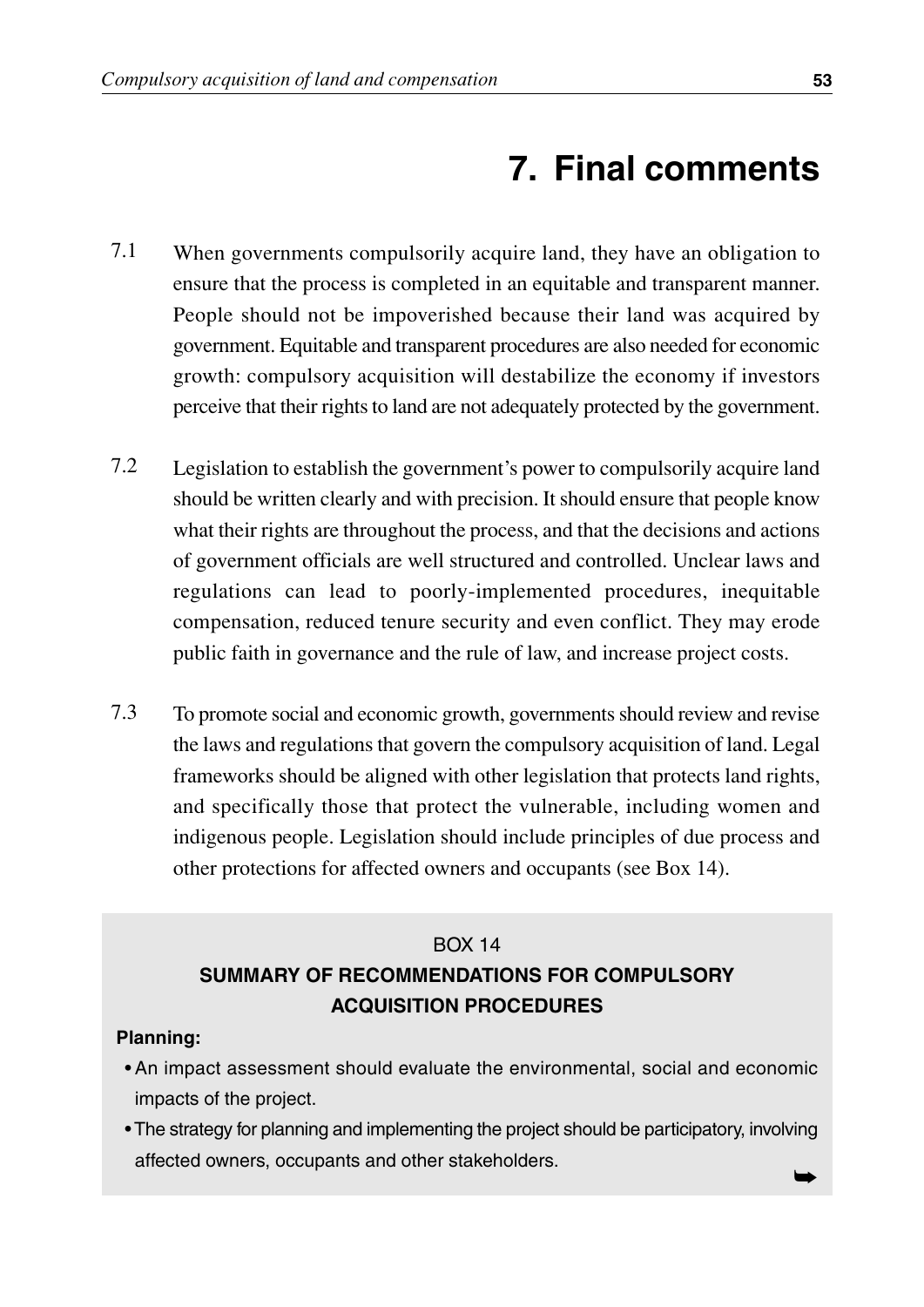## **7. Final comments**

- When governments compulsorily acquire land, they have an obligation to ensure that the process is completed in an equitable and transparent manner. People should not be impoverished because their land was acquired by government. Equitable and transparent procedures are also needed for economic growth: compulsory acquisition will destabilize the economy if investors perceive that their rights to land are not adequately protected by the government. 7.1
- Legislation to establish the government's power to compulsorily acquire land should be written clearly and with precision. It should ensure that people know what their rights are throughout the process, and that the decisions and actions of government officials are well structured and controlled. Unclear laws and regulations can lead to poorly-implemented procedures, inequitable compensation, reduced tenure security and even conflict. They may erode public faith in governance and the rule of law, and increase project costs. 7.2
- To promote social and economic growth, governments should review and revise the laws and regulations that govern the compulsory acquisition of land. Legal frameworks should be aligned with other legislation that protects land rights, and specifically those that protect the vulnerable, including women and indigenous people. Legislation should include principles of due process and other protections for affected owners and occupants (see Box 14). 7.3

#### BOX 14

#### **SUMMARY OF RECOMMENDATIONS FOR COMPULSORY ACQUISITION PROCEDURES**

#### **Planning:**

- An impact assessment should evaluate the environmental, social and economic impacts of the project.
- The strategy for planning and implementing the project should be participatory, involving affected owners, occupants and other stakeholders. ➥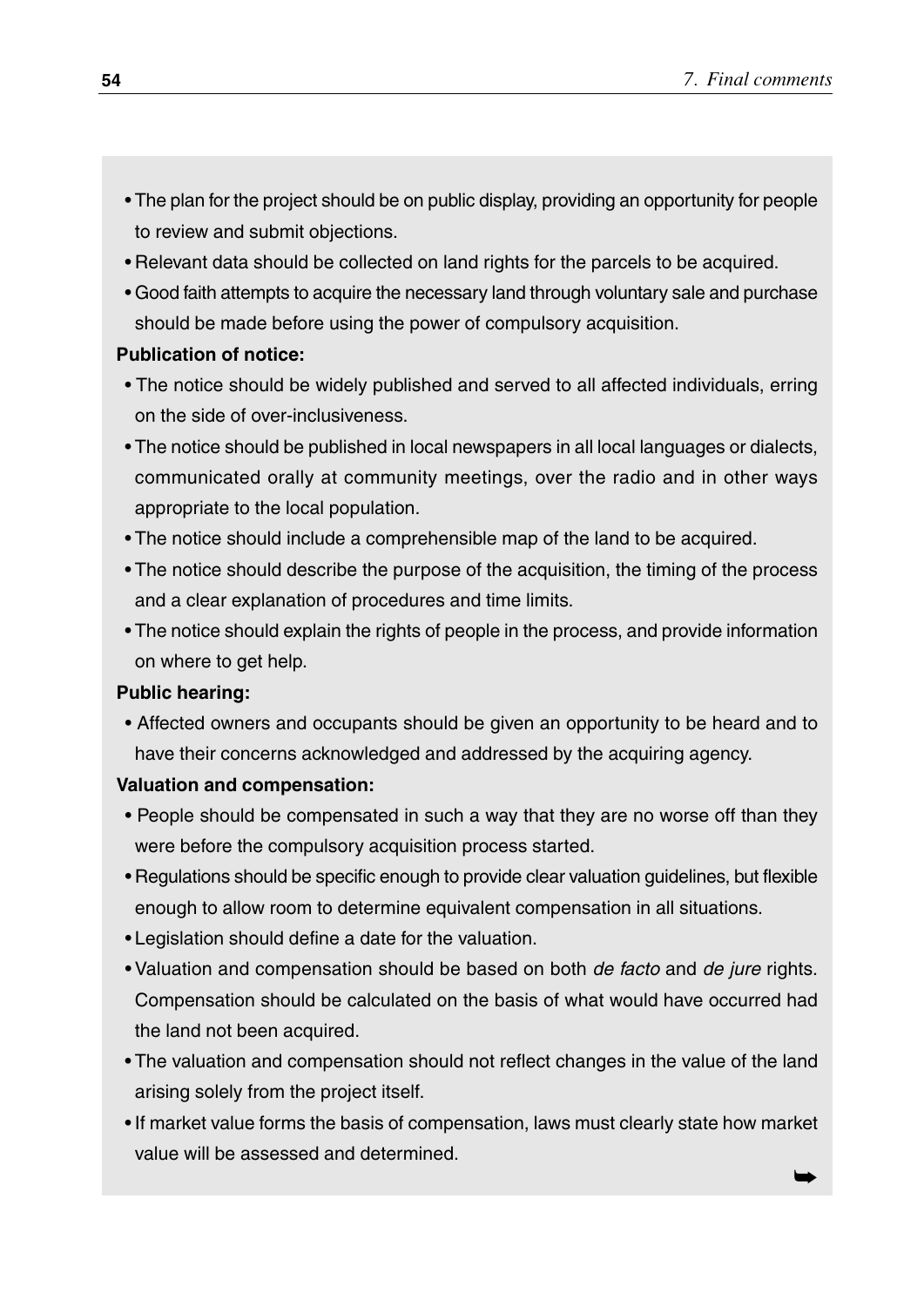- The plan for the project should be on public display, providing an opportunity for people to review and submit objections.
- Relevant data should be collected on land rights for the parcels to be acquired.
- Good faith attempts to acquire the necessary land through voluntary sale and purchase should be made before using the power of compulsory acquisition.

#### **Publication of notice:**

- The notice should be widely published and served to all affected individuals, erring on the side of over-inclusiveness.
- The notice should be published in local newspapers in all local languages or dialects, communicated orally at community meetings, over the radio and in other ways appropriate to the local population.
- The notice should include a comprehensible map of the land to be acquired.
- The notice should describe the purpose of the acquisition, the timing of the process and a clear explanation of procedures and time limits.
- The notice should explain the rights of people in the process, and provide information on where to get help.

#### **Public hearing:**

• Affected owners and occupants should be given an opportunity to be heard and to have their concerns acknowledged and addressed by the acquiring agency.

#### **Valuation and compensation:**

- People should be compensated in such a way that they are no worse off than they were before the compulsory acquisition process started.
- Regulations should be specific enough to provide clear valuation guidelines, but flexible enough to allow room to determine equivalent compensation in all situations.
- Legislation should define a date for the valuation.
- Valuation and compensation should be based on both de facto and de jure rights. Compensation should be calculated on the basis of what would have occurred had the land not been acquired.
- The valuation and compensation should not reflect changes in the value of the land arising solely from the project itself.
- If market value forms the basis of compensation, laws must clearly state how market value will be assessed and determined. ➥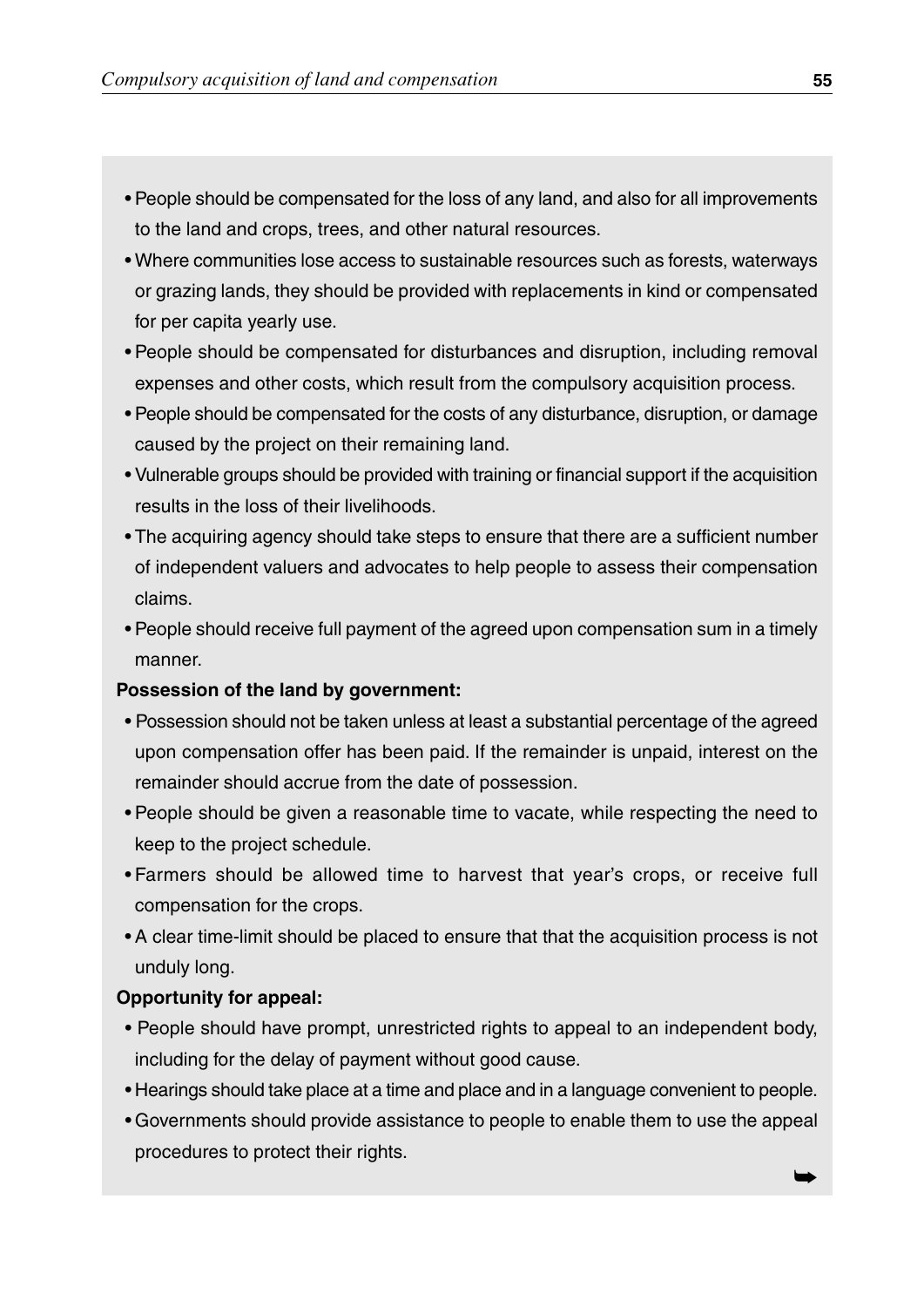- People should be compensated for the loss of any land, and also for all improvements to the land and crops, trees, and other natural resources.
- Where communities lose access to sustainable resources such as forests, waterways or grazing lands, they should be provided with replacements in kind or compensated for per capita yearly use.
- People should be compensated for disturbances and disruption, including removal expenses and other costs, which result from the compulsory acquisition process.
- People should be compensated for the costs of any disturbance, disruption, or damage caused by the project on their remaining land.
- Vulnerable groups should be provided with training or financial support if the acquisition results in the loss of their livelihoods.
- The acquiring agency should take steps to ensure that there are a sufficient number of independent valuers and advocates to help people to assess their compensation claims.
- People should receive full payment of the agreed upon compensation sum in a timely manner.

#### **Possession of the land by government:**

- Possession should not be taken unless at least a substantial percentage of the agreed upon compensation offer has been paid. If the remainder is unpaid, interest on the remainder should accrue from the date of possession.
- People should be given a reasonable time to vacate, while respecting the need to keep to the project schedule.
- Farmers should be allowed time to harvest that year's crops, or receive full compensation for the crops.
- A clear time-limit should be placed to ensure that that the acquisition process is not unduly long.

#### **Opportunity for appeal:**

- People should have prompt, unrestricted rights to appeal to an independent body, including for the delay of payment without good cause.
- Hearings should take place at a time and place and in a language convenient to people.
- Governments should provide assistance to people to enable them to use the appeal procedures to protect their rights.

➥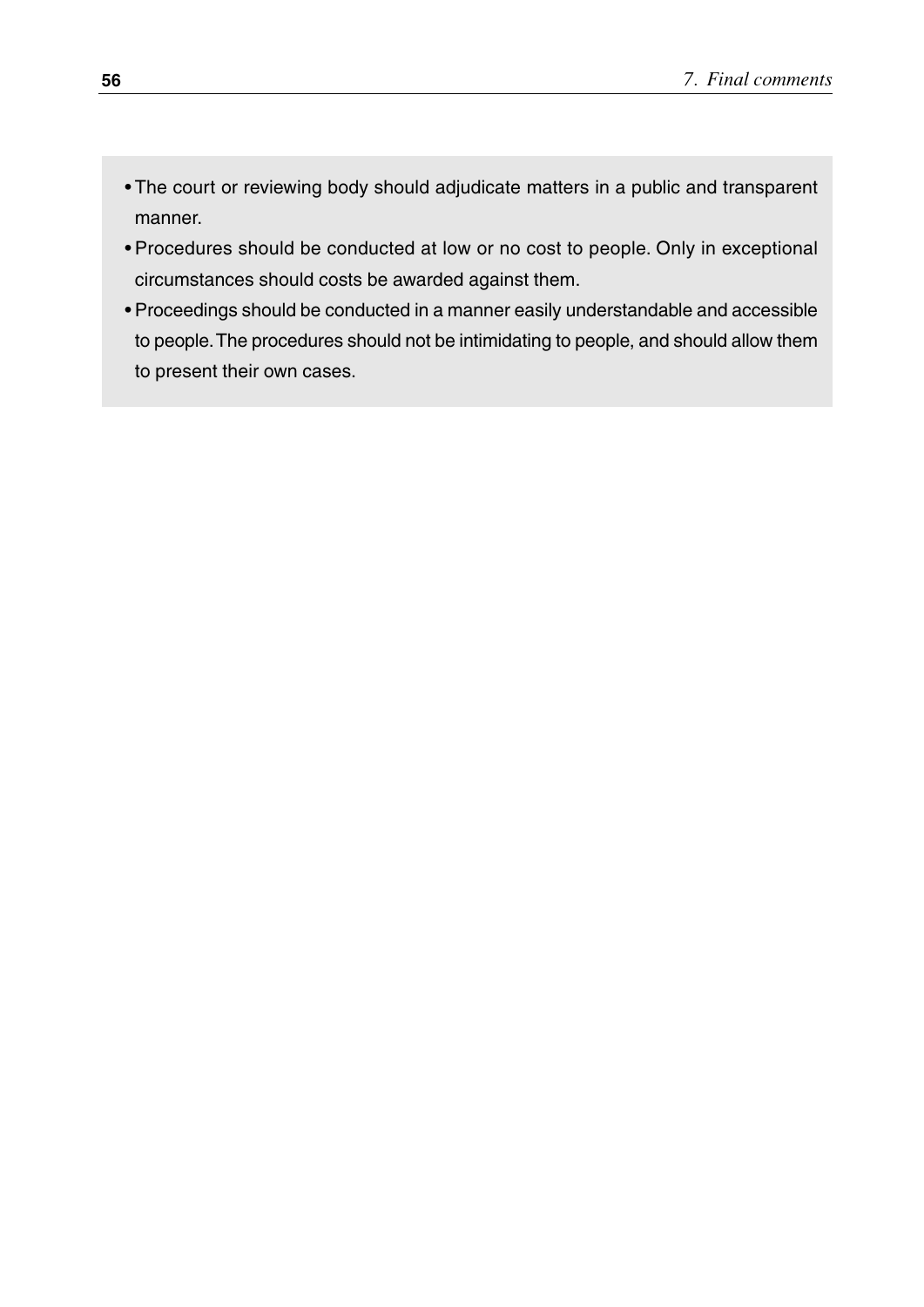- The court or reviewing body should adjudicate matters in a public and transparent manner.
- Procedures should be conducted at low or no cost to people. Only in exceptional circumstances should costs be awarded against them.
- Proceedings should be conducted in a manner easily understandable and accessible to people.The procedures should not be intimidating to people, and should allow them to present their own cases.